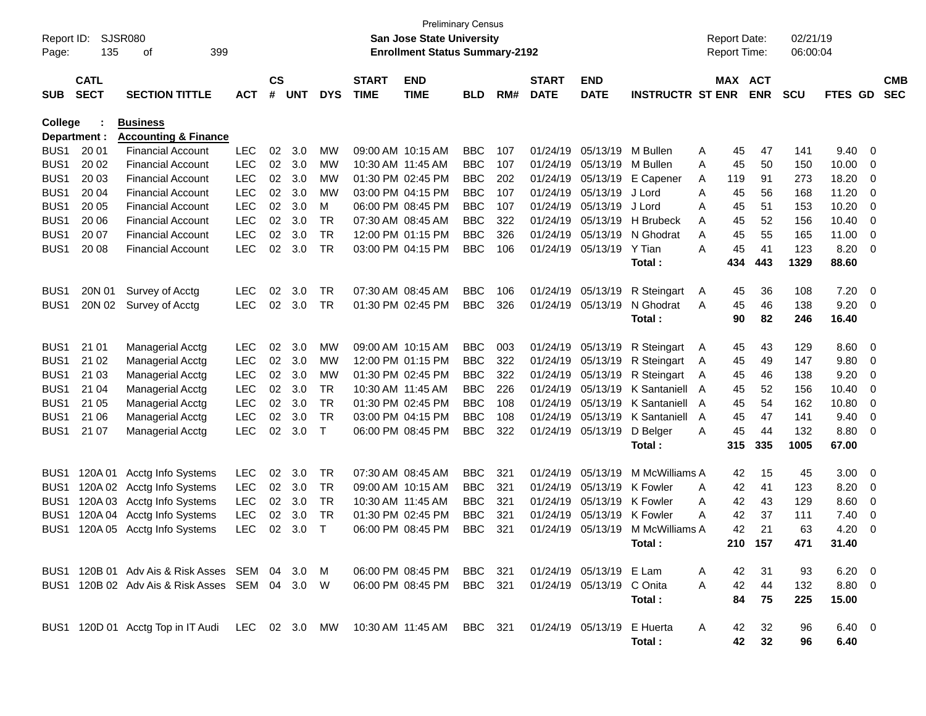| Report ID:<br>Page: | 135                        | <b>SJSR080</b><br>399<br>of                                                                          |            |                    |            |              |                             | <b>Preliminary Census</b><br>San Jose State University<br><b>Enrollment Status Summary-2192</b> |                |     |                             |                           |                         |   | <b>Report Date:</b><br><b>Report Time:</b> |                 | 02/21/19<br>06:00:04 |                |                         |                          |
|---------------------|----------------------------|------------------------------------------------------------------------------------------------------|------------|--------------------|------------|--------------|-----------------------------|-------------------------------------------------------------------------------------------------|----------------|-----|-----------------------------|---------------------------|-------------------------|---|--------------------------------------------|-----------------|----------------------|----------------|-------------------------|--------------------------|
| <b>SUB</b>          | <b>CATL</b><br><b>SECT</b> | <b>SECTION TITTLE</b>                                                                                | <b>ACT</b> | $\mathsf{cs}$<br># | <b>UNT</b> | <b>DYS</b>   | <b>START</b><br><b>TIME</b> | <b>END</b><br><b>TIME</b>                                                                       | <b>BLD</b>     | RM# | <b>START</b><br><b>DATE</b> | <b>END</b><br><b>DATE</b> | <b>INSTRUCTR ST ENR</b> |   | MAX ACT                                    | <b>ENR</b>      | <b>SCU</b>           | FTES GD        |                         | <b>CMB</b><br><b>SEC</b> |
| <b>College</b>      |                            | <b>Business</b>                                                                                      |            |                    |            |              |                             |                                                                                                 |                |     |                             |                           |                         |   |                                            |                 |                      |                |                         |                          |
|                     | Department :               | <b>Accounting &amp; Finance</b>                                                                      |            |                    |            |              |                             |                                                                                                 |                |     |                             |                           |                         |   |                                            |                 |                      |                |                         |                          |
| BUS <sub>1</sub>    | 20 01                      | <b>Financial Account</b>                                                                             | <b>LEC</b> | 02                 | 3.0        | МW           |                             | 09:00 AM 10:15 AM                                                                               | <b>BBC</b>     | 107 | 01/24/19                    | 05/13/19                  | M Bullen                | A | 45                                         | 47              | 141                  | 9.40           | - 0                     |                          |
| BUS <sub>1</sub>    | 20 02                      | <b>Financial Account</b>                                                                             | <b>LEC</b> | 02                 | 3.0        | МW           | 10:30 AM 11:45 AM           |                                                                                                 | <b>BBC</b>     | 107 | 01/24/19                    | 05/13/19                  | M Bullen                | A | 45                                         | 50              | 150                  | 10.00          | 0                       |                          |
| BUS <sub>1</sub>    | 20 03                      | <b>Financial Account</b>                                                                             | <b>LEC</b> | 02                 | 3.0        | МW           |                             | 01:30 PM 02:45 PM                                                                               | <b>BBC</b>     | 202 | 01/24/19                    | 05/13/19                  | E Capener               | A | 119                                        | 91              | 273                  | 18.20          | 0                       |                          |
| BUS <sub>1</sub>    | 20 04                      | <b>Financial Account</b>                                                                             | <b>LEC</b> | 02                 | 3.0        | МW           |                             | 03:00 PM 04:15 PM                                                                               | <b>BBC</b>     | 107 | 01/24/19                    | 05/13/19                  | J Lord                  | A | 45                                         | 56              | 168                  | 11.20          | 0                       |                          |
| BUS <sub>1</sub>    | 20 05                      | <b>Financial Account</b>                                                                             | <b>LEC</b> | 02                 | 3.0        | M            |                             | 06:00 PM 08:45 PM                                                                               | <b>BBC</b>     | 107 | 01/24/19                    | 05/13/19                  | J Lord                  | A | 45                                         | 51              | 153                  | 10.20          | 0                       |                          |
| BUS <sub>1</sub>    | 20 06                      | <b>Financial Account</b>                                                                             | <b>LEC</b> | 02                 | 3.0        | <b>TR</b>    |                             | 07:30 AM 08:45 AM                                                                               | <b>BBC</b>     | 322 | 01/24/19                    | 05/13/19                  | H Brubeck               | A | 45                                         | 52              | 156                  | 10.40          | 0                       |                          |
| BUS <sub>1</sub>    | 20 07                      | <b>Financial Account</b>                                                                             | <b>LEC</b> | 02                 | 3.0        | <b>TR</b>    |                             | 12:00 PM 01:15 PM                                                                               | <b>BBC</b>     | 326 | 01/24/19                    | 05/13/19                  | N Ghodrat               | Α | 45                                         | 55              | 165                  | 11.00          | 0                       |                          |
| BUS <sub>1</sub>    | 20 08                      | <b>Financial Account</b>                                                                             | <b>LEC</b> | 02                 | 3.0        | <b>TR</b>    |                             | 03:00 PM 04:15 PM                                                                               | <b>BBC</b>     | 106 | 01/24/19                    | 05/13/19                  | Y Tian                  | Α | 45                                         | 41              | 123                  | 8.20           | $\overline{0}$          |                          |
|                     |                            |                                                                                                      |            |                    |            |              |                             |                                                                                                 |                |     |                             |                           | Total:                  |   | 434                                        | 443             | 1329                 | 88.60          |                         |                          |
| BUS <sub>1</sub>    | 20N 01                     | Survey of Acctg                                                                                      | LEC        | 02                 | 3.0        | TR           | 07:30 AM 08:45 AM           |                                                                                                 | <b>BBC</b>     | 106 | 01/24/19                    | 05/13/19                  | R Steingart             | A | 45                                         | 36              | 108                  | 7.20           | $\overline{\mathbf{0}}$ |                          |
| BUS <sub>1</sub>    | 20N 02                     | Survey of Acctg                                                                                      | <b>LEC</b> | 02                 | 3.0        | <b>TR</b>    |                             | 01:30 PM 02:45 PM                                                                               | <b>BBC</b>     | 326 | 01/24/19                    | 05/13/19                  | N Ghodrat               | A | 45                                         | 46              | 138                  | 9.20           | - 0                     |                          |
|                     |                            |                                                                                                      |            |                    |            |              |                             |                                                                                                 |                |     |                             |                           | Total:                  |   | 90                                         | 82              | 246                  | 16.40          |                         |                          |
|                     |                            |                                                                                                      |            |                    |            |              |                             |                                                                                                 |                |     |                             |                           |                         |   |                                            |                 |                      |                |                         |                          |
| BUS <sub>1</sub>    | 21 01                      | <b>Managerial Acctg</b>                                                                              | LEC        | 02                 | 3.0        | МW           |                             | 09:00 AM 10:15 AM                                                                               | <b>BBC</b>     | 003 | 01/24/19                    | 05/13/19                  | R Steingart             | A | 45                                         | 43              | 129                  | 8.60           | - 0                     |                          |
| BUS <sub>1</sub>    | 21 02                      | <b>Managerial Acctg</b>                                                                              | <b>LEC</b> | 02                 | 3.0        | MW           |                             | 12:00 PM 01:15 PM                                                                               | <b>BBC</b>     | 322 | 01/24/19                    | 05/13/19                  | R Steingart             | A | 45                                         | 49              | 147                  | 9.80           | 0                       |                          |
| BUS <sub>1</sub>    | 21 03                      | <b>Managerial Acctg</b>                                                                              | <b>LEC</b> | 02                 | 3.0        | МW           |                             | 01:30 PM 02:45 PM                                                                               | <b>BBC</b>     | 322 | 01/24/19                    | 05/13/19                  | R Steingart             | A | 45                                         | 46              | 138                  | 9.20           | 0                       |                          |
| BUS <sub>1</sub>    | 21 04                      | <b>Managerial Acctg</b>                                                                              | <b>LEC</b> | 02                 | 3.0        | <b>TR</b>    | 10:30 AM 11:45 AM           |                                                                                                 | <b>BBC</b>     | 226 | 01/24/19                    | 05/13/19                  | K Santaniell            | A | 45                                         | 52              | 156                  | 10.40          | 0                       |                          |
| BUS <sub>1</sub>    | 21 05                      | <b>Managerial Acctg</b>                                                                              | <b>LEC</b> | 02                 | 3.0        | <b>TR</b>    |                             | 01:30 PM 02:45 PM                                                                               | <b>BBC</b>     | 108 | 01/24/19                    | 05/13/19                  | K Santaniell            | A | 45                                         | 54              | 162                  | 10.80          | 0                       |                          |
| BUS <sub>1</sub>    | 21 06                      | <b>Managerial Acctg</b>                                                                              | <b>LEC</b> | 02                 | 3.0        | <b>TR</b>    |                             | 03:00 PM 04:15 PM                                                                               | <b>BBC</b>     | 108 | 01/24/19                    | 05/13/19                  | K Santaniell            | A | 45                                         | 47              | 141                  | 9.40           | 0                       |                          |
| BUS <sub>1</sub>    | 21 07                      | <b>Managerial Acctg</b>                                                                              | <b>LEC</b> | 02                 | 3.0        | $\mathsf{T}$ |                             | 06:00 PM 08:45 PM                                                                               | <b>BBC</b>     | 322 | 01/24/19                    | 05/13/19                  | D Belger                | A | 45                                         | 44              | 132                  | 8.80           | 0                       |                          |
|                     |                            |                                                                                                      |            |                    |            |              |                             |                                                                                                 |                |     |                             |                           | Total:                  |   | 315                                        | 335             | 1005                 | 67.00          |                         |                          |
|                     |                            |                                                                                                      |            |                    |            |              |                             |                                                                                                 |                |     |                             |                           |                         |   |                                            |                 |                      |                |                         |                          |
| BUS <sub>1</sub>    | 120A 01                    | Acctg Info Systems                                                                                   | <b>LEC</b> | 02                 | 3.0        | TR           |                             | 07:30 AM 08:45 AM                                                                               | <b>BBC</b>     | 321 | 01/24/19                    | 05/13/19                  | M McWilliams A          |   | 42                                         | 15              | 45                   | 3.00           | - 0                     |                          |
| BUS <sub>1</sub>    | 120A 02                    | Acctg Info Systems                                                                                   | <b>LEC</b> | 02                 | 3.0        | <b>TR</b>    |                             | 09:00 AM 10:15 AM                                                                               | <b>BBC</b>     | 321 | 01/24/19                    | 05/13/19                  | K Fowler                | A | 42                                         | 41              | 123                  | 8.20           | 0                       |                          |
| BUS <sub>1</sub>    | 120A 03                    | Acctg Info Systems                                                                                   | <b>LEC</b> | 02                 | 3.0        | <b>TR</b>    | 10:30 AM 11:45 AM           |                                                                                                 | <b>BBC</b>     | 321 | 01/24/19                    | 05/13/19                  | K Fowler                | A | 42                                         | 43              | 129                  | 8.60           | 0                       |                          |
| BUS <sub>1</sub>    | 120A 04                    | Acctg Info Systems                                                                                   | <b>LEC</b> | 02                 | 3.0        | <b>TR</b>    |                             | 01:30 PM 02:45 PM                                                                               | <b>BBC</b>     | 321 | 01/24/19                    | 05/13/19 K Fowler         |                         | A | 42                                         | 37              | 111                  | 7.40           | 0                       |                          |
| BUS <sub>1</sub>    | 120A 05                    | Acctg Info Systems                                                                                   | <b>LEC</b> | 02                 | 3.0        | $\top$       |                             | 06:00 PM 08:45 PM                                                                               | <b>BBC</b>     | 321 | 01/24/19                    | 05/13/19                  | M McWilliams A          |   | 42                                         | 21              | 63                   | 4.20           | 0                       |                          |
|                     |                            |                                                                                                      |            |                    |            |              |                             |                                                                                                 |                |     |                             |                           | Total :                 |   | 210                                        | 157             | 471                  | 31.40          |                         |                          |
|                     |                            |                                                                                                      |            |                    |            |              |                             |                                                                                                 |                |     |                             |                           |                         |   |                                            |                 |                      |                |                         |                          |
|                     |                            | BUS1 120B 01 Adv Ais & Risk Asses SEM 04 3.0 M                                                       |            |                    |            |              |                             | 06:00 PM 08:45 PM BBC 321                                                                       |                |     |                             | 01/24/19 05/13/19 E Lam   |                         | A | 42                                         | 31              | 93                   | $6.20 \quad 0$ |                         |                          |
|                     |                            | BUS1 120B 02 Adv Ais & Risk Asses SEM 04 3.0 W                                                       |            |                    |            |              |                             | 06:00 PM 08:45 PM                                                                               | <b>BBC</b> 321 |     |                             | 01/24/19 05/13/19 C Onita |                         | A | 42                                         | 44              | 132                  | 8.80 0         |                         |                          |
|                     |                            |                                                                                                      |            |                    |            |              |                             |                                                                                                 |                |     |                             |                           | Total:                  |   | 84                                         | 75              | 225                  | 15.00          |                         |                          |
|                     |                            |                                                                                                      |            |                    |            |              |                             |                                                                                                 |                |     |                             |                           |                         |   |                                            |                 |                      |                |                         |                          |
|                     |                            | BUS1 120D 01 Acctg Top in IT Audi LEC 02 3.0 MW 10:30 AM 11:45 AM BBC 321 01/24/19 05/13/19 E Huerta |            |                    |            |              |                             |                                                                                                 |                |     |                             |                           |                         | A | 42                                         | 32              | 96                   | $6.40\quad 0$  |                         |                          |
|                     |                            |                                                                                                      |            |                    |            |              |                             |                                                                                                 |                |     |                             |                           | Total:                  |   | 42                                         | $32\phantom{a}$ | 96                   | 6.40           |                         |                          |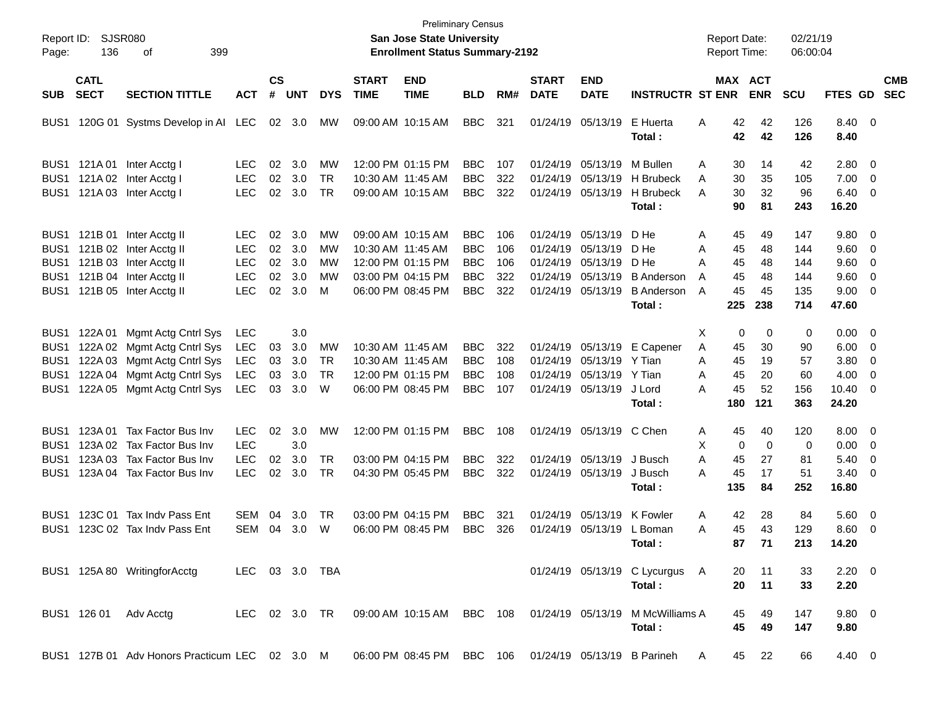| Page:                                                    | Report ID: SJSR080<br>136  | 399<br>οf                                                                                              |                                        |                    |                   |                        |                             | San Jose State University<br><b>Enrollment Status Summary-2192</b> | <b>Preliminary Census</b>              |                   |                             |                                                             |                                                                                        | <b>Report Date:</b><br><b>Report Time:</b> |                   | 02/21/19<br>06:00:04 |                                        |                                                      |                          |
|----------------------------------------------------------|----------------------------|--------------------------------------------------------------------------------------------------------|----------------------------------------|--------------------|-------------------|------------------------|-----------------------------|--------------------------------------------------------------------|----------------------------------------|-------------------|-----------------------------|-------------------------------------------------------------|----------------------------------------------------------------------------------------|--------------------------------------------|-------------------|----------------------|----------------------------------------|------------------------------------------------------|--------------------------|
| SUB.                                                     | <b>CATL</b><br><b>SECT</b> | <b>SECTION TITTLE</b>                                                                                  | <b>ACT</b>                             | $\mathsf{cs}$<br># | <b>UNT</b>        | <b>DYS</b>             | <b>START</b><br><b>TIME</b> | <b>END</b><br><b>TIME</b>                                          | <b>BLD</b>                             | RM#               | <b>START</b><br><b>DATE</b> | <b>END</b><br><b>DATE</b>                                   | <b>INSTRUCTR ST ENR</b>                                                                | MAX ACT                                    | <b>ENR</b>        | <b>SCU</b>           | FTES GD                                |                                                      | <b>CMB</b><br><b>SEC</b> |
| BUS1                                                     |                            | 120G 01 Systms Develop in AI LEC                                                                       |                                        |                    | 02 3.0            | МW                     |                             | 09:00 AM 10:15 AM                                                  | <b>BBC</b>                             | 321               |                             | 01/24/19 05/13/19                                           | E Huerta<br>Total :                                                                    | 42<br>A<br>42                              | 42<br>42          | 126<br>126           | 8.40 0<br>8.40                         |                                                      |                          |
| BUS <sub>1</sub>                                         | 121A 01                    | Inter Acctg I                                                                                          | <b>LEC</b>                             | 02                 | 3.0               | MW                     |                             | 12:00 PM 01:15 PM                                                  | <b>BBC</b>                             | 107               |                             | 01/24/19 05/13/19                                           | M Bullen                                                                               | Α<br>30                                    | 14                | 42                   | $2.80 \ 0$                             |                                                      |                          |
| BUS <sub>1</sub><br>BUS <sub>1</sub>                     | 121A 03                    | 121A 02 Inter Acctg I<br>Inter Acctg I                                                                 | <b>LEC</b><br><b>LEC</b>               | 02<br>02           | 3.0<br>3.0        | <b>TR</b><br><b>TR</b> |                             | 10:30 AM 11:45 AM<br>09:00 AM 10:15 AM                             | <b>BBC</b><br><b>BBC</b>               | 322<br>322        |                             | 01/24/19 05/13/19<br>01/24/19 05/13/19                      | <b>H</b> Brubeck<br>H Brubeck<br>Total:                                                | 30<br>A<br>30<br>A<br>90                   | 35<br>32<br>81    | 105<br>96<br>243     | $7.00 \t 0$<br>$6.40 \quad 0$<br>16.20 |                                                      |                          |
| BUS <sub>1</sub>                                         |                            | 121B 01 Inter Acctg II                                                                                 | <b>LEC</b>                             | 02                 | 3.0               | MW                     |                             | 09:00 AM 10:15 AM                                                  | <b>BBC</b>                             | 106               |                             | 01/24/19 05/13/19                                           | D He                                                                                   | A<br>45                                    | 49                | 147                  | 9.80 0                                 |                                                      |                          |
| BUS <sub>1</sub><br>BUS <sub>1</sub><br>BUS <sub>1</sub> |                            | 121B 02 Inter Acctg II<br>121B 03 Inter Acctg II<br>121B 04 Inter Acctg II                             | <b>LEC</b><br><b>LEC</b><br><b>LEC</b> | 02<br>02<br>02     | 3.0<br>3.0<br>3.0 | MW<br>МW<br>МW         |                             | 10:30 AM 11:45 AM<br>12:00 PM 01:15 PM<br>03:00 PM 04:15 PM        | <b>BBC</b><br><b>BBC</b><br><b>BBC</b> | 106<br>106<br>322 |                             | 01/24/19 05/13/19<br>01/24/19 05/13/19<br>01/24/19 05/13/19 | D He<br>D He<br><b>B</b> Anderson                                                      | A<br>45<br>Α<br>45<br>45<br>A              | 48<br>48<br>48    | 144<br>144<br>144    | $9.60 \quad 0$<br>9.60<br>9.60         | $\overline{\phantom{0}}$<br>$\overline{\phantom{0}}$ |                          |
| BUS1                                                     |                            | 121B 05 Inter Acctg II                                                                                 | <b>LEC</b>                             | 02                 | 3.0               | M                      |                             | 06:00 PM 08:45 PM                                                  | <b>BBC</b>                             | 322               |                             | 01/24/19 05/13/19                                           | <b>B</b> Anderson<br>Total:                                                            | 45<br>A<br>225                             | 45<br>238         | 135<br>714           | $9.00 \t 0$<br>47.60                   |                                                      |                          |
| BUS <sub>1</sub>                                         | 122A 01                    | Mgmt Actg Cntrl Sys                                                                                    | <b>LEC</b>                             |                    | 3.0               |                        |                             |                                                                    |                                        |                   |                             |                                                             |                                                                                        | Х<br>0                                     | 0                 | 0                    | $0.00 \t 0$                            |                                                      |                          |
| BUS <sub>1</sub><br>BUS <sub>1</sub>                     | 122A 02<br>122A 03         | Mgmt Actg Cntrl Sys<br>Mgmt Actg Cntrl Sys                                                             | <b>LEC</b><br>LEC                      | 03<br>03           | 3.0<br>3.0        | MW<br><b>TR</b>        |                             | 10:30 AM 11:45 AM<br>10:30 AM 11:45 AM                             | <b>BBC</b><br><b>BBC</b>               | 322<br>108        |                             | 01/24/19 05/13/19<br>01/24/19 05/13/19                      | E Capener<br>Y Tian                                                                    | A<br>45<br>A<br>45                         | 30<br>19          | 90<br>57             | 6.00<br>3.80                           | $\overline{\phantom{0}}$<br>$\overline{\phantom{0}}$ |                          |
| BUS <sub>1</sub><br>BUS <sub>1</sub>                     | 122A 04                    | Mgmt Actg Cntrl Sys<br>122A 05 Mgmt Actg Cntrl Sys                                                     | <b>LEC</b><br><b>LEC</b>               | 03<br>03           | 3.0<br>3.0        | TR<br>W                |                             | 12:00 PM 01:15 PM<br>06:00 PM 08:45 PM                             | <b>BBC</b><br><b>BBC</b>               | 108<br>107        |                             | 01/24/19 05/13/19<br>01/24/19 05/13/19                      | Y Tian<br>J Lord<br>Total:                                                             | 45<br>A<br>45<br>Α<br>180                  | 20<br>52<br>121   | 60<br>156<br>363     | 4.00<br>$10.40 \ 0$<br>24.20           | $\overline{\phantom{0}}$                             |                          |
| BUS <sub>1</sub>                                         | 123A 01<br>123A 02         | Tax Factor Bus Inv<br>Tax Factor Bus Inv                                                               | LEC.<br><b>LEC</b>                     | 02                 | 3.0<br>3.0        | MW                     |                             | 12:00 PM 01:15 PM                                                  | <b>BBC</b>                             | 108               |                             | 01/24/19 05/13/19 C Chen                                    |                                                                                        | 45<br>A                                    | 40<br>$\mathbf 0$ | 120                  | 8.00 0                                 |                                                      |                          |
| BUS1<br>BUS1<br>BUS1                                     | 123A 03                    | Tax Factor Bus Inv<br>123A 04 Tax Factor Bus Inv                                                       | <b>LEC</b><br><b>LEC</b>               | 02<br>02           | 3.0<br>3.0        | <b>TR</b><br>TR        |                             | 03:00 PM 04:15 PM<br>04:30 PM 05:45 PM                             | <b>BBC</b><br><b>BBC</b>               | 322<br>322        |                             | 01/24/19 05/13/19<br>01/24/19 05/13/19                      | J Busch<br>J Busch                                                                     | X<br>0<br>A<br>45<br>45<br>A               | 27<br>17          | 0<br>81<br>51        | 0.00<br>5.40<br>$3.40 \ 0$             | $\overline{\phantom{0}}$<br>$\overline{\phantom{0}}$ |                          |
|                                                          |                            |                                                                                                        |                                        |                    |                   |                        |                             |                                                                    |                                        |                   |                             |                                                             | Total :                                                                                | 135                                        | 84                | 252                  | 16.80                                  |                                                      |                          |
| BUS <sub>1</sub><br>BUS1                                 |                            | 123C 01 Tax Indy Pass Ent<br>123C 02 Tax Indy Pass Ent                                                 | <b>SEM</b><br><b>SEM</b>               | 04<br>04           | 3.0<br>3.0        | TR<br>W                |                             | 03:00 PM 04:15 PM<br>06:00 PM 08:45 PM                             | <b>BBC</b><br><b>BBC</b>               | 321<br>326        |                             | 01/24/19 05/13/19<br>01/24/19 05/13/19                      | K Fowler<br>L Boman<br>Total:                                                          | 42<br>A<br>45<br>A<br>87                   | 28<br>43<br>71    | 84<br>129<br>213     | $5.60$ 0<br>8.60<br>14.20              | - 0                                                  |                          |
|                                                          |                            | BUS1 125A 80 WritingforAcctg                                                                           | LEC 03 3.0 TBA                         |                    |                   |                        |                             |                                                                    |                                        |                   |                             |                                                             | 01/24/19 05/13/19 C Lycurgus A<br>Total:                                               | 20<br>20                                   | $-11$<br>11       | 33<br>33             | $2.20 \t 0$<br>2.20                    |                                                      |                          |
|                                                          |                            | BUS1 126 01 Adv Acctg                                                                                  |                                        |                    |                   |                        |                             |                                                                    |                                        |                   |                             |                                                             | LEC 02 3.0 TR  09:00 AM 10:15 AM BBC 108  01/24/19  05/13/19  M McWilliams A<br>Total: | 45<br>45                                   | 49<br>49          | 147<br>147           | $9.80\ 0$<br>9.80                      |                                                      |                          |
|                                                          |                            | BUS1 127B 01 Adv Honors Practicum LEC 02 3.0 M 06:00 PM 08:45 PM BBC 106 01/24/19 05/13/19 B Parineh A |                                        |                    |                   |                        |                             |                                                                    |                                        |                   |                             |                                                             |                                                                                        |                                            | 45 22             | 66                   | 4.40 0                                 |                                                      |                          |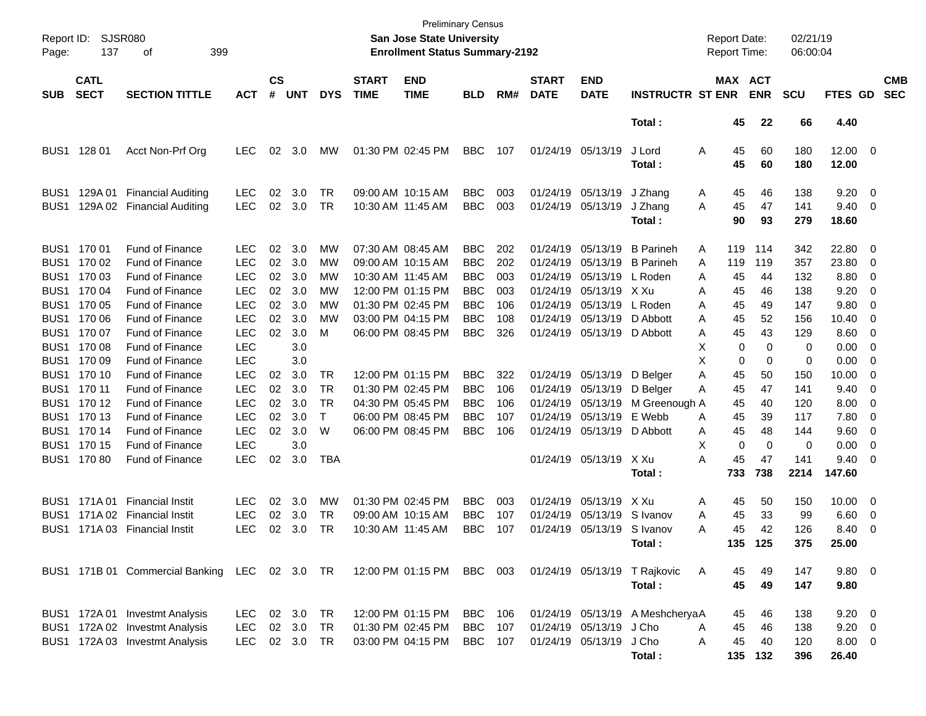| Report ID:<br>Page: | SJSR080<br>137             | 399<br>οf                                                               |            |                    |            |            |                             | San Jose State University<br><b>Enrollment Status Summary-2192</b> | <b>Preliminary Census</b> |     |                             |                           |                                  | <b>Report Date:</b><br><b>Report Time:</b> |            | 02/21/19<br>06:00:04 |                |                          |                          |
|---------------------|----------------------------|-------------------------------------------------------------------------|------------|--------------------|------------|------------|-----------------------------|--------------------------------------------------------------------|---------------------------|-----|-----------------------------|---------------------------|----------------------------------|--------------------------------------------|------------|----------------------|----------------|--------------------------|--------------------------|
| <b>SUB</b>          | <b>CATL</b><br><b>SECT</b> | <b>SECTION TITTLE</b>                                                   | <b>ACT</b> | $\mathsf{cs}$<br># | <b>UNT</b> | <b>DYS</b> | <b>START</b><br><b>TIME</b> | <b>END</b><br><b>TIME</b>                                          | <b>BLD</b>                | RM# | <b>START</b><br><b>DATE</b> | <b>END</b><br><b>DATE</b> | <b>INSTRUCTR ST ENR</b>          | MAX ACT                                    | <b>ENR</b> | <b>SCU</b>           | <b>FTES GD</b> |                          | <b>CMB</b><br><b>SEC</b> |
|                     |                            |                                                                         |            |                    |            |            |                             |                                                                    |                           |     |                             |                           | Total:                           | 45                                         | 22         | 66                   | 4.40           |                          |                          |
| BUS <sub>1</sub>    | 128 01                     | Acct Non-Prf Org                                                        | <b>LEC</b> | 02                 | 3.0        | <b>MW</b>  |                             | 01:30 PM 02:45 PM                                                  | <b>BBC</b>                | 107 | 01/24/19 05/13/19           |                           | J Lord<br>Total :                | 45<br>Α<br>45                              | 60<br>60   | 180<br>180           | 12.00<br>12.00 | $\overline{\phantom{0}}$ |                          |
| BUS1                | 129A 01                    | <b>Financial Auditing</b>                                               | <b>LEC</b> | 02                 | 3.0        | TR         |                             | 09:00 AM 10:15 AM                                                  | <b>BBC</b>                | 003 |                             | 01/24/19 05/13/19         | J Zhang                          | 45<br>A                                    | 46         | 138                  | 9.20           | $\overline{\mathbf{0}}$  |                          |
| BUS1                | 129A 02                    | <b>Financial Auditing</b>                                               | <b>LEC</b> | 02                 | 3.0        | TR         | 10:30 AM 11:45 AM           |                                                                    | <b>BBC</b>                | 003 |                             | 01/24/19 05/13/19         | J Zhang<br>Total:                | 45<br>A<br>90                              | 47<br>93   | 141<br>279           | 9.40<br>18.60  | 0                        |                          |
| BUS1                | 170 01                     | <b>Fund of Finance</b>                                                  | <b>LEC</b> | 02                 | 3.0        | MW         |                             | 07:30 AM 08:45 AM                                                  | <b>BBC</b>                | 202 |                             | 01/24/19 05/13/19         | <b>B</b> Parineh                 | 119<br>A                                   | 114        | 342                  | 22.80          | 0                        |                          |
| BUS1                | 170 02                     | <b>Fund of Finance</b>                                                  | <b>LEC</b> | 02                 | 3.0        | МW         |                             | 09:00 AM 10:15 AM                                                  | <b>BBC</b>                | 202 |                             | 01/24/19 05/13/19         | <b>B</b> Parineh                 | 119<br>A                                   | 119        | 357                  | 23.80          | 0                        |                          |
| BUS1                | 170 03                     | <b>Fund of Finance</b>                                                  | <b>LEC</b> | 02                 | 3.0        | МW         | 10:30 AM 11:45 AM           |                                                                    | <b>BBC</b>                | 003 | 01/24/19                    | 05/13/19                  | L Roden                          | 45<br>A                                    | 44         | 132                  | 8.80           | 0                        |                          |
| BUS1                | 170 04                     | Fund of Finance                                                         | <b>LEC</b> | 02                 | 3.0        | МW         |                             | 12:00 PM 01:15 PM                                                  | <b>BBC</b>                | 003 |                             | 01/24/19 05/13/19 X Xu    |                                  | A<br>45                                    | 46         | 138                  | 9.20           | 0                        |                          |
| BUS1                | 170 05                     | Fund of Finance                                                         | <b>LEC</b> | 02                 | 3.0        | МW         |                             | 01:30 PM 02:45 PM                                                  | <b>BBC</b>                | 106 |                             | 01/24/19 05/13/19         | L Roden                          | A<br>45                                    | 49         | 147                  | 9.80           | 0                        |                          |
| BUS1                | 170 06                     | <b>Fund of Finance</b>                                                  | <b>LEC</b> | 02                 | 3.0        | МW         |                             | 03:00 PM 04:15 PM                                                  | <b>BBC</b>                | 108 | 01/24/19                    | 05/13/19                  | D Abbott                         | 45<br>A                                    | 52         | 156                  | 10.40          | 0                        |                          |
| BUS1                | 170 07                     | Fund of Finance                                                         | <b>LEC</b> | 02                 | 3.0        | м          |                             | 06:00 PM 08:45 PM                                                  | <b>BBC</b>                | 326 |                             | 01/24/19 05/13/19         | D Abbott                         | 45<br>Α                                    | 43         | 129                  | 8.60           | 0                        |                          |
| BUS1                | 170 08                     | Fund of Finance                                                         | <b>LEC</b> |                    | 3.0        |            |                             |                                                                    |                           |     |                             |                           |                                  | X<br>0                                     | 0          | 0                    | 0.00           | 0                        |                          |
| BUS1                | 170 09                     | Fund of Finance                                                         | <b>LEC</b> |                    | 3.0        |            |                             |                                                                    |                           |     |                             |                           |                                  | X<br>0                                     | 0          | 0                    | 0.00           | 0                        |                          |
| BUS1                | 170 10                     | Fund of Finance                                                         | <b>LEC</b> | 02                 | 3.0        | TR         |                             | 12:00 PM 01:15 PM                                                  | <b>BBC</b>                | 322 |                             | 01/24/19 05/13/19         | D Belger                         | Α<br>45                                    | 50         | 150                  | 10.00          | 0                        |                          |
| BUS1                | 170 11                     | Fund of Finance                                                         | <b>LEC</b> | 02                 | 3.0        | TR         |                             | 01:30 PM 02:45 PM                                                  | <b>BBC</b>                | 106 |                             | 01/24/19 05/13/19         | D Belger                         | Α<br>45                                    | 47         | 141                  | 9.40           | 0                        |                          |
| BUS1                | 170 12                     | Fund of Finance                                                         | <b>LEC</b> | 02                 | 3.0        | TR         |                             | 04:30 PM 05:45 PM                                                  | <b>BBC</b>                | 106 |                             | 01/24/19 05/13/19         | M Greenough A                    | 45                                         | 40         | 120                  | 8.00           | 0                        |                          |
| BUS1                | 170 13                     | Fund of Finance                                                         | <b>LEC</b> | 02                 | 3.0        | $\top$     |                             | 06:00 PM 08:45 PM                                                  | <b>BBC</b>                | 107 |                             | 01/24/19 05/13/19         | E Webb                           | Α<br>45                                    | 39         | 117                  | 7.80           | 0                        |                          |
| BUS1                | 170 14                     | Fund of Finance                                                         | <b>LEC</b> | 02                 | 3.0        | W          |                             | 06:00 PM 08:45 PM                                                  | <b>BBC</b>                | 106 |                             | 01/24/19 05/13/19         | D Abbott                         | 45<br>A                                    | 48         | 144                  | 9.60           | 0                        |                          |
| BUS1                | 170 15                     | Fund of Finance                                                         | <b>LEC</b> |                    | 3.0        |            |                             |                                                                    |                           |     |                             |                           |                                  | X<br>0                                     | 0          | 0                    | 0.00           | 0                        |                          |
| BUS <sub>1</sub>    | 170 80                     | <b>Fund of Finance</b>                                                  | <b>LEC</b> | 02                 | 3.0        | <b>TBA</b> |                             |                                                                    |                           |     |                             | 01/24/19 05/13/19         | X Xu                             | 45<br>Α                                    | 47         | 141                  | 9.40           | 0                        |                          |
|                     |                            |                                                                         |            |                    |            |            |                             |                                                                    |                           |     |                             |                           | Total :                          | 733                                        | 738        | 2214                 | 147.60         |                          |                          |
| BUS1                | 171A 01                    | <b>Financial Instit</b>                                                 | <b>LEC</b> | 02                 | 3.0        | MW         |                             | 01:30 PM 02:45 PM                                                  | <b>BBC</b>                | 003 |                             | 01/24/19 05/13/19         | X Xu                             | 45<br>A                                    | 50         | 150                  | 10.00          | $\mathbf 0$              |                          |
| BUS1                |                            | 171A 02 Financial Instit                                                | <b>LEC</b> | 02                 | 3.0        | TR         |                             | 09:00 AM 10:15 AM                                                  | <b>BBC</b>                | 107 |                             | 01/24/19 05/13/19         | S Ivanov                         | A<br>45                                    | 33         | 99                   | 6.60           | 0                        |                          |
| BUS1                |                            | 171A 03 Financial Instit                                                | LEC        | 02                 | 3.0        | TR         | 10:30 AM 11:45 AM           |                                                                    | <b>BBC</b>                | 107 |                             | 01/24/19 05/13/19         | S Ivanov                         | 45<br>A                                    | 42         | 126                  | 8.40           | 0                        |                          |
|                     |                            |                                                                         |            |                    |            |            |                             |                                                                    |                           |     |                             |                           | Total :                          | 135                                        | 125        | 375                  | 25.00          |                          |                          |
|                     |                            | BUS1 171B 01 Commercial Banking LEC 02 3.0 TR 12:00 PM 01:15 PM BBC 003 |            |                    |            |            |                             |                                                                    |                           |     |                             |                           | 01/24/19 05/13/19 T Rajkovic     | 45<br>A                                    | 49         | 147                  | $9.80 \quad 0$ |                          |                          |
|                     |                            |                                                                         |            |                    |            |            |                             |                                                                    |                           |     |                             |                           | Total:                           | 45                                         | 49         | 147                  | 9.80           |                          |                          |
|                     |                            | BUS1 172A 01 Investmt Analysis                                          | LEC.       |                    | 02 3.0     | TR         |                             | 12:00 PM 01:15 PM                                                  | <b>BBC</b> 106            |     |                             |                           | 01/24/19 05/13/19 A Meshcherya A | 45                                         | 46         | 138                  | $9.20 \ 0$     |                          |                          |
|                     |                            | BUS1 172A 02 Investmt Analysis                                          | <b>LEC</b> |                    | 02 3.0     | <b>TR</b>  |                             | 01:30 PM 02:45 PM                                                  | <b>BBC</b>                | 107 |                             | 01/24/19 05/13/19         | J Cho                            | A<br>45                                    | 46         | 138                  | $9.20 \ 0$     |                          |                          |
|                     |                            | BUS1 172A 03 Investmt Analysis                                          | <b>LEC</b> |                    | 02 3.0     | <b>TR</b>  |                             | 03:00 PM 04:15 PM                                                  | BBC 107                   |     |                             | 01/24/19 05/13/19         | J Cho                            | 45<br>A                                    | 40         | 120                  | 8.00 0         |                          |                          |
|                     |                            |                                                                         |            |                    |            |            |                             |                                                                    |                           |     |                             |                           | Total:                           |                                            | 135 132    | 396                  | 26.40          |                          |                          |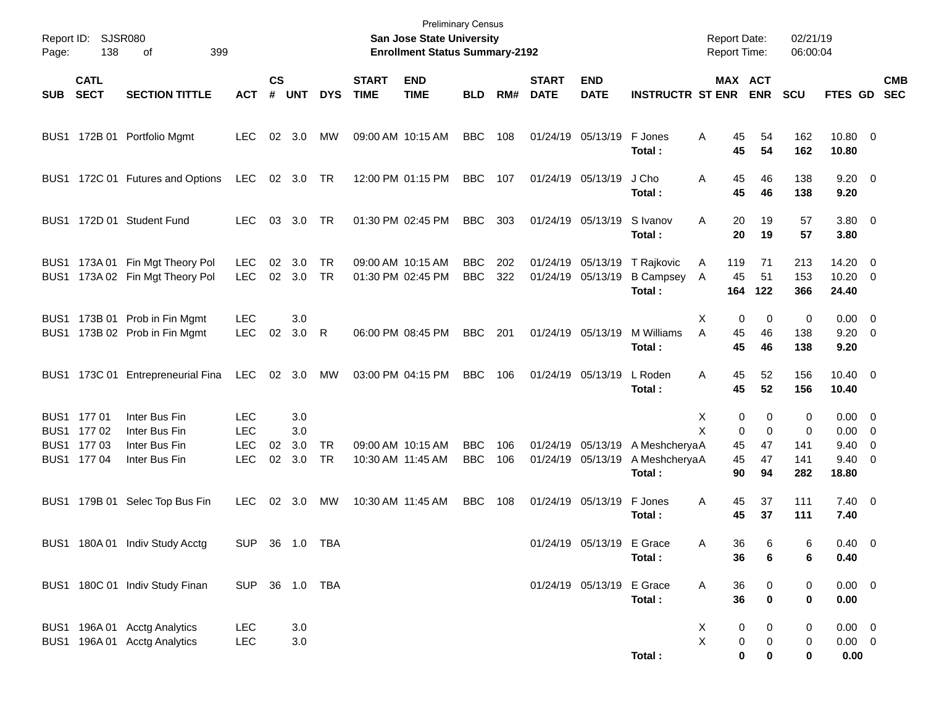| Page:        | Report ID: SJSR080<br>138                                | 399<br>οf                                                        |                                                      |                    |                             |                 |                             | San Jose State University<br><b>Enrollment Status Summary-2192</b> | <b>Preliminary Census</b> |            |                             |                                        |                                          | <b>Report Date:</b><br><b>Report Time:</b> |                                    | 02/21/19<br>06:00:04        |                                                                         |                          |
|--------------|----------------------------------------------------------|------------------------------------------------------------------|------------------------------------------------------|--------------------|-----------------------------|-----------------|-----------------------------|--------------------------------------------------------------------|---------------------------|------------|-----------------------------|----------------------------------------|------------------------------------------|--------------------------------------------|------------------------------------|-----------------------------|-------------------------------------------------------------------------|--------------------------|
| <b>SUB</b>   | <b>CATL</b><br><b>SECT</b>                               | <b>SECTION TITTLE</b>                                            | <b>ACT</b>                                           | $\mathsf{cs}$<br># | <b>UNT</b>                  | <b>DYS</b>      | <b>START</b><br><b>TIME</b> | <b>END</b><br><b>TIME</b>                                          | <b>BLD</b>                | RM#        | <b>START</b><br><b>DATE</b> | <b>END</b><br><b>DATE</b>              | <b>INSTRUCTR ST ENR</b>                  | MAX ACT                                    | <b>ENR</b>                         | <b>SCU</b>                  | <b>FTES GD</b>                                                          | <b>CMB</b><br><b>SEC</b> |
| BUS1         |                                                          | 172B 01 Portfolio Mgmt                                           | <b>LEC</b>                                           |                    | 02 3.0                      | MW              |                             | 09:00 AM 10:15 AM                                                  | <b>BBC</b>                | 108        |                             | 01/24/19 05/13/19                      | F Jones<br>Total:                        | A<br>45<br>45                              | 54<br>54                           | 162<br>162                  | 10.80 0<br>10.80                                                        |                          |
| BUS1         |                                                          | 172C 01 Futures and Options                                      | LEC                                                  |                    | 02 3.0 TR                   |                 |                             | 12:00 PM 01:15 PM                                                  | <b>BBC</b>                | 107        |                             | 01/24/19 05/13/19                      | J Cho<br>Total:                          | 45<br>A<br>45                              | 46<br>46                           | 138<br>138                  | $9.20 \ 0$<br>9.20                                                      |                          |
| BUS1         |                                                          | 172D 01 Student Fund                                             | <b>LEC</b>                                           | 03                 | 3.0                         | TR              |                             | 01:30 PM 02:45 PM                                                  | <b>BBC</b>                | 303        |                             | 01/24/19 05/13/19                      | S Ivanov<br>Total:                       | 20<br>A<br>20                              | 19<br>19                           | 57<br>57                    | $3.80 \ 0$<br>3.80                                                      |                          |
| BUS1<br>BUS1 |                                                          | 173A 01 Fin Mgt Theory Pol<br>173A 02 Fin Mgt Theory Pol         | <b>LEC</b><br><b>LEC</b>                             | 02                 | 3.0<br>02 3.0               | <b>TR</b><br>TR |                             | 09:00 AM 10:15 AM<br>01:30 PM 02:45 PM                             | <b>BBC</b><br><b>BBC</b>  | 202<br>322 |                             | 01/24/19 05/13/19<br>01/24/19 05/13/19 | T Rajkovic<br><b>B Campsey</b><br>Total: | 119<br>A<br>45<br>A<br>164                 | 71<br>51<br>122                    | 213<br>153<br>366           | $14.20 \t 0$<br>$10.20 \t 0$<br>24.40                                   |                          |
| BUS1<br>BUS1 |                                                          | 173B 01 Prob in Fin Mgmt<br>173B 02 Prob in Fin Mgmt             | <b>LEC</b><br><b>LEC</b>                             | 02                 | 3.0<br>3.0                  | R               |                             | 06:00 PM 08:45 PM                                                  | <b>BBC</b>                | 201        |                             | 01/24/19 05/13/19                      | M Williams<br>Total:                     | Х<br>0<br>A<br>45<br>45                    | 0<br>46<br>46                      | 0<br>138<br>138             | $0.00 \t 0$<br>$9.20 \ 0$<br>9.20                                       |                          |
| BUS1         |                                                          | 173C 01 Entrepreneurial Fina                                     | LEC                                                  |                    | 02 3.0                      | <b>MW</b>       |                             | 03:00 PM 04:15 PM                                                  | <b>BBC</b>                | 106        |                             | 01/24/19 05/13/19                      | L Roden<br>Total:                        | Α<br>45<br>45                              | 52<br>52                           | 156<br>156                  | $10.40 \quad 0$<br>10.40                                                |                          |
|              | BUS1 177 01<br>BUS1 177 02<br>BUS1 177 03<br>BUS1 177 04 | Inter Bus Fin<br>Inter Bus Fin<br>Inter Bus Fin<br>Inter Bus Fin | <b>LEC</b><br><b>LEC</b><br><b>LEC</b><br><b>LEC</b> | 02                 | 3.0<br>3.0<br>3.0<br>02 3.0 | <b>TR</b><br>TR |                             | 09:00 AM 10:15 AM<br>10:30 AM 11:45 AM                             | <b>BBC</b><br><b>BBC</b>  | 106<br>106 |                             | 01/24/19 05/13/19<br>01/24/19 05/13/19 | A MeshcheryaA<br>A MeshcheryaA<br>Total: | 0<br>Х<br>X<br>0<br>45<br>45<br>90         | 0<br>$\mathbf 0$<br>47<br>47<br>94 | 0<br>0<br>141<br>141<br>282 | $0.00 \t 0$<br>$0.00 \t 0$<br>$9.40 \quad 0$<br>$9.40 \quad 0$<br>18.80 |                          |
| BUS1         |                                                          | 179B 01 Selec Top Bus Fin                                        | <b>LEC</b>                                           |                    | 02 3.0                      | MW              |                             | 10:30 AM 11:45 AM                                                  | <b>BBC</b>                | 108        |                             | 01/24/19 05/13/19                      | F Jones<br>Total :                       | Α<br>45<br>45                              | 37<br>37                           | 111<br>111                  | $7.40 \quad 0$<br>7.40                                                  |                          |
|              |                                                          | BUS1 180A 01 Indiv Study Acctg                                   | <b>SUP</b>                                           |                    |                             |                 |                             |                                                                    |                           |            |                             | 01/24/19 05/13/19 E Grace              | Total:                                   | 36<br>A<br>36                              | 6<br>6                             | 6<br>6                      | $0.40 \quad 0$<br>0.40                                                  |                          |
|              |                                                          | BUS1 180C 01 Indiv Study Finan                                   | SUP 36 1.0 TBA                                       |                    |                             |                 |                             |                                                                    |                           |            |                             | 01/24/19 05/13/19 E Grace              | Total:                                   | A<br>36<br>36                              | 0<br>$\mathbf 0$                   | 0<br>0                      | $0.00 \t 0$<br>$0.00\,$                                                 |                          |
|              |                                                          | BUS1 196A 01 Acctg Analytics<br>BUS1 196A 01 Acctg Analytics     | LEC<br><b>LEC</b>                                    |                    | 3.0<br>3.0                  |                 |                             |                                                                    |                           |            |                             |                                        | Total:                                   | X<br>0<br>X<br>0<br>0                      | 0<br>0<br>0                        | 0<br>0<br>0                 | $0.00 \t 0$<br>$0.00 \t 0$<br>0.00                                      |                          |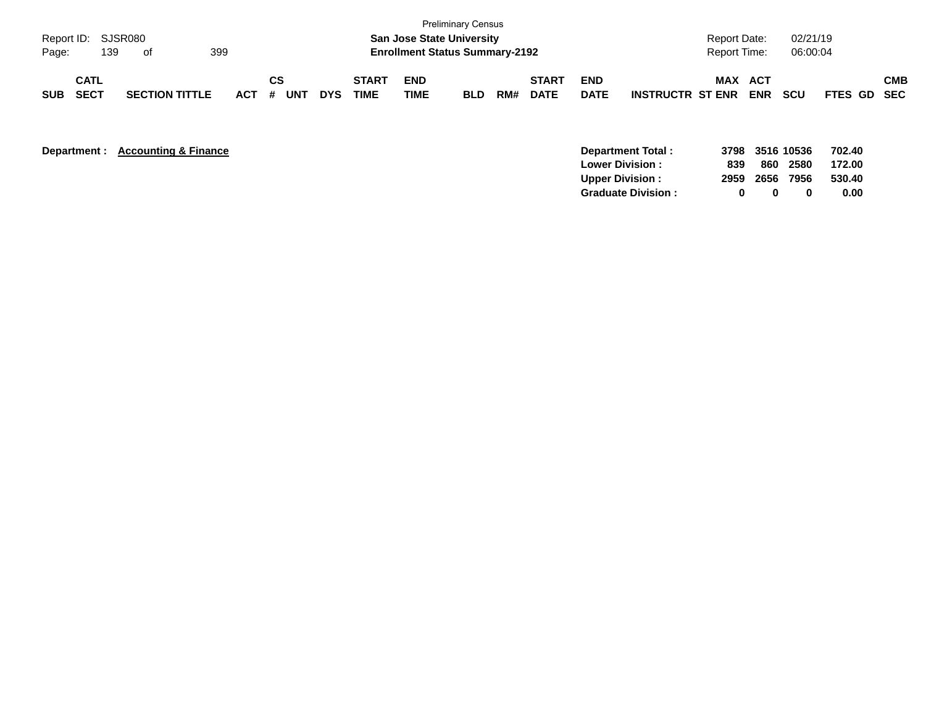| Page:      | Report ID: SJSR080<br>139  | . of                  | 399     |                  |            |                             | <b>San Jose State University</b><br><b>Enrollment Status Summary-2192</b> | <b>Preliminary Census</b> |     |                             |                           |                         | <b>Report Date:</b><br>Report Time: |            | 02/21/19<br>06:00:04 |             |            |
|------------|----------------------------|-----------------------|---------|------------------|------------|-----------------------------|---------------------------------------------------------------------------|---------------------------|-----|-----------------------------|---------------------------|-------------------------|-------------------------------------|------------|----------------------|-------------|------------|
| <b>SUB</b> | <b>CATL</b><br><b>SECT</b> | <b>SECTION TITTLE</b> | $ACT$ # | CS<br><b>UNT</b> | <b>DYS</b> | <b>START</b><br><b>TIME</b> | <b>END</b><br><b>TIME</b>                                                 | <b>BLD</b>                | RM# | <b>START</b><br><b>DATE</b> | <b>END</b><br><b>DATE</b> | <b>INSTRUCTR ST ENR</b> | <b>MAX ACT</b>                      | <b>ENR</b> | <b>SCU</b>           | FTES GD SEC | <b>CMB</b> |

| Department : | <b>Accounting &amp; Finance</b> |
|--------------|---------------------------------|
|--------------|---------------------------------|

| Department: Accounting & Finance | Department Total:         | 3798 3516 10536 |      |      | 702.40 |
|----------------------------------|---------------------------|-----------------|------|------|--------|
|                                  | <b>Lower Division:</b>    | 839             | 860  | 2580 | 172.00 |
|                                  | <b>Upper Division:</b>    | 2959            | 2656 | 7956 | 530.40 |
|                                  | <b>Graduate Division:</b> |                 | n.   |      | 0.00   |
|                                  |                           |                 |      |      |        |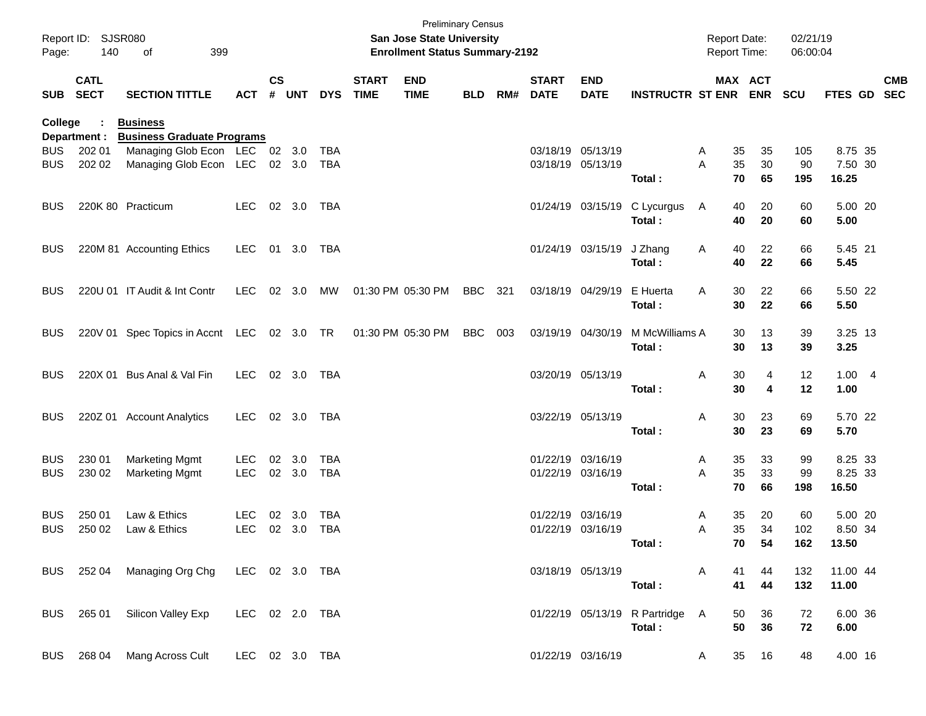| Page:      | Report ID: SJSR080<br>140 | 399<br>of                                                      |                |                    |        |            |                             | <b>San Jose State University</b><br><b>Enrollment Status Summary-2192</b> | <b>Preliminary Census</b> |     |                             |                                        |                                 | <b>Report Date:</b><br><b>Report Time:</b> |          |          | 02/21/19<br>06:00:04 |                  |            |
|------------|---------------------------|----------------------------------------------------------------|----------------|--------------------|--------|------------|-----------------------------|---------------------------------------------------------------------------|---------------------------|-----|-----------------------------|----------------------------------------|---------------------------------|--------------------------------------------|----------|----------|----------------------|------------------|------------|
|            | <b>CATL</b><br>SUB SECT   | <b>SECTION TITTLE</b>                                          | <b>ACT</b>     | $\mathsf{cs}$<br># | UNT    | <b>DYS</b> | <b>START</b><br><b>TIME</b> | <b>END</b><br><b>TIME</b>                                                 | <b>BLD</b>                | RM# | <b>START</b><br><b>DATE</b> | <b>END</b><br><b>DATE</b>              | <b>INSTRUCTR ST ENR ENR</b>     |                                            |          | MAX ACT  | <b>SCU</b>           | FTES GD SEC      | <b>CMB</b> |
| College    |                           | <b>Business</b>                                                |                |                    |        |            |                             |                                                                           |                           |     |                             |                                        |                                 |                                            |          |          |                      |                  |            |
|            | Department :              | <b>Business Graduate Programs</b>                              |                |                    |        |            |                             |                                                                           |                           |     |                             |                                        |                                 |                                            |          |          |                      |                  |            |
| <b>BUS</b> | 202 01                    | Managing Glob Econ LEC 02 3.0<br>Managing Glob Econ LEC 02 3.0 |                |                    |        | TBA        |                             |                                                                           |                           |     |                             | 03/18/19 05/13/19<br>03/18/19 05/13/19 |                                 | A<br>A                                     | 35<br>35 | 35<br>30 | 105<br>90            | 8.75 35          |            |
| <b>BUS</b> | 202 02                    |                                                                |                |                    |        | TBA        |                             |                                                                           |                           |     |                             |                                        | Total:                          |                                            | 70       | 65       | 195                  | 7.50 30<br>16.25 |            |
| <b>BUS</b> |                           | 220K 80 Practicum                                              | LEC.           |                    | 02 3.0 | TBA        |                             |                                                                           |                           |     |                             |                                        | 01/24/19 03/15/19 C Lycurgus    | A                                          | 40       | 20       | 60                   | 5.00 20          |            |
|            |                           |                                                                |                |                    |        |            |                             |                                                                           |                           |     |                             |                                        | Total:                          |                                            | 40       | 20       | 60                   | 5.00             |            |
| <b>BUS</b> |                           | 220M 81 Accounting Ethics                                      | <b>LEC</b>     |                    | 01 3.0 | TBA        |                             |                                                                           |                           |     |                             | 01/24/19 03/15/19                      | J Zhang<br>Total:               | Α                                          | 40<br>40 | 22<br>22 | 66<br>66             | 5.45 21<br>5.45  |            |
|            |                           |                                                                |                |                    |        |            |                             |                                                                           |                           |     |                             |                                        |                                 |                                            |          |          |                      |                  |            |
| <b>BUS</b> |                           | 220U 01 IT Audit & Int Contr                                   | <b>LEC</b>     |                    | 02 3.0 | MW         |                             | 01:30 PM 05:30 PM                                                         | BBC                       | 321 |                             | 03/18/19 04/29/19                      | E Huerta                        | A                                          | 30       | 22       | 66                   | 5.50 22          |            |
|            |                           |                                                                |                |                    |        |            |                             |                                                                           |                           |     |                             |                                        | Total:                          |                                            | 30       | 22       | 66                   | 5.50             |            |
| <b>BUS</b> |                           | 220V 01 Spec Topics in Accnt LEC 02 3.0 TR                     |                |                    |        |            |                             | 01:30 PM 05:30 PM                                                         | <b>BBC</b>                | 003 |                             | 03/19/19 04/30/19                      | M McWilliams A                  |                                            | 30       | 13       | 39                   | 3.25 13          |            |
|            |                           |                                                                |                |                    |        |            |                             |                                                                           |                           |     |                             |                                        | Total:                          |                                            | 30       | 13       | 39                   | 3.25             |            |
| <b>BUS</b> |                           | 220X 01 Bus Anal & Val Fin                                     | LEC            |                    | 02 3.0 | TBA        |                             |                                                                           |                           |     |                             | 03/20/19 05/13/19                      |                                 | Α                                          | 30       | 4        | 12                   | 1.004            |            |
|            |                           |                                                                |                |                    |        |            |                             |                                                                           |                           |     |                             |                                        | Total:                          |                                            | 30       | 4        | 12                   | 1.00             |            |
| <b>BUS</b> |                           | 220Z 01 Account Analytics                                      | <b>LEC</b>     |                    | 02 3.0 | TBA        |                             |                                                                           |                           |     |                             | 03/22/19 05/13/19                      |                                 | Α                                          | 30       | 23       | 69                   | 5.70 22          |            |
|            |                           |                                                                |                |                    |        |            |                             |                                                                           |                           |     |                             |                                        | Total:                          |                                            | 30       | 23       | 69                   | 5.70             |            |
| <b>BUS</b> | 230 01                    | <b>Marketing Mgmt</b>                                          | <b>LEC</b>     |                    | 02 3.0 | TBA        |                             |                                                                           |                           |     |                             | 01/22/19 03/16/19                      |                                 | Α                                          | 35       | 33       | 99                   | 8.25 33          |            |
| <b>BUS</b> | 230 02                    | <b>Marketing Mgmt</b>                                          | <b>LEC</b>     |                    | 02 3.0 | <b>TBA</b> |                             |                                                                           |                           |     |                             | 01/22/19 03/16/19                      |                                 | A                                          | 35       | 33       | 99                   | 8.25 33          |            |
|            |                           |                                                                |                |                    |        |            |                             |                                                                           |                           |     |                             |                                        | Total:                          |                                            | 70       | 66       | 198                  | 16.50            |            |
| <b>BUS</b> | 250 01                    | Law & Ethics                                                   | <b>LEC</b>     | 02                 | 3.0    | <b>TBA</b> |                             |                                                                           |                           |     |                             | 01/22/19 03/16/19                      |                                 | Α                                          | 35       | 20       | 60                   | 5.00 20          |            |
| <b>BUS</b> | 250 02                    | Law & Ethics                                                   | <b>LEC</b>     |                    | 02 3.0 | <b>TBA</b> |                             |                                                                           |                           |     |                             | 01/22/19 03/16/19                      |                                 | Α                                          | 35       | 34       | 102                  | 8.50 34          |            |
|            |                           |                                                                |                |                    |        |            |                             |                                                                           |                           |     |                             |                                        | Total:                          |                                            |          | 70 54    | 162                  | 13.50            |            |
|            |                           | BUS 252 04 Managing Org Chg LEC 02 3.0 TBA                     |                |                    |        |            |                             |                                                                           |                           |     |                             | 03/18/19 05/13/19                      |                                 | A                                          | 41       | 44       | 132                  | 11.00 44         |            |
|            |                           |                                                                |                |                    |        |            |                             |                                                                           |                           |     |                             |                                        | Total:                          |                                            | 41       | 44       | 132                  | 11.00            |            |
|            |                           | BUS 265 01 Silicon Valley Exp                                  | LEC 02 2.0 TBA |                    |        |            |                             |                                                                           |                           |     |                             |                                        | 01/22/19 05/13/19 R Partridge A |                                            | 50       | 36       | 72                   | 6.00 36          |            |
|            |                           |                                                                |                |                    |        |            |                             |                                                                           |                           |     |                             |                                        | Total:                          |                                            | 50       | 36       | 72                   | 6.00             |            |
|            | BUS 268 04                | Mang Across Cult                                               | LEC 02 3.0 TBA |                    |        |            |                             |                                                                           |                           |     |                             | 01/22/19 03/16/19                      |                                 | A                                          | 35       | 16       | 48                   | 4.00 16          |            |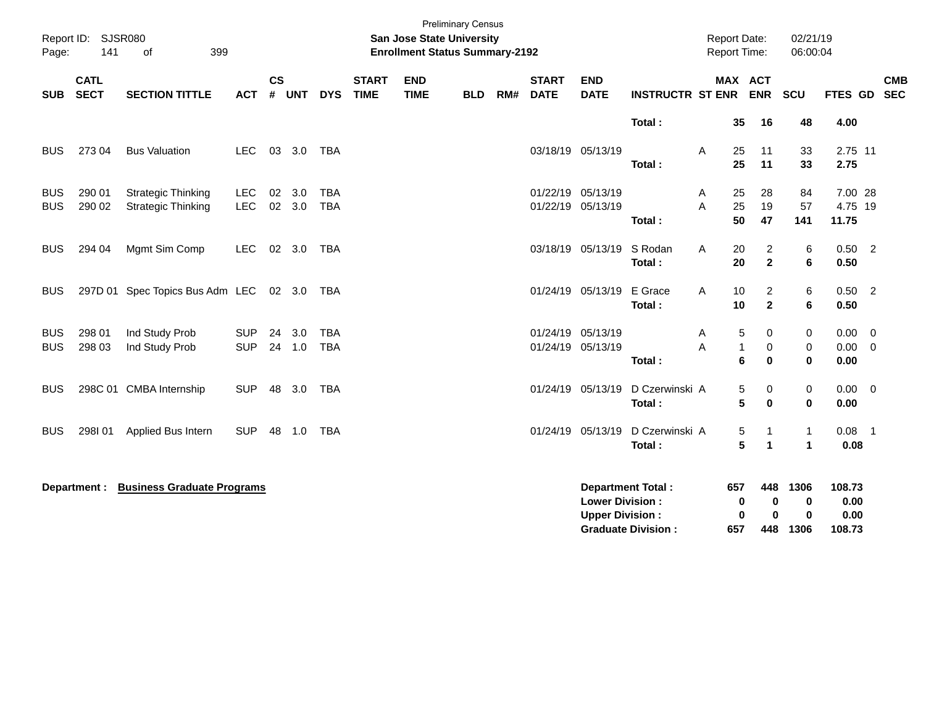| Page:                    | Report ID: SJSR080<br>141  | 399<br>οf                                              |                          |                |                  |                          |                             | San Jose State University<br><b>Enrollment Status Summary-2192</b> | <b>Preliminary Census</b> |     |                                        |                                                  |                                                       |        | <b>Report Date:</b><br>Report Time: |                                  | 02/21/19<br>06:00:04                 |                                  |                                            |            |
|--------------------------|----------------------------|--------------------------------------------------------|--------------------------|----------------|------------------|--------------------------|-----------------------------|--------------------------------------------------------------------|---------------------------|-----|----------------------------------------|--------------------------------------------------|-------------------------------------------------------|--------|-------------------------------------|----------------------------------|--------------------------------------|----------------------------------|--------------------------------------------|------------|
| <b>SUB</b>               | <b>CATL</b><br><b>SECT</b> | <b>SECTION TITTLE</b>                                  | <b>ACT</b>               | <b>CS</b><br># | <b>UNT</b>       | <b>DYS</b>               | <b>START</b><br><b>TIME</b> | <b>END</b><br><b>TIME</b>                                          | <b>BLD</b>                | RM# | <b>START</b><br><b>DATE</b>            | <b>END</b><br><b>DATE</b>                        | <b>INSTRUCTR ST ENR</b>                               |        | MAX ACT                             | <b>ENR</b>                       | SCU                                  | FTES GD SEC                      |                                            | <b>CMB</b> |
|                          |                            |                                                        |                          |                |                  |                          |                             |                                                                    |                           |     |                                        |                                                  | Total:                                                |        | 35                                  | 16                               | 48                                   | 4.00                             |                                            |            |
| <b>BUS</b>               | 273 04                     | <b>Bus Valuation</b>                                   | LEC.                     |                | 03 3.0           | <b>TBA</b>               |                             |                                                                    |                           |     |                                        | 03/18/19 05/13/19                                | Total:                                                | A      | 25<br>25                            | 11<br>11                         | 33<br>33                             | 2.75 11<br>2.75                  |                                            |            |
| <b>BUS</b><br><b>BUS</b> | 290 01<br>290 02           | <b>Strategic Thinking</b><br><b>Strategic Thinking</b> | <b>LEC</b><br>LEC        | 02<br>$02\,$   | 3.0<br>3.0       | <b>TBA</b><br><b>TBA</b> |                             |                                                                    |                           |     | 01/22/19<br>01/22/19 05/13/19          | 05/13/19                                         | Total:                                                | A<br>A | 25<br>25<br>50                      | 28<br>19<br>47                   | 84<br>57<br>141                      | 7.00 28<br>4.75 19<br>11.75      |                                            |            |
| <b>BUS</b>               | 294 04                     | Mgmt Sim Comp                                          | <b>LEC</b>               |                | 02 3.0           | TBA                      |                             |                                                                    |                           |     |                                        | 03/18/19 05/13/19                                | S Rodan<br>Total:                                     | A      | 20<br>20                            | $\overline{2}$<br>$\overline{2}$ | 6<br>$\bf 6$                         | $0.50$ 2<br>0.50                 |                                            |            |
| BUS                      |                            | 297D 01 Spec Topics Bus Adm LEC 02 3.0 TBA             |                          |                |                  |                          |                             |                                                                    |                           |     |                                        | 01/24/19 05/13/19                                | E Grace<br>Total:                                     | A      | 10<br>10                            | $\overline{2}$<br>$\mathbf{2}$   | 6<br>6                               | $0.50$ 2<br>0.50                 |                                            |            |
| <b>BUS</b><br><b>BUS</b> | 298 01<br>298 03           | Ind Study Prob<br>Ind Study Prob                       | <b>SUP</b><br><b>SUP</b> |                | 24 3.0<br>24 1.0 | <b>TBA</b><br><b>TBA</b> |                             |                                                                    |                           |     | 01/24/19 05/13/19<br>01/24/19 05/13/19 |                                                  | Total:                                                | A<br>A | 5<br>1<br>6                         | 0<br>0<br>$\bf{0}$               | 0<br>$\pmb{0}$<br>$\mathbf 0$        | 0.00<br>0.00<br>0.00             | $\overline{\phantom{0}}$<br>$\overline{0}$ |            |
| <b>BUS</b>               |                            | 298C 01 CMBA Internship                                | <b>SUP</b>               | 48             | 3.0              | <b>TBA</b>               |                             |                                                                    |                           |     |                                        | 01/24/19 05/13/19                                | D Czerwinski A<br>Total:                              |        | 5<br>5                              | 0<br>$\bf{0}$                    | 0<br>$\bf{0}$                        | $0.00 \t 0$<br>0.00              |                                            |            |
| <b>BUS</b>               | 298I01                     | Applied Bus Intern                                     | <b>SUP</b>               | 48             | 1.0              | <b>TBA</b>               |                             |                                                                    |                           |     |                                        | 01/24/19 05/13/19                                | D Czerwinski A<br>Total:                              |        | 5<br>5                              | -1<br>$\overline{1}$             | $\mathbf{1}$<br>$\mathbf{1}$         | $0.08$ 1<br>0.08                 |                                            |            |
|                          | Department :               | <b>Business Graduate Programs</b>                      |                          |                |                  |                          |                             |                                                                    |                           |     |                                        | <b>Lower Division:</b><br><b>Upper Division:</b> | <b>Department Total:</b><br><b>Graduate Division:</b> |        | 657<br>0<br>0<br>657                | 448<br>0<br>$\bf{0}$<br>448      | 1306<br>$\bf{0}$<br>$\bf{0}$<br>1306 | 108.73<br>0.00<br>0.00<br>108.73 |                                            |            |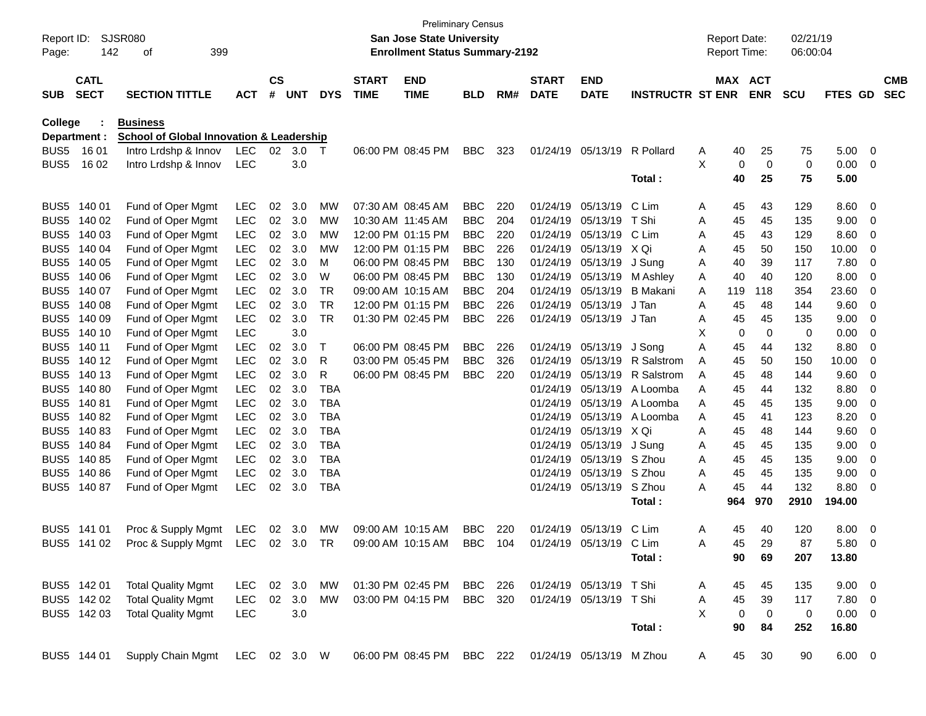| Report ID:<br>Page: | 142          | <b>SJSR080</b><br>399<br>οf                         |            |           |            |            |              | <b>San Jose State University</b><br><b>Enrollment Status Summary-2192</b> | <b>Preliminary Census</b> |     |                          |                         |                         |   | <b>Report Date:</b><br>Report Time: |                | 02/21/19<br>06:00:04 |             |                |            |
|---------------------|--------------|-----------------------------------------------------|------------|-----------|------------|------------|--------------|---------------------------------------------------------------------------|---------------------------|-----|--------------------------|-------------------------|-------------------------|---|-------------------------------------|----------------|----------------------|-------------|----------------|------------|
|                     | <b>CATL</b>  |                                                     |            | <b>CS</b> |            |            | <b>START</b> | <b>END</b>                                                                |                           |     | <b>START</b>             | <b>END</b>              |                         |   | MAX ACT                             |                |                      |             |                | <b>CMB</b> |
| <b>SUB</b>          | <b>SECT</b>  | <b>SECTION TITTLE</b>                               | <b>ACT</b> | #         | <b>UNT</b> | <b>DYS</b> | <b>TIME</b>  | <b>TIME</b>                                                               | <b>BLD</b>                | RM# | <b>DATE</b>              | <b>DATE</b>             | <b>INSTRUCTR ST ENR</b> |   |                                     | <b>ENR</b>     | <b>SCU</b>           | FTES GD     |                | <b>SEC</b> |
| College             |              | <b>Business</b>                                     |            |           |            |            |              |                                                                           |                           |     |                          |                         |                         |   |                                     |                |                      |             |                |            |
|                     | Department : | <b>School of Global Innovation &amp; Leadership</b> |            |           |            |            |              |                                                                           |                           |     |                          |                         |                         |   |                                     |                |                      |             |                |            |
| BUS5                | 16 01        | Intro Lrdshp & Innov                                | <b>LEC</b> | 02        | 3.0        | $\top$     |              | 06:00 PM 08:45 PM                                                         | <b>BBC</b>                | 323 | 01/24/19                 | 05/13/19                | R Pollard               | Α | 40                                  | 25             | 75                   | 5.00        | $\overline{0}$ |            |
| BUS <sub>5</sub>    | 16 02        | Intro Lrdshp & Innov                                | <b>LEC</b> |           | 3.0        |            |              |                                                                           |                           |     |                          |                         |                         | X | 0                                   | $\mathbf 0$    | 0                    | 0.00        | 0              |            |
|                     |              |                                                     |            |           |            |            |              |                                                                           |                           |     |                          |                         | Total:                  |   | 40                                  | 25             | 75                   | 5.00        |                |            |
| BUS <sub>5</sub>    | 140 01       | Fund of Oper Mgmt                                   | <b>LEC</b> | 02        | 3.0        | MW         |              | 07:30 AM 08:45 AM                                                         | <b>BBC</b>                | 220 | 01/24/19                 | 05/13/19                | C Lim                   | A | 45                                  | 43             | 129                  | 8.60        | 0              |            |
| BUS <sub>5</sub>    | 140 02       | Fund of Oper Mgmt                                   | <b>LEC</b> | 02        | 3.0        | MW         |              | 10:30 AM 11:45 AM                                                         | <b>BBC</b>                | 204 | 01/24/19                 | 05/13/19                | T Shi                   | Α | 45                                  | 45             | 135                  | 9.00        | 0              |            |
| BUS <sub>5</sub>    | 140 03       | Fund of Oper Mgmt                                   | <b>LEC</b> | 02        | 3.0        | MW         |              | 12:00 PM 01:15 PM                                                         | <b>BBC</b>                | 220 | 01/24/19                 | 05/13/19                | C Lim                   | Α | 45                                  | 43             | 129                  | 8.60        | 0              |            |
| BUS <sub>5</sub>    | 140 04       | Fund of Oper Mgmt                                   | <b>LEC</b> | 02        | 3.0        | MW         |              | 12:00 PM 01:15 PM                                                         | <b>BBC</b>                | 226 | 01/24/19                 | 05/13/19                | X Qi                    | Α | 45                                  | 50             | 150                  | 10.00       | 0              |            |
| BUS <sub>5</sub>    | 140 05       | Fund of Oper Mgmt                                   | <b>LEC</b> | 02        | 3.0        | м          |              | 06:00 PM 08:45 PM                                                         | <b>BBC</b>                | 130 | 01/24/19                 | 05/13/19                | J Sung                  | Α | 40                                  | 39             | 117                  | 7.80        | 0              |            |
| BUS <sub>5</sub>    | 140 06       | Fund of Oper Mgmt                                   | <b>LEC</b> | 02        | 3.0        | W          |              | 06:00 PM 08:45 PM                                                         | <b>BBC</b>                | 130 | 01/24/19                 | 05/13/19                | M Ashley                | Α | 40                                  | 40             | 120                  | 8.00        | 0              |            |
| BUS <sub>5</sub>    | 140 07       | Fund of Oper Mgmt                                   | <b>LEC</b> | 02        | 3.0        | <b>TR</b>  |              | 09:00 AM 10:15 AM                                                         | <b>BBC</b>                | 204 | 01/24/19                 | 05/13/19                | <b>B</b> Makani         | Α | 119                                 | 118            | 354                  | 23.60       | 0              |            |
| BUS <sub>5</sub>    | 140 08       | Fund of Oper Mgmt                                   | <b>LEC</b> | 02        | 3.0        | <b>TR</b>  |              | 12:00 PM 01:15 PM                                                         | <b>BBC</b>                | 226 | 01/24/19                 | 05/13/19                | J Tan                   | A | 45                                  | 48             | 144                  | 9.60        | 0              |            |
| BUS <sub>5</sub>    | 140 09       | Fund of Oper Mgmt                                   | <b>LEC</b> | 02        | 3.0        | <b>TR</b>  |              | 01:30 PM 02:45 PM                                                         | <b>BBC</b>                | 226 | 01/24/19                 | 05/13/19                | J Tan                   | Α | 45                                  | 45             | 135                  | 9.00        | 0              |            |
| BUS <sub>5</sub>    | 140 10       | Fund of Oper Mgmt                                   | <b>LEC</b> |           | 3.0        |            |              |                                                                           |                           |     |                          |                         |                         | X | 0                                   | 0              | 0                    | 0.00        | 0              |            |
| BUS <sub>5</sub>    | 140 11       | Fund of Oper Mgmt                                   | <b>LEC</b> | 02        | 3.0        | Τ          |              | 06:00 PM 08:45 PM                                                         | <b>BBC</b>                | 226 | 01/24/19                 | 05/13/19                | J Song                  | A | 45                                  | 44             | 132                  | 8.80        | 0              |            |
| BUS <sub>5</sub>    | 140 12       | Fund of Oper Mgmt                                   | <b>LEC</b> | 02        | 3.0        | R          |              | 03:00 PM 05:45 PM                                                         | <b>BBC</b>                | 326 | 01/24/19                 | 05/13/19                | R Salstrom              | Α | 45                                  | 50             | 150                  | 10.00       | 0              |            |
| BUS <sub>5</sub>    | 140 13       | Fund of Oper Mgmt                                   | <b>LEC</b> | 02        | 3.0        | R          |              | 06:00 PM 08:45 PM                                                         | <b>BBC</b>                | 220 | 01/24/19                 | 05/13/19                | R Salstrom              | A | 45                                  | 48             | 144                  | 9.60        | 0              |            |
| BUS <sub>5</sub>    | 14080        | Fund of Oper Mgmt                                   | <b>LEC</b> | 02        | 3.0        | <b>TBA</b> |              |                                                                           |                           |     | 01/24/19                 | 05/13/19                | A Loomba                | A | 45                                  | 44             | 132                  | 8.80        | 0              |            |
| BUS <sub>5</sub>    | 14081        | Fund of Oper Mgmt                                   | <b>LEC</b> | 02        | 3.0        | TBA        |              |                                                                           |                           |     | 01/24/19                 | 05/13/19                | A Loomba                | Α | 45                                  | 45             | 135                  | 9.00        | 0              |            |
| BUS <sub>5</sub>    | 14082        | Fund of Oper Mgmt                                   | <b>LEC</b> | 02        | 3.0        | TBA        |              |                                                                           |                           |     | 01/24/19                 | 05/13/19                | A Loomba                | Α | 45                                  | 41             | 123                  | 8.20        | 0              |            |
| BUS <sub>5</sub>    | 14083        | Fund of Oper Mgmt                                   | <b>LEC</b> | 02        | 3.0        | TBA        |              |                                                                           |                           |     | 01/24/19                 | 05/13/19                | X Qi                    | Α | 45                                  | 48             | 144                  | 9.60        | 0              |            |
| BUS <sub>5</sub>    | 140 84       | Fund of Oper Mgmt                                   | <b>LEC</b> | 02        | 3.0        | TBA        |              |                                                                           |                           |     | 01/24/19                 | 05/13/19                | J Sung                  | Α | 45                                  | 45             | 135                  | 9.00        | 0              |            |
| BUS5                | 140 85       | Fund of Oper Mgmt                                   | <b>LEC</b> | 02        | 3.0        | TBA        |              |                                                                           |                           |     | 01/24/19                 | 05/13/19                | S Zhou                  | Α | 45                                  | 45             | 135                  | 9.00        | 0              |            |
| BUS <sub>5</sub>    | 140 86       | Fund of Oper Mgmt                                   | <b>LEC</b> | 02        | 3.0        | TBA        |              |                                                                           |                           |     | 01/24/19                 | 05/13/19                | S Zhou                  | Α | 45                                  | 45             | 135                  | 9.00        | 0              |            |
| BUS5                | 140 87       | Fund of Oper Mgmt                                   | <b>LEC</b> | 02        | 3.0        | TBA        |              |                                                                           |                           |     | 01/24/19                 | 05/13/19                | S Zhou                  | A | 45                                  | 44             | 132                  | 8.80        | 0              |            |
|                     |              |                                                     |            |           |            |            |              |                                                                           |                           |     |                          |                         | Total:                  |   | 964                                 | 970            | 2910                 | 194.00      |                |            |
|                     | BUS5 141 01  | Proc & Supply Mgmt                                  | <b>LEC</b> | 02        | 3.0        | MW         |              | 09:00 AM 10:15 AM                                                         | <b>BBC</b>                | 220 | 01/24/19                 | 05/13/19                | C Lim                   | Α | 45                                  | 40             | 120                  | 8.00        | 0              |            |
|                     | BUS5 141 02  | Proc & Supply Mgmt LEC 02 3.0 TR                    |            |           |            |            |              | 09:00 AM 10:15 AM                                                         | BBC 104                   |     |                          | 01/24/19 05/13/19 C Lim |                         | Α | 45                                  | 29             | 87                   | 5.80        | $\Omega$       |            |
|                     |              |                                                     |            |           |            |            |              |                                                                           |                           |     |                          |                         | Total:                  |   | 90                                  | 69             | 207                  | 13.80       |                |            |
|                     | BUS5 142 01  | <b>Total Quality Mgmt</b>                           | LEC 02 3.0 |           |            | MW         |              | 01:30 PM 02:45 PM                                                         | BBC 226                   |     |                          | 01/24/19 05/13/19 T Shi |                         | A | 45                                  | 45             | 135                  | $9.00 \t 0$ |                |            |
|                     | BUS5 142 02  | <b>Total Quality Mgmt</b>                           | LEC 02 3.0 |           |            | MW         |              | 03:00 PM 04:15 PM                                                         | BBC 320                   |     |                          | 01/24/19 05/13/19 TShi  |                         | Α | 45                                  | 39             | 117                  | 7.80 0      |                |            |
|                     | BUS5 142 03  | <b>Total Quality Mgmt</b>                           | <b>LEC</b> |           | 3.0        |            |              |                                                                           |                           |     |                          |                         |                         | X | $\mathbf 0$                         | $\overline{0}$ | 0                    | $0.00 \t 0$ |                |            |
|                     |              |                                                     |            |           |            |            |              |                                                                           |                           |     |                          |                         | Total:                  |   | 90                                  | 84             | 252                  | 16.80       |                |            |
|                     | BUS5 144 01  | Supply Chain Mgmt LEC 02 3.0 W                      |            |           |            |            |              | 06:00 PM 08:45 PM BBC 222                                                 |                           |     | 01/24/19 05/13/19 M Zhou |                         |                         | A | 45                                  | 30             | 90                   | $6.00 \t 0$ |                |            |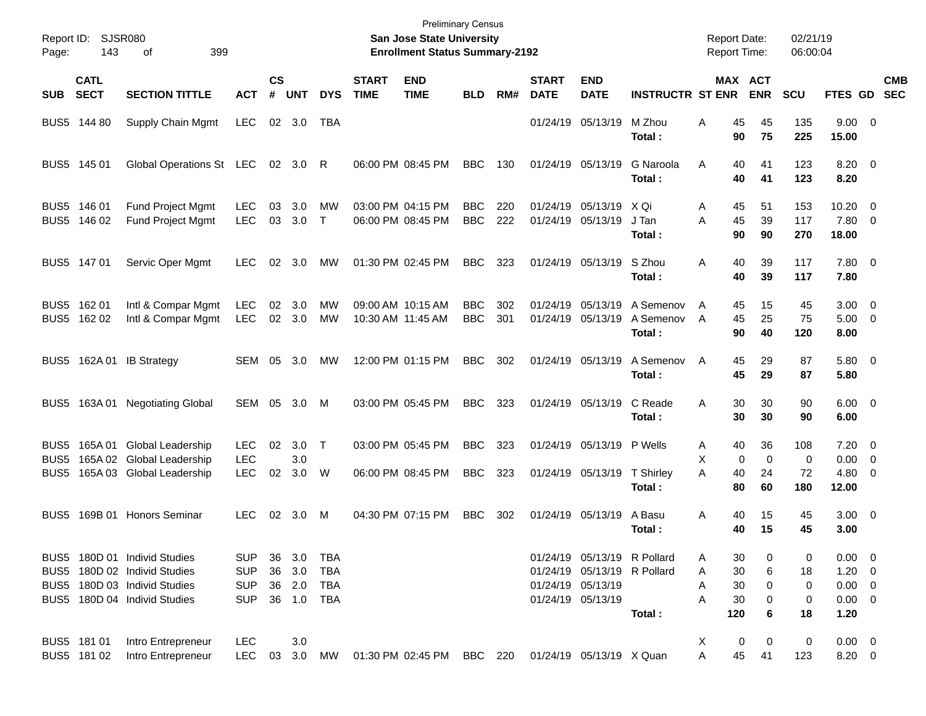| Report ID:<br>Page:      | 143                        | SJSR080<br>399<br>οf                                         |                          |                |               |                          |                             | <b>Preliminary Census</b><br>San Jose State University<br><b>Enrollment Status Summary-2192</b> |                          |            |                             |                                                            |                                  | <b>Report Date:</b><br><b>Report Time:</b> |                              | 02/21/19<br>06:00:04 |                                    |                          |
|--------------------------|----------------------------|--------------------------------------------------------------|--------------------------|----------------|---------------|--------------------------|-----------------------------|-------------------------------------------------------------------------------------------------|--------------------------|------------|-----------------------------|------------------------------------------------------------|----------------------------------|--------------------------------------------|------------------------------|----------------------|------------------------------------|--------------------------|
| <b>SUB</b>               | <b>CATL</b><br><b>SECT</b> | <b>SECTION TITTLE</b>                                        | <b>ACT</b>               | <b>CS</b><br># | <b>UNT</b>    | <b>DYS</b>               | <b>START</b><br><b>TIME</b> | <b>END</b><br><b>TIME</b>                                                                       | <b>BLD</b>               | RM#        | <b>START</b><br><b>DATE</b> | <b>END</b><br><b>DATE</b>                                  | <b>INSTRUCTR ST ENR</b>          |                                            | <b>MAX ACT</b><br><b>ENR</b> | SCU                  | <b>FTES GD</b>                     | <b>CMB</b><br><b>SEC</b> |
| BUS <sub>5</sub>         | 144 80                     | Supply Chain Mgmt                                            | <b>LEC</b>               |                | 02 3.0        | TBA                      |                             |                                                                                                 |                          |            |                             | 01/24/19 05/13/19                                          | M Zhou<br>Total:                 | 45<br>Α<br>90                              | 45<br>75                     | 135<br>225           | $9.00 \t 0$<br>15.00               |                          |
| BUS <sub>5</sub>         | 145 01                     | Global Operations St LEC                                     |                          |                | 02 3.0        | R                        |                             | 06:00 PM 08:45 PM                                                                               | <b>BBC</b>               | 130        |                             | 01/24/19 05/13/19                                          | G Naroola<br>Total:              | A<br>40<br>40                              | 41<br>41                     | 123<br>123           | $8.20 \ 0$<br>8.20                 |                          |
| BUS5<br>BUS <sub>5</sub> | 146 01<br>146 02           | Fund Project Mgmt<br>Fund Project Mgmt                       | <b>LEC</b><br><b>LEC</b> | 03<br>03       | 3.0<br>3.0    | MW<br>$\mathsf{T}$       |                             | 03:00 PM 04:15 PM<br>06:00 PM 08:45 PM                                                          | <b>BBC</b><br><b>BBC</b> | 220<br>222 | 01/24/19<br>01/24/19        | 05/13/19<br>05/13/19                                       | X Qi<br>J Tan<br>Total :         | A<br>45<br>45<br>A<br>90                   | 51<br>39<br>90               | 153<br>117<br>270    | 10.20<br>7.80 0<br>18.00           | - 0                      |
|                          | BUS5 147 01                | Servic Oper Mgmt                                             | <b>LEC</b>               | 02             | 3.0           | MW                       |                             | 01:30 PM 02:45 PM                                                                               | <b>BBC</b>               | 323        |                             | 01/24/19 05/13/19                                          | S Zhou<br>Total:                 | A<br>40<br>40                              | 39<br>39                     | 117<br>117           | $7.80\ 0$<br>7.80                  |                          |
| BUS5                     | 162 01<br>BUS5 162 02      | Intl & Compar Mgmt<br>Intl & Compar Mgmt                     | <b>LEC</b><br><b>LEC</b> | 02<br>02       | 3.0<br>3.0    | MW<br><b>MW</b>          |                             | 09:00 AM 10:15 AM<br>10:30 AM 11:45 AM                                                          | <b>BBC</b><br><b>BBC</b> | 302<br>301 | 01/24/19<br>01/24/19        | 05/13/19<br>05/13/19                                       | A Semenov<br>A Semenov<br>Total: | A<br>45<br>45<br>A<br>90                   | 15<br>25<br>40               | 45<br>75<br>120      | $3.00 \ 0$<br>$5.00 \t 0$<br>8.00  |                          |
| BUS5                     |                            | 162A 01 IB Strategy                                          | SEM 05                   |                | 3.0           | МW                       |                             | 12:00 PM 01:15 PM                                                                               | <b>BBC</b>               | 302        |                             | 01/24/19 05/13/19                                          | A Semenov<br>Total:              | 45<br>A<br>45                              | 29<br>29                     | 87<br>87             | $5.80\ 0$<br>5.80                  |                          |
| BUS5                     |                            | 163A 01 Negotiating Global                                   | SEM 05                   |                | 3.0           | м                        |                             | 03:00 PM 05:45 PM                                                                               | <b>BBC</b>               | 323        |                             | 01/24/19 05/13/19                                          | C Reade<br>Total:                | 30<br>A<br>30                              | 30<br>30                     | 90<br>90             | $6.00 \quad 0$<br>6.00             |                          |
| BUS5<br>BUS <sub>5</sub> |                            | 165A 01 Global Leadership<br>165A 02 Global Leadership       | <b>LEC</b><br><b>LEC</b> | 02             | 3.0<br>3.0    | $\top$                   |                             | 03:00 PM 05:45 PM                                                                               | <b>BBC</b>               | 323        |                             | 01/24/19 05/13/19 P Wells                                  |                                  | 40<br>A<br>X<br>0                          | 36<br>$\Omega$               | 108<br>$\mathbf 0$   | $7.20 \t 0$<br>0.00                | - 0                      |
| BUS <sub>5</sub>         |                            | 165A 03 Global Leadership                                    | <b>LEC</b>               | 02             | 3.0           | W                        |                             | 06:00 PM 08:45 PM                                                                               | <b>BBC</b>               | 323        |                             | 01/24/19 05/13/19                                          | T Shirley<br>Total:              | A<br>40<br>80                              | 24<br>60                     | 72<br>180            | $4.80\ 0$<br>12.00                 |                          |
| BUS5                     |                            | 169B 01 Honors Seminar                                       | LEC.                     | 02             | 3.0           | м                        |                             | 04:30 PM 07:15 PM                                                                               | <b>BBC</b>               | 302        |                             | 01/24/19 05/13/19                                          | A Basu<br>Total:                 | 40<br>A<br>40                              | 15<br>15                     | 45<br>45             | $3.00 \ 0$<br>3.00                 |                          |
|                          |                            | BUS5 180D 01 Individ Studies<br>BUS5 180D 02 Individ Studies | <b>SUP</b><br><b>SUP</b> | 36<br>36       | 3.0<br>3.0    | <b>TBA</b><br><b>TBA</b> |                             |                                                                                                 |                          |            |                             | 01/24/19 05/13/19 R Pollard<br>01/24/19 05/13/19 R Pollard |                                  | 30<br>A<br>30<br>Α                         | 0<br>6                       | 0<br>18              | $0.00 \t 0$<br>$1.20 \t 0$         |                          |
|                          |                            | BUS5 180D 03 Individ Studies<br>BUS5 180D 04 Individ Studies | <b>SUP</b><br><b>SUP</b> | 36             | 2.0<br>36 1.0 | <b>TBA</b><br>TBA        |                             |                                                                                                 |                          |            |                             | 01/24/19 05/13/19<br>01/24/19 05/13/19                     | Total:                           | 30<br>Α<br>Α<br>30<br>120                  | 0<br>0<br>6                  | 0<br>0<br>18         | $0.00 \t 0$<br>$0.00 \t 0$<br>1.20 |                          |
|                          | BUS5 181 01<br>BUS5 181 02 | Intro Entrepreneur<br>Intro Entrepreneur                     | <b>LEC</b><br><b>LEC</b> | 03             | 3.0<br>3.0    | <b>MW</b>                |                             | 01:30 PM 02:45 PM                                                                               | BBC 220                  |            |                             | 01/24/19 05/13/19 X Quan                                   |                                  | х<br>$\pmb{0}$<br>45<br>Α                  | 0<br>41                      | $\pmb{0}$<br>123     | $0.00 \t 0$<br>8.20 0              |                          |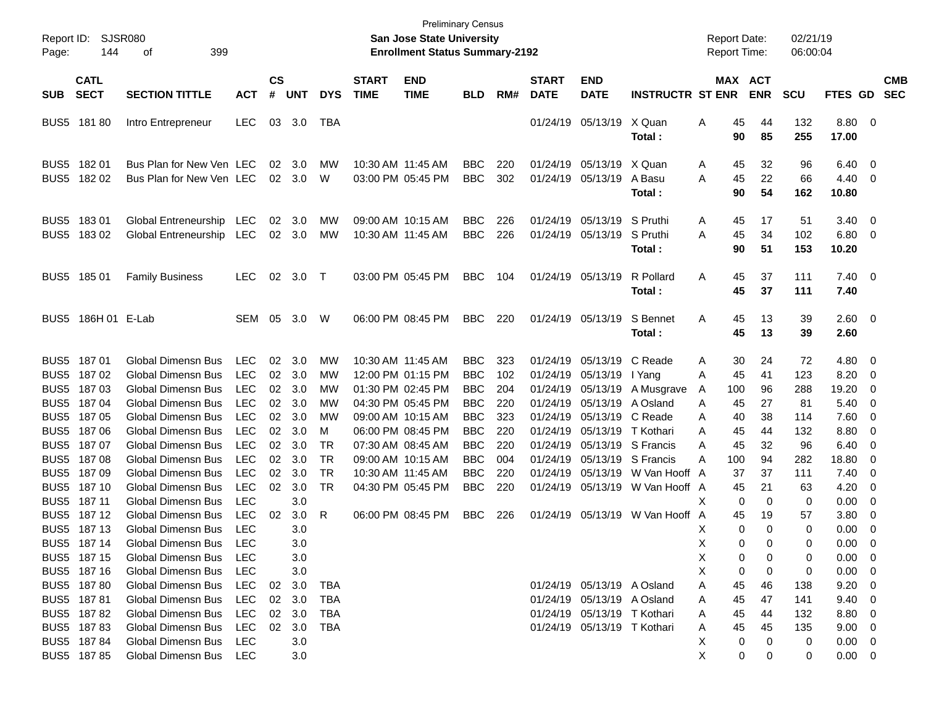| Report ID:<br>Page:      | 144                        | <b>SJSR080</b><br>399<br>οf                            |                          |                    |            |                        |                             | <b>Preliminary Census</b><br>San Jose State University<br><b>Enrollment Status Summary-2192</b> |                          |            |                             |                             |                                |        |                | <b>Report Date:</b><br>Report Time: | 02/21/19<br>06:00:04 |                       |                          |                          |
|--------------------------|----------------------------|--------------------------------------------------------|--------------------------|--------------------|------------|------------------------|-----------------------------|-------------------------------------------------------------------------------------------------|--------------------------|------------|-----------------------------|-----------------------------|--------------------------------|--------|----------------|-------------------------------------|----------------------|-----------------------|--------------------------|--------------------------|
| <b>SUB</b>               | <b>CATL</b><br><b>SECT</b> | <b>SECTION TITTLE</b>                                  | <b>ACT</b>               | $\mathsf{cs}$<br># | <b>UNT</b> | <b>DYS</b>             | <b>START</b><br><b>TIME</b> | <b>END</b><br><b>TIME</b>                                                                       | <b>BLD</b>               | RM#        | <b>START</b><br><b>DATE</b> | <b>END</b><br><b>DATE</b>   | <b>INSTRUCTR ST ENR</b>        |        |                | MAX ACT<br><b>ENR</b>               | <b>SCU</b>           | <b>FTES GD</b>        |                          | <b>CMB</b><br><b>SEC</b> |
| BUS <sub>5</sub>         | 18180                      | Intro Entrepreneur                                     | <b>LEC</b>               | 03                 | 3.0        | TBA                    |                             |                                                                                                 |                          |            | 01/24/19                    | 05/13/19                    | X Quan<br>Total:               | Α      | 45<br>90       | 44<br>85                            | 132<br>255           | 8.80<br>17.00         | - 0                      |                          |
| BUS5<br>BUS <sub>5</sub> | 18201<br>18202             | Bus Plan for New Ven LEC<br>Bus Plan for New Ven LEC   |                          | 02<br>02           | 3.0<br>3.0 | MW<br>W                |                             | 10:30 AM 11:45 AM<br>03:00 PM 05:45 PM                                                          | <b>BBC</b><br><b>BBC</b> | 220<br>302 | 01/24/19<br>01/24/19        | 05/13/19 X Quan<br>05/13/19 | A Basu<br>Total:               | A<br>A | 45<br>45<br>90 | 32<br>22<br>54                      | 96<br>66<br>162      | 6.40<br>4.40<br>10.80 | - 0<br>0                 |                          |
| BUS5<br>BUS <sub>5</sub> | 18301<br>18302             | Global Entreneurship LEC<br>Global Entreneurship LEC   |                          | 02<br>02           | 3.0<br>3.0 | MW<br>MW               | 10:30 AM 11:45 AM           | 09:00 AM 10:15 AM                                                                               | <b>BBC</b><br><b>BBC</b> | 226<br>226 | 01/24/19<br>01/24/19        | 05/13/19<br>05/13/19        | S Pruthi<br>S Pruthi<br>Total: | A<br>A | 45<br>45<br>90 | 17<br>34<br>51                      | 51<br>102<br>153     | 3.40<br>6.80<br>10.20 | - 0<br>0                 |                          |
| BUS <sub>5</sub>         | 18501                      | <b>Family Business</b>                                 | <b>LEC</b>               | 02                 | 3.0        | $\top$                 |                             | 03:00 PM 05:45 PM                                                                               | <b>BBC</b>               | 104        |                             | 01/24/19 05/13/19           | R Pollard<br>Total:            | Α      | 45<br>45       | 37<br>37                            | 111<br>111           | 7.40<br>7.40          | $\overline{\phantom{0}}$ |                          |
| BUS <sub>5</sub>         | 186H 01 E-Lab              |                                                        | SEM                      | 05                 | 3.0        | W                      |                             | 06:00 PM 08:45 PM                                                                               | <b>BBC</b>               | 220        |                             | 01/24/19 05/13/19           | S Bennet<br>Total:             | A      | 45<br>45       | 13<br>13                            | 39<br>39             | $2.60 \ 0$<br>2.60    |                          |                          |
| BUS5                     | 18701                      | <b>Global Dimensn Bus</b>                              | <b>LEC</b>               | 02                 | 3.0        | MW                     |                             | 10:30 AM 11:45 AM                                                                               | <b>BBC</b>               | 323        | 01/24/19                    | 05/13/19                    | C Reade                        | A      | 30             | 24                                  | 72                   | 4.80                  | - 0                      |                          |
| BUS5                     | 18702                      | <b>Global Dimensn Bus</b>                              | <b>LEC</b>               | 02                 | 3.0        | МW                     |                             | 12:00 PM 01:15 PM                                                                               | <b>BBC</b>               | 102        | 01/24/19                    | 05/13/19                    | I Yang                         | A      | 45             | 41                                  | 123                  | 8.20                  | 0                        |                          |
| BUS5                     | 18703                      | <b>Global Dimensn Bus</b>                              | <b>LEC</b>               | 02                 | 3.0        | МW                     |                             | 01:30 PM 02:45 PM                                                                               | <b>BBC</b>               | 204        | 01/24/19                    | 05/13/19                    | A Musgrave                     | A      | 100            | 96                                  | 288                  | 19.20                 | 0                        |                          |
| BUS5                     | 18704                      | <b>Global Dimensn Bus</b>                              | <b>LEC</b>               | 02                 | 3.0        | МW                     |                             | 04:30 PM 05:45 PM                                                                               | <b>BBC</b>               | 220        | 01/24/19                    | 05/13/19                    | A Osland                       | A      | 45             | 27                                  | 81                   | 5.40                  | 0                        |                          |
| BUS5                     | 18705                      | <b>Global Dimensn Bus</b>                              | <b>LEC</b>               | 02                 | 3.0        | МW                     |                             | 09:00 AM 10:15 AM                                                                               | <b>BBC</b>               | 323        | 01/24/19                    | 05/13/19                    | C Reade                        | A      | 40             | 38                                  | 114                  | 7.60                  | 0                        |                          |
| BUS5                     | 18706                      | <b>Global Dimensn Bus</b>                              | <b>LEC</b>               | 02                 | 3.0        | м                      |                             | 06:00 PM 08:45 PM                                                                               | <b>BBC</b>               | 220        | 01/24/19                    | 05/13/19                    | T Kothari                      | A      | 45             | 44                                  | 132                  | 8.80                  | 0                        |                          |
| BUS5                     | 18707                      | <b>Global Dimensn Bus</b>                              | <b>LEC</b>               | 02                 | 3.0        | TR                     |                             | 07:30 AM 08:45 AM                                                                               | <b>BBC</b>               | 220        | 01/24/19                    |                             | 05/13/19 S Francis             | A      | 45             | 32                                  | 96                   | 6.40                  | 0                        |                          |
| BUS5                     | 18708                      | <b>Global Dimensn Bus</b>                              | <b>LEC</b>               | 02                 | 3.0        | <b>TR</b>              |                             | 09:00 AM 10:15 AM                                                                               | <b>BBC</b>               | 004        | 01/24/19                    |                             | 05/13/19 S Francis             | A      | 100            | 94                                  | 282                  | 18.80                 | 0                        |                          |
| BUS5                     | 18709                      | <b>Global Dimensn Bus</b><br><b>Global Dimensn Bus</b> | <b>LEC</b><br><b>LEC</b> | 02                 | 3.0        | <b>TR</b><br><b>TR</b> |                             | 10:30 AM 11:45 AM                                                                               | <b>BBC</b>               | 220        | 01/24/19                    | 05/13/19                    | W Van Hooff A                  |        | 37             | 37                                  | 111                  | 7.40                  | 0                        |                          |
| BUS5<br>BUS5             | 187 10<br>187 11           | <b>Global Dimensn Bus</b>                              | <b>LEC</b>               | 02                 | 3.0<br>3.0 |                        |                             | 04:30 PM 05:45 PM                                                                               | <b>BBC</b>               | 220        | 01/24/19                    |                             | 05/13/19 W Van Hooff A         | X      | 45<br>0        | 21<br>0                             | 63<br>0              | 4.20<br>0.00          | 0<br>0                   |                          |
| BUS <sub>5</sub>         | 187 12                     | <b>Global Dimensn Bus</b>                              | <b>LEC</b>               | 02                 | 3.0        | R                      |                             | 06:00 PM 08:45 PM                                                                               | <b>BBC</b>               | 226        | 01/24/19                    | 05/13/19                    | W Van Hooff A                  |        | 45             | 19                                  | 57                   | 3.80                  | 0                        |                          |
| BUS <sub>5</sub>         | 187 13                     | <b>Global Dimensn Bus</b>                              | <b>LEC</b>               |                    | 3.0        |                        |                             |                                                                                                 |                          |            |                             |                             |                                | Χ      | 0              | 0                                   | 0                    | 0.00                  | 0                        |                          |
|                          | BUS5 187 14                | Global Dimensn Bus                                     | LEC                      |                    | 3.0        |                        |                             |                                                                                                 |                          |            |                             |                             |                                | х      | 0              | 0                                   | 0                    | 0.00                  | 0                        |                          |
|                          | BUS5 187 15                | Global Dimensn Bus                                     | LEC                      |                    | 3.0        |                        |                             |                                                                                                 |                          |            |                             |                             |                                | Χ      | 0              | 0                                   | 0                    | 0.00                  | - 0                      |                          |
|                          | BUS5 187 16                | Global Dimensn Bus                                     | <b>LEC</b>               |                    | 3.0        |                        |                             |                                                                                                 |                          |            |                             |                             |                                | х      | 0              | 0                                   | 0                    | 0.00                  | - 0                      |                          |
|                          | BUS5 187 80                | Global Dimensn Bus                                     | <b>LEC</b>               | 02                 | 3.0        | TBA                    |                             |                                                                                                 |                          |            |                             | 01/24/19 05/13/19 A Osland  |                                | Α      | 45             | 46                                  | 138                  | 9.20                  | - 0                      |                          |
|                          | BUS5 18781                 | Global Dimensn Bus                                     | LEC                      | 02                 | 3.0        | TBA                    |                             |                                                                                                 |                          |            |                             | 01/24/19 05/13/19 A Osland  |                                | A      | 45             | 47                                  | 141                  | 9.40                  | - 0                      |                          |
|                          | BUS5 18782                 | Global Dimensn Bus                                     | LEC                      | 02                 | 3.0        | TBA                    |                             |                                                                                                 |                          |            |                             | 01/24/19 05/13/19 T Kothari |                                | A      | 45             | 44                                  | 132                  | 8.80                  | - 0                      |                          |
|                          | BUS5 18783                 | Global Dimensn Bus                                     | <b>LEC</b>               | 02                 | 3.0        | TBA                    |                             |                                                                                                 |                          |            |                             | 01/24/19 05/13/19 T Kothari |                                | A      | 45             | 45                                  | 135                  | 9.00                  | - 0                      |                          |
|                          | BUS5 187 84                | Global Dimensn Bus                                     | <b>LEC</b>               |                    | 3.0        |                        |                             |                                                                                                 |                          |            |                             |                             |                                | х      | 0              | 0                                   | 0                    | $0.00 \t 0$           |                          |                          |
|                          | BUS5 187 85                | Global Dimensn Bus                                     | LEC                      |                    | 3.0        |                        |                             |                                                                                                 |                          |            |                             |                             |                                | X      | 0              | 0                                   | 0                    | $0.00 \t 0$           |                          |                          |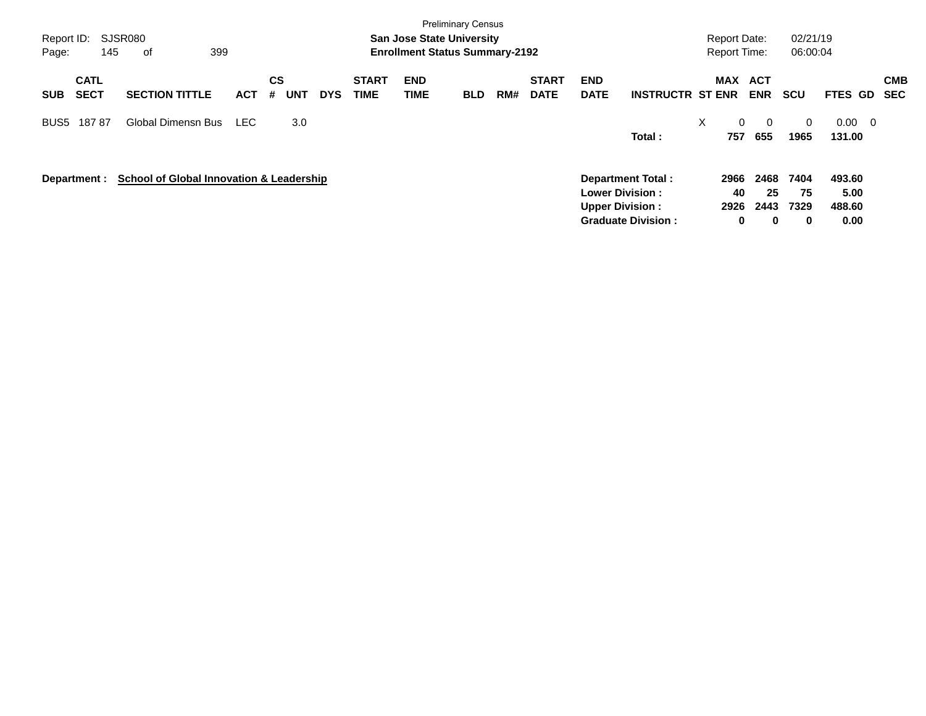| Report ID:<br>145<br>Page:               | SJSR080<br>399<br>of                                |            |                              |            |                             | <b>San Jose State University</b><br><b>Enrollment Status Summary-2192</b> | <b>Preliminary Census</b> |     |                             |                                                  |                                                       | <b>Report Date:</b><br><b>Report Time:</b> |                         | 02/21/19<br>06:00:04           |                                            |                          |
|------------------------------------------|-----------------------------------------------------|------------|------------------------------|------------|-----------------------------|---------------------------------------------------------------------------|---------------------------|-----|-----------------------------|--------------------------------------------------|-------------------------------------------------------|--------------------------------------------|-------------------------|--------------------------------|--------------------------------------------|--------------------------|
| <b>CATL</b><br><b>SECT</b><br><b>SUB</b> | <b>SECTION TITTLE</b>                               | <b>ACT</b> | <b>CS</b><br><b>UNT</b><br># | <b>DYS</b> | <b>START</b><br><b>TIME</b> | <b>END</b><br>TIME                                                        | <b>BLD</b>                | RM# | <b>START</b><br><b>DATE</b> | <b>END</b><br><b>DATE</b>                        | <b>INSTRUCTR ST ENR</b>                               | MAX                                        | ACT<br><b>ENR</b>       | <b>SCU</b>                     | <b>FTES GD</b>                             | <b>CMB</b><br><b>SEC</b> |
| 18787<br>BUS <sub>5</sub>                | Global Dimensn Bus                                  | <b>LEC</b> | 3.0                          |            |                             |                                                                           |                           |     |                             |                                                  | Total:                                                | X<br>$\mathbf{0}$<br>757                   | $\Omega$<br>655         | $\Omega$<br>1965               | 0.00<br>$\overline{\phantom{0}}$<br>131.00 |                          |
| Department :                             | <b>School of Global Innovation &amp; Leadership</b> |            |                              |            |                             |                                                                           |                           |     |                             | <b>Lower Division:</b><br><b>Upper Division:</b> | <b>Department Total:</b><br><b>Graduate Division:</b> | 2966<br>40<br>2926<br>$\mathbf 0$          | 2468<br>25<br>2443<br>0 | 7404<br>75<br>7329<br>$\bf{0}$ | 493.60<br>5.00<br>488.60<br>0.00           |                          |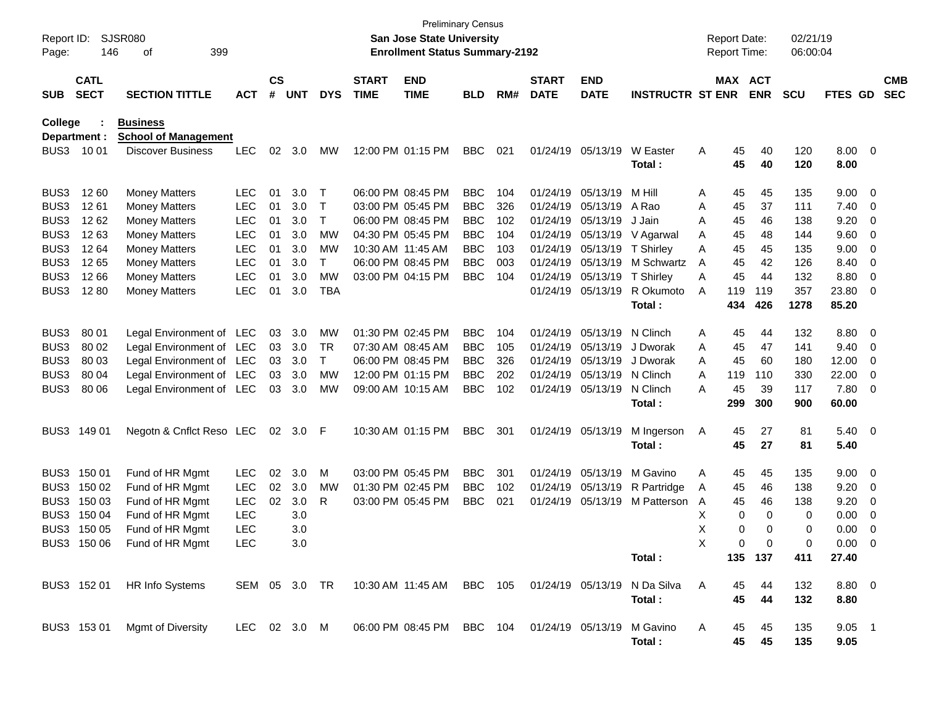| Report ID:<br>Page: | 146                        | <b>SJSR080</b><br>399<br>οf                    |              |                    |            |            |                             | <b>Preliminary Census</b><br><b>San Jose State University</b><br><b>Enrollment Status Summary-2192</b> |            |     |                             |                           |                         |   | <b>Report Date:</b><br><b>Report Time:</b> |            | 02/21/19<br>06:00:04 |                |                          |                          |
|---------------------|----------------------------|------------------------------------------------|--------------|--------------------|------------|------------|-----------------------------|--------------------------------------------------------------------------------------------------------|------------|-----|-----------------------------|---------------------------|-------------------------|---|--------------------------------------------|------------|----------------------|----------------|--------------------------|--------------------------|
| <b>SUB</b>          | <b>CATL</b><br><b>SECT</b> | <b>SECTION TITTLE</b>                          | <b>ACT</b>   | $\mathsf{cs}$<br># | <b>UNT</b> | <b>DYS</b> | <b>START</b><br><b>TIME</b> | <b>END</b><br><b>TIME</b>                                                                              | <b>BLD</b> | RM# | <b>START</b><br><b>DATE</b> | <b>END</b><br><b>DATE</b> | <b>INSTRUCTR ST ENR</b> |   | MAX ACT                                    | <b>ENR</b> | <b>SCU</b>           | FTES GD        |                          | <b>CMB</b><br><b>SEC</b> |
| College             | Department :               | <b>Business</b><br><b>School of Management</b> |              |                    |            |            |                             |                                                                                                        |            |     |                             |                           |                         |   |                                            |            |                      |                |                          |                          |
| BUS3                | 10 01                      | <b>Discover Business</b>                       | <b>LEC</b>   | 02                 | 3.0        | MW         |                             | 12:00 PM 01:15 PM                                                                                      | <b>BBC</b> | 021 |                             | 01/24/19 05/13/19         | W Easter                | Α | 45                                         | 40         | 120                  | $8.00 \t 0$    |                          |                          |
|                     |                            |                                                |              |                    |            |            |                             |                                                                                                        |            |     |                             |                           | Total:                  |   | 45                                         | 40         | 120                  | 8.00           |                          |                          |
| BUS3                | 12 60                      | <b>Money Matters</b>                           | <b>LEC</b>   | 01                 | 3.0        | Т          |                             | 06:00 PM 08:45 PM                                                                                      | <b>BBC</b> | 104 |                             | 01/24/19 05/13/19         | M Hill                  | A | 45                                         | 45         | 135                  | 9.00           | $\overline{\mathbf{0}}$  |                          |
| BUS3                | 1261                       | <b>Money Matters</b>                           | <b>LEC</b>   | 01                 | 3.0        | Т          |                             | 03:00 PM 05:45 PM                                                                                      | <b>BBC</b> | 326 | 01/24/19                    | 05/13/19                  | A Rao                   | Α | 45                                         | 37         | 111                  | 7.40           | $\overline{\mathbf{0}}$  |                          |
| BUS3                | 1262                       | <b>Money Matters</b>                           | LEC          | 01                 | 3.0        | Т          |                             | 06:00 PM 08:45 PM                                                                                      | <b>BBC</b> | 102 |                             | 01/24/19 05/13/19         | J Jain                  | Α | 45                                         | 46         | 138                  | 9.20           | 0                        |                          |
| BUS3                | 1263                       | <b>Money Matters</b>                           | LEC          | 01                 | 3.0        | <b>MW</b>  |                             | 04:30 PM 05:45 PM                                                                                      | <b>BBC</b> | 104 |                             | 01/24/19 05/13/19         | V Agarwal               | Α | 45                                         | 48         | 144                  | 9.60           | 0                        |                          |
| BUS3                | 1264                       | <b>Money Matters</b>                           | LEC          | 01                 | 3.0        | МW         | 10:30 AM 11:45 AM           |                                                                                                        | <b>BBC</b> | 103 |                             | 01/24/19 05/13/19         | T Shirley               | Α | 45                                         | 45         | 135                  | 9.00           | 0                        |                          |
| BUS3                | 1265                       | <b>Money Matters</b>                           | LEC          | 01                 | 3.0        | Т          |                             | 06:00 PM 08:45 PM                                                                                      | <b>BBC</b> | 003 |                             | 01/24/19 05/13/19         | M Schwartz              | A | 45                                         | 42         | 126                  | 8.40           | 0                        |                          |
| BUS3                | 1266                       | <b>Money Matters</b>                           | <b>LEC</b>   | 01                 | 3.0        | <b>MW</b>  |                             | 03:00 PM 04:15 PM                                                                                      | <b>BBC</b> | 104 |                             | 01/24/19 05/13/19         | T Shirley               | Α | 45                                         | 44         | 132                  | 8.80           | 0                        |                          |
| BUS3                | 1280                       | <b>Money Matters</b>                           | LEC          | 01                 | 3.0        | <b>TBA</b> |                             |                                                                                                        |            |     |                             | 01/24/19 05/13/19         | R Okumoto               | A | 119                                        | 119        | 357                  | 23.80          | - 0                      |                          |
|                     |                            |                                                |              |                    |            |            |                             |                                                                                                        |            |     |                             |                           | Total:                  |   | 434                                        | 426        | 1278                 | 85.20          |                          |                          |
| BUS3                | 80 01                      | Legal Environment of LEC                       |              | 03                 | 3.0        | MW         |                             | 01:30 PM 02:45 PM                                                                                      | <b>BBC</b> | 104 |                             | 01/24/19 05/13/19         | N Clinch                | A | 45                                         | 44         | 132                  | 8.80           | $\overline{\phantom{0}}$ |                          |
| BUS3                | 80 02                      | Legal Environment of LEC                       |              | 03                 | 3.0        | TR         |                             | 07:30 AM 08:45 AM                                                                                      | <b>BBC</b> | 105 |                             | 01/24/19 05/13/19         | J Dworak                | Α | 45                                         | 47         | 141                  | 9.40           | - 0                      |                          |
| BUS3                | 80 03                      | Legal Environment of LEC                       |              | 03                 | 3.0        | Τ          |                             | 06:00 PM 08:45 PM                                                                                      | <b>BBC</b> | 326 |                             | 01/24/19 05/13/19         | J Dworak                | A | 45                                         | 60         | 180                  | 12.00          | $\overline{0}$           |                          |
| BUS3                | 80 04                      | Legal Environment of LEC                       |              | 03                 | 3.0        | МW         |                             | 12:00 PM 01:15 PM                                                                                      | <b>BBC</b> | 202 |                             | 01/24/19 05/13/19         | N Clinch                | A | 119                                        | 110        | 330                  | 22.00          | 0                        |                          |
| BUS3                | 80 06                      | Legal Environment of LEC                       |              | 03                 | 3.0        | MW         |                             | 09:00 AM 10:15 AM                                                                                      | <b>BBC</b> | 102 |                             | 01/24/19 05/13/19         | N Clinch                | A | 45                                         | 39         | 117                  | 7.80           | $\overline{0}$           |                          |
|                     |                            |                                                |              |                    |            |            |                             |                                                                                                        |            |     |                             |                           | Total:                  |   | 299                                        | 300        | 900                  | 60.00          |                          |                          |
| BUS3                | 149 01                     | Negotn & Cnflct Reso LEC                       |              |                    | 02 3.0     | -F         |                             | 10:30 AM 01:15 PM                                                                                      | <b>BBC</b> | 301 |                             | 01/24/19 05/13/19         | M Ingerson              | A | 45                                         | 27         | 81                   | $5.40 \quad 0$ |                          |                          |
|                     |                            |                                                |              |                    |            |            |                             |                                                                                                        |            |     |                             |                           | Total:                  |   | 45                                         | 27         | 81                   | 5.40           |                          |                          |
| BUS3                | 150 01                     | Fund of HR Mgmt                                | <b>LEC</b>   | 02                 | 3.0        | м          |                             | 03:00 PM 05:45 PM                                                                                      | <b>BBC</b> | 301 |                             | 01/24/19 05/13/19         | M Gavino                | Α | 45                                         | 45         | 135                  | 9.00           | $\overline{\phantom{0}}$ |                          |
| BUS3                | 150 02                     | Fund of HR Mgmt                                | <b>LEC</b>   | 02                 | 3.0        | MW         |                             | 01:30 PM 02:45 PM                                                                                      | <b>BBC</b> | 102 |                             | 01/24/19 05/13/19         | R Partridge             | A | 45                                         | 46         | 138                  | 9.20           | 0                        |                          |
| BUS3                | 150 03                     | Fund of HR Mgmt                                | LEC          | 02                 | 3.0        | R          |                             | 03:00 PM 05:45 PM                                                                                      | <b>BBC</b> | 021 |                             | 01/24/19 05/13/19         | M Patterson             | A | 45                                         | 46         | 138                  | 9.20           | 0                        |                          |
| BUS3                | 150 04                     | Fund of HR Mgmt                                | <b>LEC</b>   |                    | 3.0        |            |                             |                                                                                                        |            |     |                             |                           |                         | х | 0                                          | 0          | 0                    | 0.00           | 0                        |                          |
| BUS3                | 150 05                     | Fund of HR Mgmt                                | <b>LEC</b>   |                    | 3.0        |            |                             |                                                                                                        |            |     |                             |                           |                         | х | 0                                          | 0          | 0                    | 0.00           | 0                        |                          |
|                     | BUS3 150 06                | Fund of HR Mgmt                                | <b>LEC</b>   |                    | 3.0        |            |                             |                                                                                                        |            |     |                             |                           |                         | X | $\Omega$                                   | 0          | 0                    | 0.00           | $\Omega$                 |                          |
|                     |                            |                                                |              |                    |            |            |                             |                                                                                                        |            |     |                             |                           | Total :                 |   |                                            | 135 137    | 411                  | 27.40          |                          |                          |
|                     | BUS3 152 01                | HR Info Systems                                |              |                    |            |            |                             | SEM 05 3.0 TR 10:30 AM 11:45 AM BBC 105 01/24/19 05/13/19                                              |            |     |                             |                           | N Da Silva              | A | 45                                         | 44         | 132                  | 8.80 0         |                          |                          |
|                     |                            |                                                |              |                    |            |            |                             |                                                                                                        |            |     |                             |                           | Total:                  |   | 45                                         | 44         | 132                  | 8.80           |                          |                          |
|                     | BUS3 153 01                | <b>Mgmt of Diversity</b>                       | LEC 02 3.0 M |                    |            |            |                             | 06:00 PM 08:45 PM BBC 104 01/24/19 05/13/19                                                            |            |     |                             |                           | M Gavino                | A | 45                                         | 45         | 135                  | $9.05$ 1       |                          |                          |
|                     |                            |                                                |              |                    |            |            |                             |                                                                                                        |            |     |                             |                           | Total:                  |   | 45                                         | 45         | 135                  | 9.05           |                          |                          |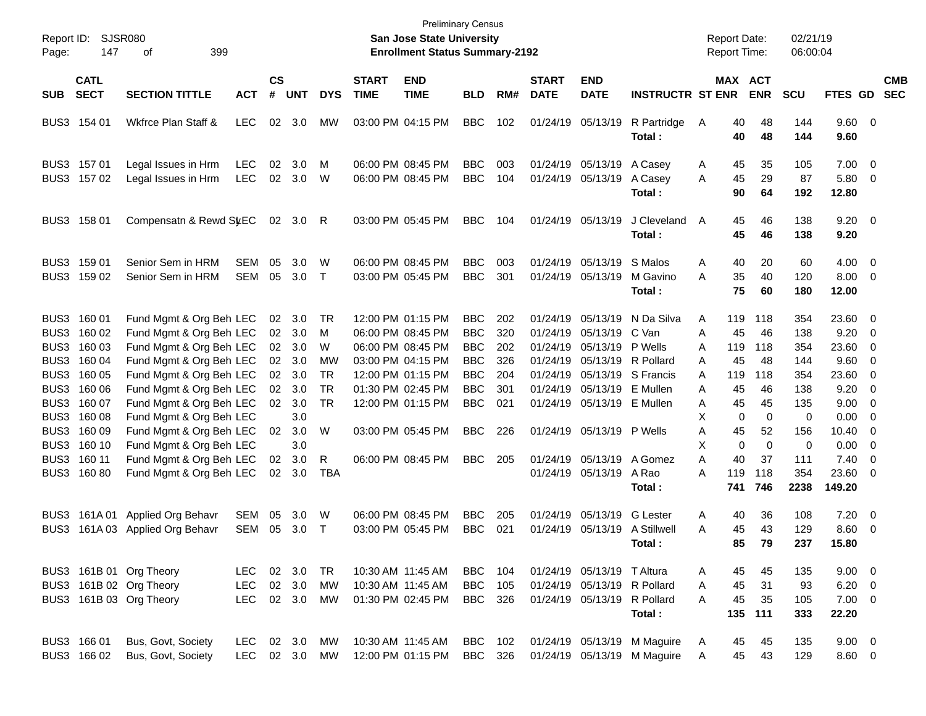| Report ID:<br>Page:                                                                          | <b>SJSR080</b><br>147                                                                                               | 399<br>οf                                                                                                                                                                                                                                                                                                                        |                                  |                                                          |                                                                                  |                                                                            |                           | <b>Preliminary Census</b><br>San Jose State University<br><b>Enrollment Status Summary-2192</b>                                                                                           |                                                                                                                            |                                                             |                           |                                                                                                                                                                                                                      |                                                                                                         | <b>Report Date:</b><br>Report Time:                              |                                                                        |                                                                                                | 02/21/19<br>06:00:04                                                                 |                                                                                                                                     |                                                                                                                                                                     |  |
|----------------------------------------------------------------------------------------------|---------------------------------------------------------------------------------------------------------------------|----------------------------------------------------------------------------------------------------------------------------------------------------------------------------------------------------------------------------------------------------------------------------------------------------------------------------------|----------------------------------|----------------------------------------------------------|----------------------------------------------------------------------------------|----------------------------------------------------------------------------|---------------------------|-------------------------------------------------------------------------------------------------------------------------------------------------------------------------------------------|----------------------------------------------------------------------------------------------------------------------------|-------------------------------------------------------------|---------------------------|----------------------------------------------------------------------------------------------------------------------------------------------------------------------------------------------------------------------|---------------------------------------------------------------------------------------------------------|------------------------------------------------------------------|------------------------------------------------------------------------|------------------------------------------------------------------------------------------------|--------------------------------------------------------------------------------------|-------------------------------------------------------------------------------------------------------------------------------------|---------------------------------------------------------------------------------------------------------------------------------------------------------------------|--|
| <b>SUB</b>                                                                                   | <b>CATL</b><br><b>SECT</b>                                                                                          | <b>ACT</b>                                                                                                                                                                                                                                                                                                                       | $\mathsf{cs}$<br>#               | <b>UNT</b>                                               | <b>DYS</b>                                                                       | <b>START</b><br><b>TIME</b>                                                | <b>END</b><br><b>TIME</b> | <b>BLD</b>                                                                                                                                                                                | RM#                                                                                                                        | <b>START</b><br><b>DATE</b>                                 | <b>END</b><br><b>DATE</b> | <b>INSTRUCTR ST ENR</b>                                                                                                                                                                                              |                                                                                                         | MAX ACT<br><b>ENR</b>                                            |                                                                        | <b>SCU</b>                                                                                     | <b>FTES GD</b>                                                                       |                                                                                                                                     | <b>CMB</b><br><b>SEC</b>                                                                                                                                            |  |
|                                                                                              | BUS3 154 01                                                                                                         | Wkfrce Plan Staff &                                                                                                                                                                                                                                                                                                              | <b>LEC</b>                       | 02                                                       | 3.0                                                                              | MW                                                                         |                           | 03:00 PM 04:15 PM                                                                                                                                                                         | <b>BBC</b>                                                                                                                 | 102                                                         |                           | 01/24/19 05/13/19                                                                                                                                                                                                    | R Partridge<br>Total:                                                                                   | A                                                                | 40<br>40                                                               | 48<br>48                                                                                       | 144<br>144                                                                           | 9.60 0<br>9.60                                                                                                                      |                                                                                                                                                                     |  |
|                                                                                              | BUS3 157 01<br>BUS3 157 02                                                                                          | Legal Issues in Hrm<br>Legal Issues in Hrm                                                                                                                                                                                                                                                                                       | <b>LEC</b><br><b>LEC</b>         | 02<br>02                                                 | 3.0<br>3.0                                                                       | M<br>W                                                                     |                           | 06:00 PM 08:45 PM<br>06:00 PM 08:45 PM                                                                                                                                                    | <b>BBC</b><br><b>BBC</b>                                                                                                   | 003<br>104                                                  |                           | 01/24/19 05/13/19<br>01/24/19 05/13/19                                                                                                                                                                               | A Casey<br>A Casey<br>Total:                                                                            | A<br>A                                                           | 45<br>45<br>90                                                         | 35<br>29<br>64                                                                                 | 105<br>87<br>192                                                                     | $7.00 \t 0$<br>5.80 0<br>12.80                                                                                                      |                                                                                                                                                                     |  |
| BUS3                                                                                         | 158 01                                                                                                              | Compensatn & Rewd SyEC                                                                                                                                                                                                                                                                                                           |                                  | 02                                                       | 3.0                                                                              | R                                                                          |                           | 03:00 PM 05:45 PM                                                                                                                                                                         | <b>BBC</b>                                                                                                                 | 104                                                         |                           | 01/24/19 05/13/19                                                                                                                                                                                                    | J Cleveland<br>Total:                                                                                   | A                                                                | 45<br>45                                                               | 46<br>46                                                                                       | 138<br>138                                                                           | $9.20 \ 0$<br>9.20                                                                                                                  |                                                                                                                                                                     |  |
| BUS3<br>BUS3                                                                                 | 159 01<br>159 02                                                                                                    | Senior Sem in HRM<br>Senior Sem in HRM                                                                                                                                                                                                                                                                                           | <b>SEM</b><br><b>SEM</b>         | 05<br>05                                                 | 3.0<br>3.0                                                                       | W<br>$\top$                                                                |                           | 06:00 PM 08:45 PM<br>03:00 PM 05:45 PM                                                                                                                                                    | <b>BBC</b><br><b>BBC</b>                                                                                                   | 003<br>301                                                  |                           | 01/24/19 05/13/19<br>01/24/19 05/13/19                                                                                                                                                                               | S Malos<br>M Gavino<br>Total:                                                                           | Α<br>Α                                                           | 40<br>35<br>75                                                         | 20<br>40<br>60                                                                                 | 60<br>120<br>180                                                                     | $4.00 \ 0$<br>$8.00 \t 0$<br>12.00                                                                                                  |                                                                                                                                                                     |  |
| BUS3<br>BUS3<br>BUS3<br>BUS3<br>BUS3<br>BUS3<br>BUS3<br>BUS3<br>BUS3<br>BUS3<br>BUS3<br>BUS3 | 160 01<br>160 02<br>160 03<br>160 04<br>160 05<br>160 06<br>160 07<br>160 08<br>160 09<br>160 10<br>160 11<br>16080 | Fund Mgmt & Org Beh LEC<br>Fund Mgmt & Org Beh LEC<br>Fund Mgmt & Org Beh LEC<br>Fund Mgmt & Org Beh LEC<br>Fund Mgmt & Org Beh LEC<br>Fund Mgmt & Org Beh LEC<br>Fund Mgmt & Org Beh LEC<br>Fund Mgmt & Org Beh LEC<br>Fund Mgmt & Org Beh LEC<br>Fund Mgmt & Org Beh LEC<br>Fund Mgmt & Org Beh LEC<br>Fund Mgmt & Org Beh LEC |                                  | 02<br>02<br>02<br>02<br>02<br>02<br>02<br>02<br>02<br>02 | 3.0<br>3.0<br>3.0<br>3.0<br>3.0<br>3.0<br>3.0<br>3.0<br>3.0<br>3.0<br>3.0<br>3.0 | TR<br>М<br>W<br>MW<br><b>TR</b><br><b>TR</b><br><b>TR</b><br>W<br>R<br>TBA |                           | 12:00 PM 01:15 PM<br>06:00 PM 08:45 PM<br>06:00 PM 08:45 PM<br>03:00 PM 04:15 PM<br>12:00 PM 01:15 PM<br>01:30 PM 02:45 PM<br>12:00 PM 01:15 PM<br>03:00 PM 05:45 PM<br>06:00 PM 08:45 PM | <b>BBC</b><br><b>BBC</b><br><b>BBC</b><br><b>BBC</b><br><b>BBC</b><br><b>BBC</b><br><b>BBC</b><br><b>BBC</b><br><b>BBC</b> | 202<br>320<br>202<br>326<br>204<br>301<br>021<br>226<br>205 |                           | 01/24/19 05/13/19<br>01/24/19 05/13/19<br>01/24/19 05/13/19<br>01/24/19 05/13/19 R Pollard<br>01/24/19 05/13/19<br>01/24/19 05/13/19 E Mullen<br>01/24/19 05/13/19 P Wells<br>01/24/19 05/13/19<br>01/24/19 05/13/19 | N Da Silva<br>C Van<br>P Wells<br>01/24/19 05/13/19 S Francis<br>E Mullen<br>A Gomez<br>A Rao<br>Total: | Α<br>A<br>A<br>A<br>A<br>Α<br>A<br>X.<br>A<br>X<br>A<br>A<br>741 | 119<br>45<br>119<br>45<br>119<br>45<br>45<br>0<br>45<br>0<br>40<br>119 | 118<br>46<br>118<br>48<br>118<br>46<br>45<br>$\mathbf 0$<br>52<br>$\Omega$<br>37<br>118<br>746 | 354<br>138<br>354<br>144<br>354<br>138<br>135<br>0<br>156<br>0<br>111<br>354<br>2238 | 23.60 0<br>$9.20 \ 0$<br>23.60 0<br>$9.60 \quad 0$<br>23.60 0<br>9.20<br>9.00<br>0.00<br>10.40<br>0.00<br>7.40<br>23.60 0<br>149.20 | $\overline{\phantom{0}}$<br>$\overline{\phantom{0}}$<br>$\overline{\mathbf{0}}$<br>$\overline{\phantom{0}}$<br>$\overline{\phantom{0}}$<br>$\overline{\phantom{0}}$ |  |
| BUS3<br>BUS3                                                                                 | 161A 01                                                                                                             | <b>Applied Org Behavr</b><br>161A 03 Applied Org Behavr                                                                                                                                                                                                                                                                          | <b>SEM</b><br><b>SEM</b>         | 05<br>05                                                 | 3.0<br>3.0                                                                       | W<br>T                                                                     |                           | 06:00 PM 08:45 PM<br>03:00 PM 05:45 PM                                                                                                                                                    | <b>BBC</b><br><b>BBC</b>                                                                                                   | 205<br>021                                                  |                           | 01/24/19 05/13/19<br>01/24/19 05/13/19                                                                                                                                                                               | <b>G</b> Lester<br>A Stillwell<br>Total:                                                                | A<br>A                                                           | 40<br>45<br>85                                                         | 36<br>43<br>79                                                                                 | 108<br>129<br>237                                                                    | 7.20<br>$8.60 \quad 0$<br>15.80                                                                                                     | $\overline{\phantom{0}}$                                                                                                                                            |  |
|                                                                                              |                                                                                                                     | BUS3 161B 01 Org Theory<br>BUS3 161B 02 Org Theory<br>BUS3 161B 03 Org Theory                                                                                                                                                                                                                                                    | LEC.<br><b>LEC</b><br>LEC 02 3.0 |                                                          | 02 3.0<br>02 3.0                                                                 | TR<br>MW<br>MW                                                             |                           | 10:30 AM 11:45 AM<br>10:30 AM 11:45 AM<br>01:30 PM 02:45 PM                                                                                                                               | <b>BBC</b> 104<br><b>BBC</b><br><b>BBC</b>                                                                                 | 105<br>326                                                  |                           | 01/24/19 05/13/19 T Altura                                                                                                                                                                                           | 01/24/19 05/13/19 R Pollard<br>01/24/19 05/13/19 R Pollard<br>Total:                                    | A<br>A<br>A                                                      | 45<br>45<br>45<br>135                                                  | 45<br>31<br>35<br>111                                                                          | 135<br>93<br>105<br>333                                                              | $9.00 \t 0$<br>$6.20\ 0$<br>$7.00 \t 0$<br>22.20                                                                                    |                                                                                                                                                                     |  |
|                                                                                              | BUS3 166 01<br>BUS3 166 02                                                                                          | Bus, Govt, Society<br>Bus, Govt, Society                                                                                                                                                                                                                                                                                         | LEC 02 3.0 MW<br>LEC 02 3.0 MW   |                                                          |                                                                                  |                                                                            |                           | 10:30 AM 11:45 AM<br>12:00 PM 01:15 PM                                                                                                                                                    | BBC 102<br><b>BBC</b>                                                                                                      | 326                                                         |                           |                                                                                                                                                                                                                      | 01/24/19 05/13/19 M Maguire<br>01/24/19 05/13/19 M Maguire                                              | A<br>A                                                           | 45<br>45                                                               | 45<br>43                                                                                       | 135<br>129                                                                           | $9.00 \t 0$<br>$8.60 \t 0$                                                                                                          |                                                                                                                                                                     |  |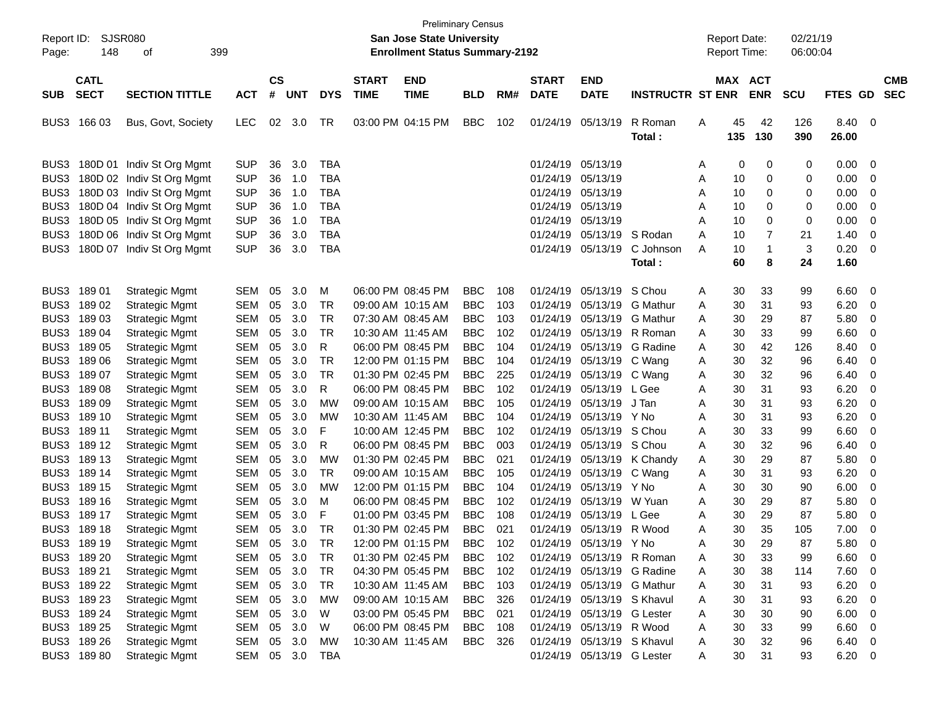| <b>SJSR080</b><br><b>San Jose State University</b><br><b>Report Date:</b><br>02/21/19<br>Report ID:<br>148<br>399<br>οf<br><b>Enrollment Status Summary-2192</b><br><b>Report Time:</b><br>06:00:04<br>Page:<br>$\mathsf{cs}$<br><b>CATL</b><br><b>START</b><br><b>END</b><br><b>START</b><br><b>END</b><br><b>ACT</b><br><b>CMB</b><br>MAX<br><b>SECT</b><br><b>SECTION TITTLE</b><br>#<br><b>UNT</b><br><b>DYS</b><br><b>TIME</b><br><b>TIME</b><br><b>DATE</b><br><b>DATE</b><br><b>INSTRUCTR ST ENR</b><br><b>ENR</b><br><b>SCU</b><br>FTES GD<br><b>SEC</b><br><b>SUB</b><br><b>ACT</b><br><b>BLD</b><br>RM#<br>R Roman<br>BUS3<br>166 03<br><b>LEC</b><br>02<br>3.0<br>TR<br>03:00 PM 04:15 PM<br>BBC<br>102<br>01/24/19<br>05/13/19<br>45<br>42<br>126<br>8.40<br>- 0<br>Bus, Govt, Society<br>A<br>135<br>130<br>390<br>26.00<br>Total:<br>3.0<br><b>TBA</b><br>BUS3<br>180D 01 Indiv St Org Mgmt<br><b>SUP</b><br>36<br>01/24/19<br>05/13/19<br>0<br>0.00<br>-0<br>0<br>0<br>A<br><b>SUP</b><br>36<br>1.0<br><b>TBA</b><br>01/24/19<br>05/13/19<br>0.00<br>BUS3<br>180D 02 Indiv St Org Mgmt<br>10<br>0<br>0<br>Α<br>0<br><b>SUP</b><br>36<br>1.0<br><b>TBA</b><br>05/13/19<br>0<br>0.00<br>BUS3<br>180D 03 Indiv St Org Mgmt<br>01/24/19<br>10<br>0<br>-0<br>Α<br><b>SUP</b><br><b>TBA</b><br>05/13/19<br>0.00<br>BUS3<br>180D 04 Indiv St Org Mgmt<br>36<br>1.0<br>01/24/19<br>10<br>0<br>-0<br>A<br>0<br><b>SUP</b><br><b>TBA</b><br>05/13/19<br>$\mathbf 0$<br>0.00<br>BUS3<br>180D 05 Indiv St Org Mgmt<br>36<br>1.0<br>01/24/19<br>10<br>0<br>0<br>A<br>180D 06 Indiv St Org Mgmt<br><b>SUP</b><br>36<br>3.0<br><b>TBA</b><br>05/13/19<br>7<br>1.40<br>BUS3<br>01/24/19<br>S Rodan<br>A<br>10<br>21<br>0<br>3<br>180D 07 Indiv St Org Mgmt<br><b>SUP</b><br>36<br>3.0<br><b>TBA</b><br>01/24/19<br>05/13/19<br>C Johnson<br>$\mathbf 1$<br>0.20<br>BUS3<br>Α<br>10<br>- 0<br>60<br>8<br>24<br>1.60<br>Total:<br>3.0<br>06:00 PM 08:45 PM<br>6.60<br>BUS3<br>18901<br><b>Strategic Mgmt</b><br><b>SEM</b><br>05<br>M<br><b>BBC</b><br>108<br>01/24/19<br>05/13/19<br>S Chou<br>30<br>33<br>99<br>0<br>A<br>05<br>3.0<br><b>TR</b><br><b>BBC</b><br>103<br><b>G</b> Mathur<br>6.20<br>BUS3<br>18902<br><b>Strategic Mgmt</b><br><b>SEM</b><br>09:00 AM 10:15 AM<br>01/24/19<br>05/13/19<br>30<br>31<br>93<br>0<br>A<br>05<br>3.0<br><b>TR</b><br>5.80<br>BUS3<br>18903<br><b>Strategic Mgmt</b><br><b>SEM</b><br>07:30 AM 08:45 AM<br><b>BBC</b><br>103<br>01/24/19<br>05/13/19<br><b>G</b> Mathur<br>30<br>29<br>87<br>0<br>A<br>05<br>3.0<br><b>TR</b><br>102<br>05/13/19<br>99<br>6.60<br>BUS3<br>18904<br><b>Strategic Mgmt</b><br>SEM<br>10:30 AM 11:45 AM<br><b>BBC</b><br>01/24/19<br>R Roman<br>30<br>33<br>-0<br>Α<br><b>SEM</b><br>05<br>3.0<br>R<br>06:00 PM 08:45 PM<br><b>BBC</b><br>104<br>05/13/19<br>42<br>126<br>BUS3<br>18905<br><b>Strategic Mgmt</b><br>01/24/19<br>G Radine<br>30<br>8.40<br>-0<br>A<br>05<br>3.0<br><b>TR</b><br>12:00 PM 01:15 PM<br><b>BBC</b><br>30<br>32<br>6.40<br>BUS3<br>18906<br><b>Strategic Mgmt</b><br><b>SEM</b><br>104<br>01/24/19<br>05/13/19<br>C Wang<br>96<br>0<br>A<br>BUS3<br>05<br>3.0<br><b>TR</b><br>01:30 PM 02:45 PM<br><b>BBC</b><br>225<br>01/24/19<br>05/13/19<br>30<br>32<br>6.40<br>18907<br><b>Strategic Mgmt</b><br>SEM<br>96<br>-0<br>C Wang<br>Α<br>BUS3<br><b>SEM</b><br>05<br>3.0<br>R<br>06:00 PM 08:45 PM<br><b>BBC</b><br>102<br>01/24/19<br>05/13/19<br>30<br>31<br>6.20<br>18908<br><b>Strategic Mgmt</b><br>L Gee<br>93<br>-0<br>A<br>05<br>3.0<br><b>MW</b><br><b>BBC</b><br>05/13/19<br>31<br>6.20<br>BUS3<br>18909<br><b>Strategic Mgmt</b><br><b>SEM</b><br>09:00 AM 10:15 AM<br>105<br>01/24/19<br>J Tan<br>30<br>93<br>-0<br>A<br>BUS3<br>05<br>3.0<br><b>MW</b><br><b>BBC</b><br>104<br>01/24/19<br>05/13/19<br>31<br>6.20<br>189 10<br><b>Strategic Mgmt</b><br><b>SEM</b><br>10:30 AM 11:45 AM<br>Y No<br>30<br>93<br>-0<br>A<br>BUS3<br>05<br>3.0<br>F<br><b>BBC</b><br>102<br>01/24/19<br>05/13/19<br>30<br>33<br>99<br>6.60<br>189 11<br><b>Strategic Mgmt</b><br><b>SEM</b><br>10:00 AM 12:45 PM<br>S Chou<br>-0<br>Α<br><b>SEM</b><br>05<br>3.0<br>06:00 PM 08:45 PM<br><b>BBC</b><br>003<br>05/13/19<br>32<br>BUS3<br>189 12<br><b>Strategic Mgmt</b><br>R<br>01/24/19<br>S Chou<br>30<br>96<br>6.40<br>-0<br>A<br>05<br>3.0<br><b>MW</b><br>01:30 PM 02:45 PM<br>021<br>30<br>29<br>5.80<br>BUS3<br>189 13<br><b>Strategic Mgmt</b><br><b>SEM</b><br><b>BBC</b><br>01/24/19<br>05/13/19<br>K Chandy<br>87<br>0<br>A<br>BUS3<br>05<br>3.0<br><b>TR</b><br>31<br>6.20<br>189 14<br><b>Strategic Mgmt</b><br>SEM<br>09:00 AM 10:15 AM<br><b>BBC</b><br>105<br>01/24/19<br>05/13/19<br>C Wang<br>30<br>93<br>-0<br>Α |
|------------------------------------------------------------------------------------------------------------------------------------------------------------------------------------------------------------------------------------------------------------------------------------------------------------------------------------------------------------------------------------------------------------------------------------------------------------------------------------------------------------------------------------------------------------------------------------------------------------------------------------------------------------------------------------------------------------------------------------------------------------------------------------------------------------------------------------------------------------------------------------------------------------------------------------------------------------------------------------------------------------------------------------------------------------------------------------------------------------------------------------------------------------------------------------------------------------------------------------------------------------------------------------------------------------------------------------------------------------------------------------------------------------------------------------------------------------------------------------------------------------------------------------------------------------------------------------------------------------------------------------------------------------------------------------------------------------------------------------------------------------------------------------------------------------------------------------------------------------------------------------------------------------------------------------------------------------------------------------------------------------------------------------------------------------------------------------------------------------------------------------------------------------------------------------------------------------------------------------------------------------------------------------------------------------------------------------------------------------------------------------------------------------------------------------------------------------------------------------------------------------------------------------------------------------------------------------------------------------------------------------------------------------------------------------------------------------------------------------------------------------------------------------------------------------------------------------------------------------------------------------------------------------------------------------------------------------------------------------------------------------------------------------------------------------------------------------------------------------------------------------------------------------------------------------------------------------------------------------------------------------------------------------------------------------------------------------------------------------------------------------------------------------------------------------------------------------------------------------------------------------------------------------------------------------------------------------------------------------------------------------------------------------------------------------------------------------------------------------------------------------------------------------------------------------------------------------------------------------------------------------------------------------------------------------------------------------------------------------------------------------------------------------------------------------------------------------------------------------------------------------------------------------------------------------------------------------------------------------------------------------------------------------------------------------------------------------------------------------------------------------------------------------------------------------------------------------------------------------------------------------------------------------------------------------------------------------------------------------------------------------------------------------------------------------------------------------------------------|
|                                                                                                                                                                                                                                                                                                                                                                                                                                                                                                                                                                                                                                                                                                                                                                                                                                                                                                                                                                                                                                                                                                                                                                                                                                                                                                                                                                                                                                                                                                                                                                                                                                                                                                                                                                                                                                                                                                                                                                                                                                                                                                                                                                                                                                                                                                                                                                                                                                                                                                                                                                                                                                                                                                                                                                                                                                                                                                                                                                                                                                                                                                                                                                                                                                                                                                                                                                                                                                                                                                                                                                                                                                                                                                                                                                                                                                                                                                                                                                                                                                                                                                                                                                                                                                                                                                                                                                                                                                                                                                                                                                                                                                                                                                                              |
|                                                                                                                                                                                                                                                                                                                                                                                                                                                                                                                                                                                                                                                                                                                                                                                                                                                                                                                                                                                                                                                                                                                                                                                                                                                                                                                                                                                                                                                                                                                                                                                                                                                                                                                                                                                                                                                                                                                                                                                                                                                                                                                                                                                                                                                                                                                                                                                                                                                                                                                                                                                                                                                                                                                                                                                                                                                                                                                                                                                                                                                                                                                                                                                                                                                                                                                                                                                                                                                                                                                                                                                                                                                                                                                                                                                                                                                                                                                                                                                                                                                                                                                                                                                                                                                                                                                                                                                                                                                                                                                                                                                                                                                                                                                              |
|                                                                                                                                                                                                                                                                                                                                                                                                                                                                                                                                                                                                                                                                                                                                                                                                                                                                                                                                                                                                                                                                                                                                                                                                                                                                                                                                                                                                                                                                                                                                                                                                                                                                                                                                                                                                                                                                                                                                                                                                                                                                                                                                                                                                                                                                                                                                                                                                                                                                                                                                                                                                                                                                                                                                                                                                                                                                                                                                                                                                                                                                                                                                                                                                                                                                                                                                                                                                                                                                                                                                                                                                                                                                                                                                                                                                                                                                                                                                                                                                                                                                                                                                                                                                                                                                                                                                                                                                                                                                                                                                                                                                                                                                                                                              |
|                                                                                                                                                                                                                                                                                                                                                                                                                                                                                                                                                                                                                                                                                                                                                                                                                                                                                                                                                                                                                                                                                                                                                                                                                                                                                                                                                                                                                                                                                                                                                                                                                                                                                                                                                                                                                                                                                                                                                                                                                                                                                                                                                                                                                                                                                                                                                                                                                                                                                                                                                                                                                                                                                                                                                                                                                                                                                                                                                                                                                                                                                                                                                                                                                                                                                                                                                                                                                                                                                                                                                                                                                                                                                                                                                                                                                                                                                                                                                                                                                                                                                                                                                                                                                                                                                                                                                                                                                                                                                                                                                                                                                                                                                                                              |
|                                                                                                                                                                                                                                                                                                                                                                                                                                                                                                                                                                                                                                                                                                                                                                                                                                                                                                                                                                                                                                                                                                                                                                                                                                                                                                                                                                                                                                                                                                                                                                                                                                                                                                                                                                                                                                                                                                                                                                                                                                                                                                                                                                                                                                                                                                                                                                                                                                                                                                                                                                                                                                                                                                                                                                                                                                                                                                                                                                                                                                                                                                                                                                                                                                                                                                                                                                                                                                                                                                                                                                                                                                                                                                                                                                                                                                                                                                                                                                                                                                                                                                                                                                                                                                                                                                                                                                                                                                                                                                                                                                                                                                                                                                                              |
|                                                                                                                                                                                                                                                                                                                                                                                                                                                                                                                                                                                                                                                                                                                                                                                                                                                                                                                                                                                                                                                                                                                                                                                                                                                                                                                                                                                                                                                                                                                                                                                                                                                                                                                                                                                                                                                                                                                                                                                                                                                                                                                                                                                                                                                                                                                                                                                                                                                                                                                                                                                                                                                                                                                                                                                                                                                                                                                                                                                                                                                                                                                                                                                                                                                                                                                                                                                                                                                                                                                                                                                                                                                                                                                                                                                                                                                                                                                                                                                                                                                                                                                                                                                                                                                                                                                                                                                                                                                                                                                                                                                                                                                                                                                              |
|                                                                                                                                                                                                                                                                                                                                                                                                                                                                                                                                                                                                                                                                                                                                                                                                                                                                                                                                                                                                                                                                                                                                                                                                                                                                                                                                                                                                                                                                                                                                                                                                                                                                                                                                                                                                                                                                                                                                                                                                                                                                                                                                                                                                                                                                                                                                                                                                                                                                                                                                                                                                                                                                                                                                                                                                                                                                                                                                                                                                                                                                                                                                                                                                                                                                                                                                                                                                                                                                                                                                                                                                                                                                                                                                                                                                                                                                                                                                                                                                                                                                                                                                                                                                                                                                                                                                                                                                                                                                                                                                                                                                                                                                                                                              |
|                                                                                                                                                                                                                                                                                                                                                                                                                                                                                                                                                                                                                                                                                                                                                                                                                                                                                                                                                                                                                                                                                                                                                                                                                                                                                                                                                                                                                                                                                                                                                                                                                                                                                                                                                                                                                                                                                                                                                                                                                                                                                                                                                                                                                                                                                                                                                                                                                                                                                                                                                                                                                                                                                                                                                                                                                                                                                                                                                                                                                                                                                                                                                                                                                                                                                                                                                                                                                                                                                                                                                                                                                                                                                                                                                                                                                                                                                                                                                                                                                                                                                                                                                                                                                                                                                                                                                                                                                                                                                                                                                                                                                                                                                                                              |
|                                                                                                                                                                                                                                                                                                                                                                                                                                                                                                                                                                                                                                                                                                                                                                                                                                                                                                                                                                                                                                                                                                                                                                                                                                                                                                                                                                                                                                                                                                                                                                                                                                                                                                                                                                                                                                                                                                                                                                                                                                                                                                                                                                                                                                                                                                                                                                                                                                                                                                                                                                                                                                                                                                                                                                                                                                                                                                                                                                                                                                                                                                                                                                                                                                                                                                                                                                                                                                                                                                                                                                                                                                                                                                                                                                                                                                                                                                                                                                                                                                                                                                                                                                                                                                                                                                                                                                                                                                                                                                                                                                                                                                                                                                                              |
|                                                                                                                                                                                                                                                                                                                                                                                                                                                                                                                                                                                                                                                                                                                                                                                                                                                                                                                                                                                                                                                                                                                                                                                                                                                                                                                                                                                                                                                                                                                                                                                                                                                                                                                                                                                                                                                                                                                                                                                                                                                                                                                                                                                                                                                                                                                                                                                                                                                                                                                                                                                                                                                                                                                                                                                                                                                                                                                                                                                                                                                                                                                                                                                                                                                                                                                                                                                                                                                                                                                                                                                                                                                                                                                                                                                                                                                                                                                                                                                                                                                                                                                                                                                                                                                                                                                                                                                                                                                                                                                                                                                                                                                                                                                              |
|                                                                                                                                                                                                                                                                                                                                                                                                                                                                                                                                                                                                                                                                                                                                                                                                                                                                                                                                                                                                                                                                                                                                                                                                                                                                                                                                                                                                                                                                                                                                                                                                                                                                                                                                                                                                                                                                                                                                                                                                                                                                                                                                                                                                                                                                                                                                                                                                                                                                                                                                                                                                                                                                                                                                                                                                                                                                                                                                                                                                                                                                                                                                                                                                                                                                                                                                                                                                                                                                                                                                                                                                                                                                                                                                                                                                                                                                                                                                                                                                                                                                                                                                                                                                                                                                                                                                                                                                                                                                                                                                                                                                                                                                                                                              |
|                                                                                                                                                                                                                                                                                                                                                                                                                                                                                                                                                                                                                                                                                                                                                                                                                                                                                                                                                                                                                                                                                                                                                                                                                                                                                                                                                                                                                                                                                                                                                                                                                                                                                                                                                                                                                                                                                                                                                                                                                                                                                                                                                                                                                                                                                                                                                                                                                                                                                                                                                                                                                                                                                                                                                                                                                                                                                                                                                                                                                                                                                                                                                                                                                                                                                                                                                                                                                                                                                                                                                                                                                                                                                                                                                                                                                                                                                                                                                                                                                                                                                                                                                                                                                                                                                                                                                                                                                                                                                                                                                                                                                                                                                                                              |
|                                                                                                                                                                                                                                                                                                                                                                                                                                                                                                                                                                                                                                                                                                                                                                                                                                                                                                                                                                                                                                                                                                                                                                                                                                                                                                                                                                                                                                                                                                                                                                                                                                                                                                                                                                                                                                                                                                                                                                                                                                                                                                                                                                                                                                                                                                                                                                                                                                                                                                                                                                                                                                                                                                                                                                                                                                                                                                                                                                                                                                                                                                                                                                                                                                                                                                                                                                                                                                                                                                                                                                                                                                                                                                                                                                                                                                                                                                                                                                                                                                                                                                                                                                                                                                                                                                                                                                                                                                                                                                                                                                                                                                                                                                                              |
|                                                                                                                                                                                                                                                                                                                                                                                                                                                                                                                                                                                                                                                                                                                                                                                                                                                                                                                                                                                                                                                                                                                                                                                                                                                                                                                                                                                                                                                                                                                                                                                                                                                                                                                                                                                                                                                                                                                                                                                                                                                                                                                                                                                                                                                                                                                                                                                                                                                                                                                                                                                                                                                                                                                                                                                                                                                                                                                                                                                                                                                                                                                                                                                                                                                                                                                                                                                                                                                                                                                                                                                                                                                                                                                                                                                                                                                                                                                                                                                                                                                                                                                                                                                                                                                                                                                                                                                                                                                                                                                                                                                                                                                                                                                              |
|                                                                                                                                                                                                                                                                                                                                                                                                                                                                                                                                                                                                                                                                                                                                                                                                                                                                                                                                                                                                                                                                                                                                                                                                                                                                                                                                                                                                                                                                                                                                                                                                                                                                                                                                                                                                                                                                                                                                                                                                                                                                                                                                                                                                                                                                                                                                                                                                                                                                                                                                                                                                                                                                                                                                                                                                                                                                                                                                                                                                                                                                                                                                                                                                                                                                                                                                                                                                                                                                                                                                                                                                                                                                                                                                                                                                                                                                                                                                                                                                                                                                                                                                                                                                                                                                                                                                                                                                                                                                                                                                                                                                                                                                                                                              |
|                                                                                                                                                                                                                                                                                                                                                                                                                                                                                                                                                                                                                                                                                                                                                                                                                                                                                                                                                                                                                                                                                                                                                                                                                                                                                                                                                                                                                                                                                                                                                                                                                                                                                                                                                                                                                                                                                                                                                                                                                                                                                                                                                                                                                                                                                                                                                                                                                                                                                                                                                                                                                                                                                                                                                                                                                                                                                                                                                                                                                                                                                                                                                                                                                                                                                                                                                                                                                                                                                                                                                                                                                                                                                                                                                                                                                                                                                                                                                                                                                                                                                                                                                                                                                                                                                                                                                                                                                                                                                                                                                                                                                                                                                                                              |
|                                                                                                                                                                                                                                                                                                                                                                                                                                                                                                                                                                                                                                                                                                                                                                                                                                                                                                                                                                                                                                                                                                                                                                                                                                                                                                                                                                                                                                                                                                                                                                                                                                                                                                                                                                                                                                                                                                                                                                                                                                                                                                                                                                                                                                                                                                                                                                                                                                                                                                                                                                                                                                                                                                                                                                                                                                                                                                                                                                                                                                                                                                                                                                                                                                                                                                                                                                                                                                                                                                                                                                                                                                                                                                                                                                                                                                                                                                                                                                                                                                                                                                                                                                                                                                                                                                                                                                                                                                                                                                                                                                                                                                                                                                                              |
|                                                                                                                                                                                                                                                                                                                                                                                                                                                                                                                                                                                                                                                                                                                                                                                                                                                                                                                                                                                                                                                                                                                                                                                                                                                                                                                                                                                                                                                                                                                                                                                                                                                                                                                                                                                                                                                                                                                                                                                                                                                                                                                                                                                                                                                                                                                                                                                                                                                                                                                                                                                                                                                                                                                                                                                                                                                                                                                                                                                                                                                                                                                                                                                                                                                                                                                                                                                                                                                                                                                                                                                                                                                                                                                                                                                                                                                                                                                                                                                                                                                                                                                                                                                                                                                                                                                                                                                                                                                                                                                                                                                                                                                                                                                              |
|                                                                                                                                                                                                                                                                                                                                                                                                                                                                                                                                                                                                                                                                                                                                                                                                                                                                                                                                                                                                                                                                                                                                                                                                                                                                                                                                                                                                                                                                                                                                                                                                                                                                                                                                                                                                                                                                                                                                                                                                                                                                                                                                                                                                                                                                                                                                                                                                                                                                                                                                                                                                                                                                                                                                                                                                                                                                                                                                                                                                                                                                                                                                                                                                                                                                                                                                                                                                                                                                                                                                                                                                                                                                                                                                                                                                                                                                                                                                                                                                                                                                                                                                                                                                                                                                                                                                                                                                                                                                                                                                                                                                                                                                                                                              |
|                                                                                                                                                                                                                                                                                                                                                                                                                                                                                                                                                                                                                                                                                                                                                                                                                                                                                                                                                                                                                                                                                                                                                                                                                                                                                                                                                                                                                                                                                                                                                                                                                                                                                                                                                                                                                                                                                                                                                                                                                                                                                                                                                                                                                                                                                                                                                                                                                                                                                                                                                                                                                                                                                                                                                                                                                                                                                                                                                                                                                                                                                                                                                                                                                                                                                                                                                                                                                                                                                                                                                                                                                                                                                                                                                                                                                                                                                                                                                                                                                                                                                                                                                                                                                                                                                                                                                                                                                                                                                                                                                                                                                                                                                                                              |
|                                                                                                                                                                                                                                                                                                                                                                                                                                                                                                                                                                                                                                                                                                                                                                                                                                                                                                                                                                                                                                                                                                                                                                                                                                                                                                                                                                                                                                                                                                                                                                                                                                                                                                                                                                                                                                                                                                                                                                                                                                                                                                                                                                                                                                                                                                                                                                                                                                                                                                                                                                                                                                                                                                                                                                                                                                                                                                                                                                                                                                                                                                                                                                                                                                                                                                                                                                                                                                                                                                                                                                                                                                                                                                                                                                                                                                                                                                                                                                                                                                                                                                                                                                                                                                                                                                                                                                                                                                                                                                                                                                                                                                                                                                                              |
|                                                                                                                                                                                                                                                                                                                                                                                                                                                                                                                                                                                                                                                                                                                                                                                                                                                                                                                                                                                                                                                                                                                                                                                                                                                                                                                                                                                                                                                                                                                                                                                                                                                                                                                                                                                                                                                                                                                                                                                                                                                                                                                                                                                                                                                                                                                                                                                                                                                                                                                                                                                                                                                                                                                                                                                                                                                                                                                                                                                                                                                                                                                                                                                                                                                                                                                                                                                                                                                                                                                                                                                                                                                                                                                                                                                                                                                                                                                                                                                                                                                                                                                                                                                                                                                                                                                                                                                                                                                                                                                                                                                                                                                                                                                              |
|                                                                                                                                                                                                                                                                                                                                                                                                                                                                                                                                                                                                                                                                                                                                                                                                                                                                                                                                                                                                                                                                                                                                                                                                                                                                                                                                                                                                                                                                                                                                                                                                                                                                                                                                                                                                                                                                                                                                                                                                                                                                                                                                                                                                                                                                                                                                                                                                                                                                                                                                                                                                                                                                                                                                                                                                                                                                                                                                                                                                                                                                                                                                                                                                                                                                                                                                                                                                                                                                                                                                                                                                                                                                                                                                                                                                                                                                                                                                                                                                                                                                                                                                                                                                                                                                                                                                                                                                                                                                                                                                                                                                                                                                                                                              |
|                                                                                                                                                                                                                                                                                                                                                                                                                                                                                                                                                                                                                                                                                                                                                                                                                                                                                                                                                                                                                                                                                                                                                                                                                                                                                                                                                                                                                                                                                                                                                                                                                                                                                                                                                                                                                                                                                                                                                                                                                                                                                                                                                                                                                                                                                                                                                                                                                                                                                                                                                                                                                                                                                                                                                                                                                                                                                                                                                                                                                                                                                                                                                                                                                                                                                                                                                                                                                                                                                                                                                                                                                                                                                                                                                                                                                                                                                                                                                                                                                                                                                                                                                                                                                                                                                                                                                                                                                                                                                                                                                                                                                                                                                                                              |
|                                                                                                                                                                                                                                                                                                                                                                                                                                                                                                                                                                                                                                                                                                                                                                                                                                                                                                                                                                                                                                                                                                                                                                                                                                                                                                                                                                                                                                                                                                                                                                                                                                                                                                                                                                                                                                                                                                                                                                                                                                                                                                                                                                                                                                                                                                                                                                                                                                                                                                                                                                                                                                                                                                                                                                                                                                                                                                                                                                                                                                                                                                                                                                                                                                                                                                                                                                                                                                                                                                                                                                                                                                                                                                                                                                                                                                                                                                                                                                                                                                                                                                                                                                                                                                                                                                                                                                                                                                                                                                                                                                                                                                                                                                                              |
|                                                                                                                                                                                                                                                                                                                                                                                                                                                                                                                                                                                                                                                                                                                                                                                                                                                                                                                                                                                                                                                                                                                                                                                                                                                                                                                                                                                                                                                                                                                                                                                                                                                                                                                                                                                                                                                                                                                                                                                                                                                                                                                                                                                                                                                                                                                                                                                                                                                                                                                                                                                                                                                                                                                                                                                                                                                                                                                                                                                                                                                                                                                                                                                                                                                                                                                                                                                                                                                                                                                                                                                                                                                                                                                                                                                                                                                                                                                                                                                                                                                                                                                                                                                                                                                                                                                                                                                                                                                                                                                                                                                                                                                                                                                              |
|                                                                                                                                                                                                                                                                                                                                                                                                                                                                                                                                                                                                                                                                                                                                                                                                                                                                                                                                                                                                                                                                                                                                                                                                                                                                                                                                                                                                                                                                                                                                                                                                                                                                                                                                                                                                                                                                                                                                                                                                                                                                                                                                                                                                                                                                                                                                                                                                                                                                                                                                                                                                                                                                                                                                                                                                                                                                                                                                                                                                                                                                                                                                                                                                                                                                                                                                                                                                                                                                                                                                                                                                                                                                                                                                                                                                                                                                                                                                                                                                                                                                                                                                                                                                                                                                                                                                                                                                                                                                                                                                                                                                                                                                                                                              |
|                                                                                                                                                                                                                                                                                                                                                                                                                                                                                                                                                                                                                                                                                                                                                                                                                                                                                                                                                                                                                                                                                                                                                                                                                                                                                                                                                                                                                                                                                                                                                                                                                                                                                                                                                                                                                                                                                                                                                                                                                                                                                                                                                                                                                                                                                                                                                                                                                                                                                                                                                                                                                                                                                                                                                                                                                                                                                                                                                                                                                                                                                                                                                                                                                                                                                                                                                                                                                                                                                                                                                                                                                                                                                                                                                                                                                                                                                                                                                                                                                                                                                                                                                                                                                                                                                                                                                                                                                                                                                                                                                                                                                                                                                                                              |
|                                                                                                                                                                                                                                                                                                                                                                                                                                                                                                                                                                                                                                                                                                                                                                                                                                                                                                                                                                                                                                                                                                                                                                                                                                                                                                                                                                                                                                                                                                                                                                                                                                                                                                                                                                                                                                                                                                                                                                                                                                                                                                                                                                                                                                                                                                                                                                                                                                                                                                                                                                                                                                                                                                                                                                                                                                                                                                                                                                                                                                                                                                                                                                                                                                                                                                                                                                                                                                                                                                                                                                                                                                                                                                                                                                                                                                                                                                                                                                                                                                                                                                                                                                                                                                                                                                                                                                                                                                                                                                                                                                                                                                                                                                                              |
|                                                                                                                                                                                                                                                                                                                                                                                                                                                                                                                                                                                                                                                                                                                                                                                                                                                                                                                                                                                                                                                                                                                                                                                                                                                                                                                                                                                                                                                                                                                                                                                                                                                                                                                                                                                                                                                                                                                                                                                                                                                                                                                                                                                                                                                                                                                                                                                                                                                                                                                                                                                                                                                                                                                                                                                                                                                                                                                                                                                                                                                                                                                                                                                                                                                                                                                                                                                                                                                                                                                                                                                                                                                                                                                                                                                                                                                                                                                                                                                                                                                                                                                                                                                                                                                                                                                                                                                                                                                                                                                                                                                                                                                                                                                              |
| 05<br><b>MW</b><br>12:00 PM 01:15 PM<br><b>BBC</b><br>05/13/19<br>6.00<br>BUS3<br>189 15<br><b>Strategic Mgmt</b><br><b>SEM</b><br>3.0<br>104<br>01/24/19<br>Y No<br>30<br>30<br>90<br>-0<br>A                                                                                                                                                                                                                                                                                                                                                                                                                                                                                                                                                                                                                                                                                                                                                                                                                                                                                                                                                                                                                                                                                                                                                                                                                                                                                                                                                                                                                                                                                                                                                                                                                                                                                                                                                                                                                                                                                                                                                                                                                                                                                                                                                                                                                                                                                                                                                                                                                                                                                                                                                                                                                                                                                                                                                                                                                                                                                                                                                                                                                                                                                                                                                                                                                                                                                                                                                                                                                                                                                                                                                                                                                                                                                                                                                                                                                                                                                                                                                                                                                                                                                                                                                                                                                                                                                                                                                                                                                                                                                                                               |
| 06:00 PM 08:45 PM<br>05/13/19<br>5.80<br>BUS3<br>189 16<br><b>Strategic Mgmt</b><br>SEM<br>05<br>3.0<br>M<br><b>BBC</b><br>102<br>01/24/19<br>W Yuan<br>30<br>29<br>87<br>0<br>A                                                                                                                                                                                                                                                                                                                                                                                                                                                                                                                                                                                                                                                                                                                                                                                                                                                                                                                                                                                                                                                                                                                                                                                                                                                                                                                                                                                                                                                                                                                                                                                                                                                                                                                                                                                                                                                                                                                                                                                                                                                                                                                                                                                                                                                                                                                                                                                                                                                                                                                                                                                                                                                                                                                                                                                                                                                                                                                                                                                                                                                                                                                                                                                                                                                                                                                                                                                                                                                                                                                                                                                                                                                                                                                                                                                                                                                                                                                                                                                                                                                                                                                                                                                                                                                                                                                                                                                                                                                                                                                                             |
| BUS3<br>05<br>3.0<br>F<br>108<br>01/24/19<br>05/13/19<br>30<br>29<br>87<br>5.80<br>189 17<br><b>Strategic Mgmt</b><br><b>SEM</b><br>01:00 PM 03:45 PM<br><b>BBC</b><br>L Gee<br>0<br>A                                                                                                                                                                                                                                                                                                                                                                                                                                                                                                                                                                                                                                                                                                                                                                                                                                                                                                                                                                                                                                                                                                                                                                                                                                                                                                                                                                                                                                                                                                                                                                                                                                                                                                                                                                                                                                                                                                                                                                                                                                                                                                                                                                                                                                                                                                                                                                                                                                                                                                                                                                                                                                                                                                                                                                                                                                                                                                                                                                                                                                                                                                                                                                                                                                                                                                                                                                                                                                                                                                                                                                                                                                                                                                                                                                                                                                                                                                                                                                                                                                                                                                                                                                                                                                                                                                                                                                                                                                                                                                                                       |
| BUS3 189 18<br><b>SEM</b><br><b>TR</b><br><b>BBC</b><br>021<br>01/24/19<br>05/13/19 R Wood<br>30<br>35<br>105<br><b>Strategic Mgmt</b><br>05<br>3.0<br>01:30 PM 02:45 PM<br>7.00<br>0<br>A                                                                                                                                                                                                                                                                                                                                                                                                                                                                                                                                                                                                                                                                                                                                                                                                                                                                                                                                                                                                                                                                                                                                                                                                                                                                                                                                                                                                                                                                                                                                                                                                                                                                                                                                                                                                                                                                                                                                                                                                                                                                                                                                                                                                                                                                                                                                                                                                                                                                                                                                                                                                                                                                                                                                                                                                                                                                                                                                                                                                                                                                                                                                                                                                                                                                                                                                                                                                                                                                                                                                                                                                                                                                                                                                                                                                                                                                                                                                                                                                                                                                                                                                                                                                                                                                                                                                                                                                                                                                                                                                   |
| BUS3 189 19<br><b>SEM</b><br><b>TR</b><br><b>BBC</b><br>12:00 PM 01:15 PM<br>102<br>01/24/19 05/13/19 Y No<br>5.80<br>$\mathbf 0$<br><b>Strategic Mgmt</b><br>05<br>3.0<br>30<br>29<br>87<br>Α                                                                                                                                                                                                                                                                                                                                                                                                                                                                                                                                                                                                                                                                                                                                                                                                                                                                                                                                                                                                                                                                                                                                                                                                                                                                                                                                                                                                                                                                                                                                                                                                                                                                                                                                                                                                                                                                                                                                                                                                                                                                                                                                                                                                                                                                                                                                                                                                                                                                                                                                                                                                                                                                                                                                                                                                                                                                                                                                                                                                                                                                                                                                                                                                                                                                                                                                                                                                                                                                                                                                                                                                                                                                                                                                                                                                                                                                                                                                                                                                                                                                                                                                                                                                                                                                                                                                                                                                                                                                                                                               |
| 05<br>3.0<br><b>TR</b><br>30<br>33<br>99<br>6.60<br>BUS3 189 20<br><b>Strategic Mgmt</b><br>SEM<br>01:30 PM 02:45 PM<br><b>BBC</b><br>102<br>01/24/19 05/13/19 R Roman<br>0<br>Α                                                                                                                                                                                                                                                                                                                                                                                                                                                                                                                                                                                                                                                                                                                                                                                                                                                                                                                                                                                                                                                                                                                                                                                                                                                                                                                                                                                                                                                                                                                                                                                                                                                                                                                                                                                                                                                                                                                                                                                                                                                                                                                                                                                                                                                                                                                                                                                                                                                                                                                                                                                                                                                                                                                                                                                                                                                                                                                                                                                                                                                                                                                                                                                                                                                                                                                                                                                                                                                                                                                                                                                                                                                                                                                                                                                                                                                                                                                                                                                                                                                                                                                                                                                                                                                                                                                                                                                                                                                                                                                                             |
| BUS3 189 21<br><b>Strategic Mgmt</b><br><b>SEM</b><br>05<br>3.0<br><b>TR</b><br>102<br>01/24/19 05/13/19 G Radine<br>30<br>38<br>114<br>7.60<br>$\overline{0}$<br>04:30 PM 05:45 PM<br>BBC<br>Α                                                                                                                                                                                                                                                                                                                                                                                                                                                                                                                                                                                                                                                                                                                                                                                                                                                                                                                                                                                                                                                                                                                                                                                                                                                                                                                                                                                                                                                                                                                                                                                                                                                                                                                                                                                                                                                                                                                                                                                                                                                                                                                                                                                                                                                                                                                                                                                                                                                                                                                                                                                                                                                                                                                                                                                                                                                                                                                                                                                                                                                                                                                                                                                                                                                                                                                                                                                                                                                                                                                                                                                                                                                                                                                                                                                                                                                                                                                                                                                                                                                                                                                                                                                                                                                                                                                                                                                                                                                                                                                              |
| BUS3 189 22<br><b>Strategic Mgmt</b><br><b>SEM</b><br>05<br>3.0<br><b>TR</b><br>10:30 AM 11:45 AM<br><b>BBC</b><br>103<br>01/24/19 05/13/19 G Mathur<br>31<br>93<br>6.20<br>$\overline{0}$<br>Α<br>30                                                                                                                                                                                                                                                                                                                                                                                                                                                                                                                                                                                                                                                                                                                                                                                                                                                                                                                                                                                                                                                                                                                                                                                                                                                                                                                                                                                                                                                                                                                                                                                                                                                                                                                                                                                                                                                                                                                                                                                                                                                                                                                                                                                                                                                                                                                                                                                                                                                                                                                                                                                                                                                                                                                                                                                                                                                                                                                                                                                                                                                                                                                                                                                                                                                                                                                                                                                                                                                                                                                                                                                                                                                                                                                                                                                                                                                                                                                                                                                                                                                                                                                                                                                                                                                                                                                                                                                                                                                                                                                        |
| BUS3 189 23<br><b>Strategic Mgmt</b><br><b>SEM</b><br>05<br>3.0<br>MW<br>09:00 AM 10:15 AM<br><b>BBC</b><br>326<br>01/24/19<br>05/13/19 S Khavul<br>30<br>31<br>93<br>6.20<br>$\overline{0}$<br>Α                                                                                                                                                                                                                                                                                                                                                                                                                                                                                                                                                                                                                                                                                                                                                                                                                                                                                                                                                                                                                                                                                                                                                                                                                                                                                                                                                                                                                                                                                                                                                                                                                                                                                                                                                                                                                                                                                                                                                                                                                                                                                                                                                                                                                                                                                                                                                                                                                                                                                                                                                                                                                                                                                                                                                                                                                                                                                                                                                                                                                                                                                                                                                                                                                                                                                                                                                                                                                                                                                                                                                                                                                                                                                                                                                                                                                                                                                                                                                                                                                                                                                                                                                                                                                                                                                                                                                                                                                                                                                                                            |
| BUS3 189 24<br><b>Strategic Mgmt</b><br><b>SEM</b><br>05<br>3.0<br>W<br>03:00 PM 05:45 PM<br>021<br>01/24/19<br>05/13/19 G Lester<br>30<br>30<br>90<br>6.00<br>$\overline{0}$<br><b>BBC</b><br>Α                                                                                                                                                                                                                                                                                                                                                                                                                                                                                                                                                                                                                                                                                                                                                                                                                                                                                                                                                                                                                                                                                                                                                                                                                                                                                                                                                                                                                                                                                                                                                                                                                                                                                                                                                                                                                                                                                                                                                                                                                                                                                                                                                                                                                                                                                                                                                                                                                                                                                                                                                                                                                                                                                                                                                                                                                                                                                                                                                                                                                                                                                                                                                                                                                                                                                                                                                                                                                                                                                                                                                                                                                                                                                                                                                                                                                                                                                                                                                                                                                                                                                                                                                                                                                                                                                                                                                                                                                                                                                                                             |
| BUS3 189 25<br><b>SEM</b><br>05<br>3.0<br>W<br>06:00 PM 08:45 PM<br><b>BBC</b><br>108<br>01/24/19<br>05/13/19 R Wood<br>30<br>33<br>99<br>6.60<br>$\overline{0}$<br><b>Strategic Mgmt</b><br>Α                                                                                                                                                                                                                                                                                                                                                                                                                                                                                                                                                                                                                                                                                                                                                                                                                                                                                                                                                                                                                                                                                                                                                                                                                                                                                                                                                                                                                                                                                                                                                                                                                                                                                                                                                                                                                                                                                                                                                                                                                                                                                                                                                                                                                                                                                                                                                                                                                                                                                                                                                                                                                                                                                                                                                                                                                                                                                                                                                                                                                                                                                                                                                                                                                                                                                                                                                                                                                                                                                                                                                                                                                                                                                                                                                                                                                                                                                                                                                                                                                                                                                                                                                                                                                                                                                                                                                                                                                                                                                                                               |
| 32<br>BUS3 189 26<br><b>Strategic Mgmt</b><br>SEM<br>05<br>3.0<br>MW<br>10:30 AM 11:45 AM<br><b>BBC</b><br>326<br>01/24/19<br>05/13/19 S Khavul<br>30<br>96<br>6.40<br>$\overline{0}$<br>Α                                                                                                                                                                                                                                                                                                                                                                                                                                                                                                                                                                                                                                                                                                                                                                                                                                                                                                                                                                                                                                                                                                                                                                                                                                                                                                                                                                                                                                                                                                                                                                                                                                                                                                                                                                                                                                                                                                                                                                                                                                                                                                                                                                                                                                                                                                                                                                                                                                                                                                                                                                                                                                                                                                                                                                                                                                                                                                                                                                                                                                                                                                                                                                                                                                                                                                                                                                                                                                                                                                                                                                                                                                                                                                                                                                                                                                                                                                                                                                                                                                                                                                                                                                                                                                                                                                                                                                                                                                                                                                                                   |
| 30<br>31<br>BUS3 18980<br><b>Strategic Mgmt</b><br>SEM<br>05 3.0<br><b>TBA</b><br>01/24/19 05/13/19 G Lester<br>Α<br>93<br>$6.20 \t 0$                                                                                                                                                                                                                                                                                                                                                                                                                                                                                                                                                                                                                                                                                                                                                                                                                                                                                                                                                                                                                                                                                                                                                                                                                                                                                                                                                                                                                                                                                                                                                                                                                                                                                                                                                                                                                                                                                                                                                                                                                                                                                                                                                                                                                                                                                                                                                                                                                                                                                                                                                                                                                                                                                                                                                                                                                                                                                                                                                                                                                                                                                                                                                                                                                                                                                                                                                                                                                                                                                                                                                                                                                                                                                                                                                                                                                                                                                                                                                                                                                                                                                                                                                                                                                                                                                                                                                                                                                                                                                                                                                                                       |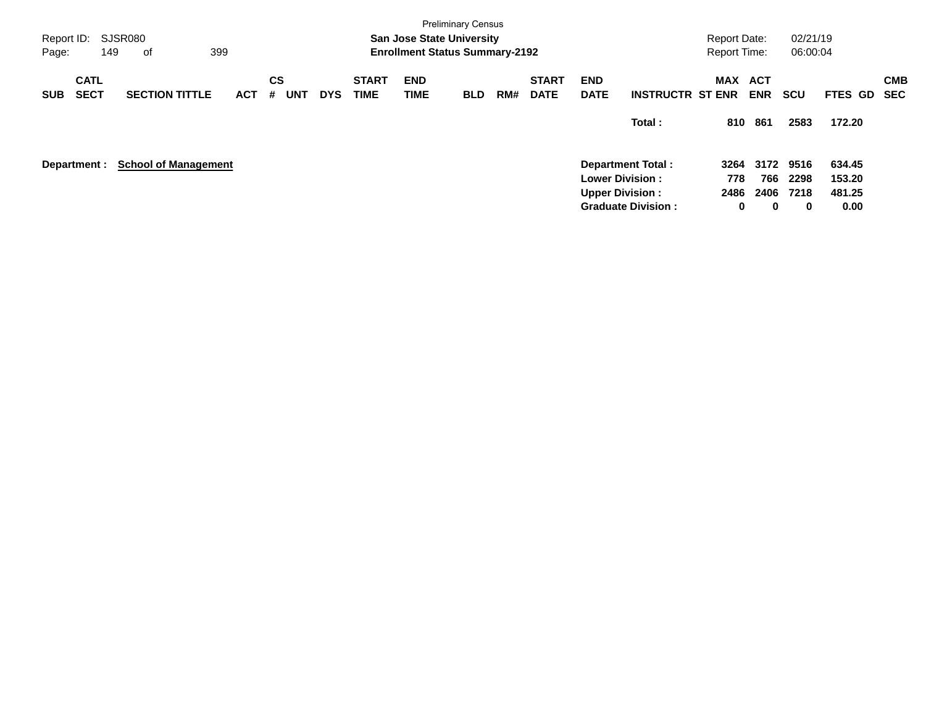| Report ID:<br>Page: |                            | 149 | SJSR080<br>οf               | 399        |         |     |            |                             | <b>San Jose State University</b><br><b>Enrollment Status Summary-2192</b> | <b>Preliminary Census</b> |     |                             |                           |                           | <b>Report Date:</b><br><b>Report Time:</b> |                          | 02/21/19<br>06:00:04 |                |                   |
|---------------------|----------------------------|-----|-----------------------------|------------|---------|-----|------------|-----------------------------|---------------------------------------------------------------------------|---------------------------|-----|-----------------------------|---------------------------|---------------------------|--------------------------------------------|--------------------------|----------------------|----------------|-------------------|
| <b>SUB</b>          | <b>CATL</b><br><b>SECT</b> |     | <b>SECTION TITTLE</b>       | <b>ACT</b> | CS<br># | UNT | <b>DYS</b> | <b>START</b><br><b>TIME</b> | <b>END</b><br><b>TIME</b>                                                 | <b>BLD</b>                | RM# | <b>START</b><br><b>DATE</b> | <b>END</b><br><b>DATE</b> | <b>INSTRUCTR ST ENR</b>   | <b>MAX</b>                                 | <b>ACT</b><br><b>ENR</b> | <b>SCU</b>           | <b>FTES GD</b> | <b>CMB</b><br>SEC |
|                     |                            |     |                             |            |         |     |            |                             |                                                                           |                           |     |                             |                           | Total:                    | 810                                        | 861                      | 2583                 | 172.20         |                   |
| Department :        |                            |     | <b>School of Management</b> |            |         |     |            |                             |                                                                           |                           |     |                             |                           | <b>Department Total:</b>  | 3264                                       | 3172                     | 9516                 | 634.45         |                   |
|                     |                            |     |                             |            |         |     |            |                             |                                                                           |                           |     |                             | <b>Lower Division:</b>    |                           | 778                                        | 766                      | 2298                 | 153.20         |                   |
|                     |                            |     |                             |            |         |     |            |                             |                                                                           |                           |     |                             | <b>Upper Division:</b>    |                           | 2486                                       | 2406                     | 7218                 | 481.25         |                   |
|                     |                            |     |                             |            |         |     |            |                             |                                                                           |                           |     |                             |                           | <b>Graduate Division:</b> | 0                                          | 0                        | 0                    | 0.00           |                   |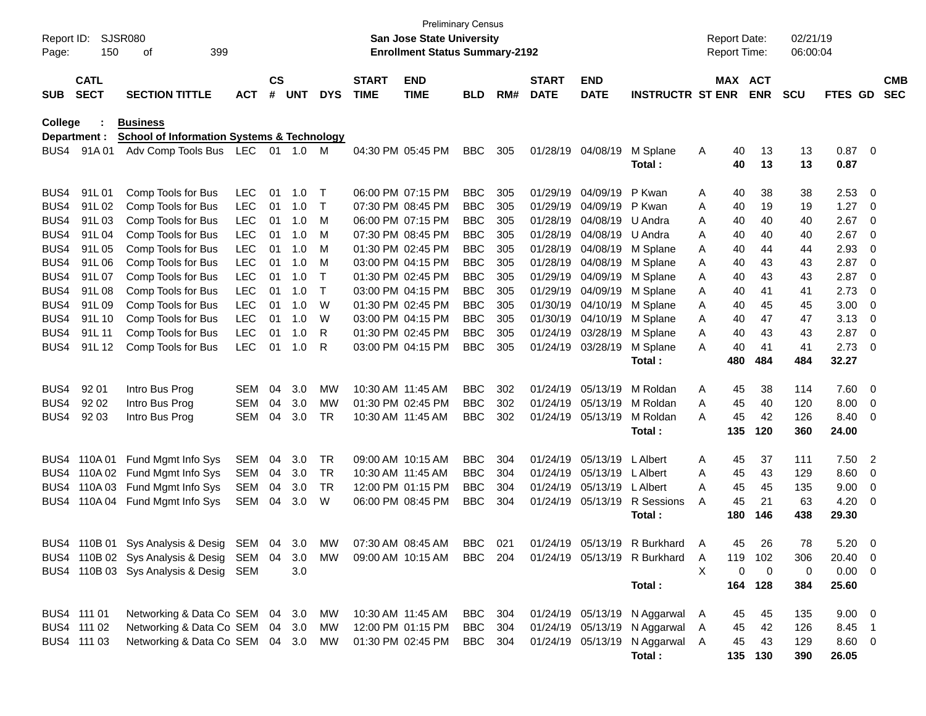| Report ID:<br>Page: | 150                        | SJSR080<br>399<br>οf                                                      |            |                    |            |            |                             | <b>Preliminary Census</b><br><b>San Jose State University</b><br><b>Enrollment Status Summary-2192</b> |            |     |                             |                           |                                |              | <b>Report Date:</b><br>Report Time: |                | 02/21/19<br>06:00:04 |                |                         |                          |
|---------------------|----------------------------|---------------------------------------------------------------------------|------------|--------------------|------------|------------|-----------------------------|--------------------------------------------------------------------------------------------------------|------------|-----|-----------------------------|---------------------------|--------------------------------|--------------|-------------------------------------|----------------|----------------------|----------------|-------------------------|--------------------------|
| <b>SUB</b>          | <b>CATL</b><br><b>SECT</b> | <b>SECTION TITTLE</b>                                                     | <b>ACT</b> | $\mathsf{cs}$<br># | <b>UNT</b> | <b>DYS</b> | <b>START</b><br><b>TIME</b> | <b>END</b><br><b>TIME</b>                                                                              | <b>BLD</b> | RM# | <b>START</b><br><b>DATE</b> | <b>END</b><br><b>DATE</b> | <b>INSTRUCTR ST ENR</b>        |              | MAX ACT                             | <b>ENR</b>     | <b>SCU</b>           | <b>FTES GD</b> |                         | <b>CMB</b><br><b>SEC</b> |
| College             |                            | <b>Business</b>                                                           |            |                    |            |            |                             |                                                                                                        |            |     |                             |                           |                                |              |                                     |                |                      |                |                         |                          |
|                     | Department :               | <b>School of Information Systems &amp; Technology</b>                     |            |                    |            |            |                             |                                                                                                        |            |     |                             |                           |                                |              |                                     |                |                      |                |                         |                          |
| BUS4                | 91A 01                     | Adv Comp Tools Bus LEC                                                    |            |                    | 01 1.0     | M          |                             | 04:30 PM 05:45 PM                                                                                      | <b>BBC</b> | 305 |                             | 01/28/19 04/08/19         | M Splane                       | Α            | 40                                  | 13             | 13                   | $0.87 \ 0$     |                         |                          |
|                     |                            |                                                                           |            |                    |            |            |                             |                                                                                                        |            |     |                             |                           | Total:                         |              | 40                                  | 13             | 13                   | 0.87           |                         |                          |
| BUS4                | 91L01                      | Comp Tools for Bus                                                        | <b>LEC</b> | 01                 | 1.0        | T          |                             | 06:00 PM 07:15 PM                                                                                      | <b>BBC</b> | 305 |                             | 01/29/19 04/09/19         | P Kwan                         | Α            | 40                                  | 38             | 38                   | 2.53           | $\overline{\mathbf{0}}$ |                          |
| BUS4                | 91L02                      | Comp Tools for Bus                                                        | <b>LEC</b> | 01                 | 1.0        | $\top$     |                             | 07:30 PM 08:45 PM                                                                                      | <b>BBC</b> | 305 |                             | 01/29/19 04/09/19         | P Kwan                         | Α            | 40                                  | 19             | 19                   | 1.27           | - 0                     |                          |
| BUS4                | 91L03                      | Comp Tools for Bus                                                        | <b>LEC</b> | 01                 | 1.0        | M          |                             | 06:00 PM 07:15 PM                                                                                      | <b>BBC</b> | 305 | 01/28/19                    | 04/08/19                  | U Andra                        | Α            | 40                                  | 40             | 40                   | 2.67           | 0                       |                          |
| BUS4                | 91L04                      | Comp Tools for Bus                                                        | <b>LEC</b> | 01                 | 1.0        | м          |                             | 07:30 PM 08:45 PM                                                                                      | <b>BBC</b> | 305 | 01/28/19                    | 04/08/19                  | U Andra                        | A            | 40                                  | 40             | 40                   | 2.67           | 0                       |                          |
| BUS4                | 91L05                      | Comp Tools for Bus                                                        | <b>LEC</b> | 01                 | 1.0        | м          |                             | 01:30 PM 02:45 PM                                                                                      | <b>BBC</b> | 305 | 01/28/19                    | 04/08/19                  | M Splane                       | Α            | 40                                  | 44             | 44                   | 2.93           | 0                       |                          |
| BUS4                | 91L06                      | Comp Tools for Bus                                                        | <b>LEC</b> | 01                 | 1.0        | м          |                             | 03:00 PM 04:15 PM                                                                                      | <b>BBC</b> | 305 | 01/28/19                    | 04/08/19                  | M Splane                       | Α            | 40                                  | 43             | 43                   | 2.87           | 0                       |                          |
| BUS4                | 91L07                      | Comp Tools for Bus                                                        | <b>LEC</b> | 01                 | 1.0        | Т          |                             | 01:30 PM 02:45 PM                                                                                      | <b>BBC</b> | 305 | 01/29/19                    | 04/09/19                  | M Splane                       | Α            | 40                                  | 43             | 43                   | 2.87           | 0                       |                          |
| BUS4                | 91L08                      | Comp Tools for Bus                                                        | <b>LEC</b> | 01                 | 1.0        | $\top$     |                             | 03:00 PM 04:15 PM                                                                                      | <b>BBC</b> | 305 | 01/29/19                    | 04/09/19                  | M Splane                       | Α            | 40                                  | 41             | 41                   | 2.73           | 0                       |                          |
| BUS4                | 91L09                      | Comp Tools for Bus                                                        | <b>LEC</b> | 01                 | 1.0        | W          |                             | 01:30 PM 02:45 PM                                                                                      | <b>BBC</b> | 305 | 01/30/19                    | 04/10/19                  | M Splane                       | Α            | 40                                  | 45             | 45                   | 3.00           | $\mathbf 0$             |                          |
| BUS4                | 91L 10                     | Comp Tools for Bus                                                        | <b>LEC</b> | 01                 | 1.0        | W          |                             | 03:00 PM 04:15 PM                                                                                      | <b>BBC</b> | 305 |                             | 01/30/19 04/10/19         | M Splane                       | A            | 40                                  | 47             | 47                   | 3.13           | $\mathbf 0$             |                          |
| BUS4                | 91L 11                     | Comp Tools for Bus                                                        | <b>LEC</b> | 01                 | 1.0        | R          |                             | 01:30 PM 02:45 PM                                                                                      | <b>BBC</b> | 305 | 01/24/19                    | 03/28/19                  | M Splane                       | A            | 40                                  | 43             | 43                   | 2.87           | $\mathbf 0$             |                          |
| BUS4                | 91L 12                     | Comp Tools for Bus                                                        | <b>LEC</b> | 01                 | 1.0        | R          |                             | 03:00 PM 04:15 PM                                                                                      | <b>BBC</b> | 305 |                             | 01/24/19 03/28/19         | M Splane                       | A            | 40                                  | 41             | 41                   | 2.73           | 0                       |                          |
|                     |                            |                                                                           |            |                    |            |            |                             |                                                                                                        |            |     |                             |                           | Total:                         |              | 480                                 | 484            | 484                  | 32.27          |                         |                          |
| BUS4                | 92 01                      | Intro Bus Prog                                                            | <b>SEM</b> | 04                 | 3.0        | MW         |                             | 10:30 AM 11:45 AM                                                                                      | <b>BBC</b> | 302 | 01/24/19                    | 05/13/19                  | M Roldan                       | Α            | 45                                  | 38             | 114                  | 7.60           | $\overline{\mathbf{0}}$ |                          |
| BUS4                | 92 02                      | Intro Bus Prog                                                            | <b>SEM</b> | 04                 | 3.0        | MW         |                             | 01:30 PM 02:45 PM                                                                                      | <b>BBC</b> | 302 |                             | 01/24/19 05/13/19         | M Roldan                       | A            | 45                                  | 40             | 120                  | 8.00           | $\overline{\mathbf{0}}$ |                          |
| BUS4                | 92 03                      | Intro Bus Prog                                                            | SEM        | 04                 | 3.0        | TR         |                             | 10:30 AM 11:45 AM                                                                                      | <b>BBC</b> | 302 |                             | 01/24/19 05/13/19         | M Roldan                       | A            | 45                                  | 42             | 126                  | 8.40           | 0                       |                          |
|                     |                            |                                                                           |            |                    |            |            |                             |                                                                                                        |            |     |                             |                           | Total:                         |              | 135                                 | 120            | 360                  | 24.00          |                         |                          |
| BUS4                | 110A01                     | Fund Mgmt Info Sys                                                        | SEM        | 04                 | 3.0        | TR         |                             | 09:00 AM 10:15 AM                                                                                      | <b>BBC</b> | 304 | 01/24/19                    | 05/13/19                  | L Albert                       | A            | 45                                  | 37             | 111                  | 7.50           | $\overline{2}$          |                          |
| BUS4                | 110A 02                    | Fund Mgmt Info Sys                                                        | SEM        | 04                 | 3.0        | TR         | 10:30 AM 11:45 AM           |                                                                                                        | <b>BBC</b> | 304 | 01/24/19                    | 05/13/19                  | L Albert                       | A            | 45                                  | 43             | 129                  | 8.60           | 0                       |                          |
| BUS4                | 110A03                     | Fund Mgmt Info Sys                                                        | <b>SEM</b> | 04                 | 3.0        | TR         |                             | 12:00 PM 01:15 PM                                                                                      | <b>BBC</b> | 304 | 01/24/19                    | 05/13/19                  | L Albert                       | A            | 45                                  | 45             | 135                  | 9.00           | $\mathbf 0$             |                          |
| BUS4                |                            | 110A 04 Fund Mgmt Info Sys                                                | SEM        | 04                 | 3.0        | W          |                             | 06:00 PM 08:45 PM                                                                                      | <b>BBC</b> | 304 |                             | 01/24/19 05/13/19         | R Sessions                     | A            | 45                                  | 21             | 63                   | 4.20           | $\mathbf 0$             |                          |
|                     |                            |                                                                           |            |                    |            |            |                             |                                                                                                        |            |     |                             |                           | Total:                         |              | 180                                 | 146            | 438                  | 29.30          |                         |                          |
| BUS4                | 110B 01                    | Sys Analysis & Desig SEM 04 3.0                                           |            |                    |            | MW         |                             | 07:30 AM 08:45 AM                                                                                      | BBC        | 021 |                             | 01/24/19 05/13/19         | R Burkhard                     | A            | 45                                  | 26             | 78                   | 5.20           | - 0                     |                          |
|                     |                            | BUS4 110B 02 Sys Analysis & Desig SEM 04 3.0 MW 09:00 AM 10:15 AM BBC 204 |            |                    |            |            |                             |                                                                                                        |            |     |                             |                           | 01/24/19 05/13/19 R Burkhard   | $\mathsf{A}$ |                                     | 119 102        | 306                  | 20.40 0        |                         |                          |
|                     |                            | BUS4 110B 03 Sys Analysis & Desig SEM                                     |            |                    | 3.0        |            |                             |                                                                                                        |            |     |                             |                           |                                | X            | 0                                   | $\overline{0}$ | 0                    | $0.00 \t 0$    |                         |                          |
|                     |                            |                                                                           |            |                    |            |            |                             |                                                                                                        |            |     |                             |                           | Total:                         |              |                                     | 164 128        | 384                  | 25.60          |                         |                          |
|                     | BUS4 111 01                | Networking & Data Co SEM 04 3.0                                           |            |                    |            | MW         |                             | 10:30 AM 11:45 AM                                                                                      | BBC 304    |     |                             |                           | 01/24/19 05/13/19 N Aggarwal A |              | 45                                  | 45             | 135                  | $9.00 \quad 0$ |                         |                          |
|                     | BUS4 111 02                | Networking & Data Co SEM 04 3.0                                           |            |                    |            | MW         |                             | 12:00 PM 01:15 PM                                                                                      | BBC 304    |     |                             | 01/24/19 05/13/19         | N Aggarwal A                   |              | 45                                  | 42             | 126                  | 8.45 1         |                         |                          |
|                     | BUS4 111 03                | Networking & Data Co SEM 04 3.0                                           |            |                    |            | MW         |                             | 01:30 PM 02:45 PM                                                                                      | BBC 304    |     |                             | 01/24/19 05/13/19         | N Aggarwal A                   |              | 45                                  | 43             | 129                  | 8.60 0         |                         |                          |
|                     |                            |                                                                           |            |                    |            |            |                             |                                                                                                        |            |     |                             |                           | Total:                         |              |                                     | 135 130        | 390                  | 26.05          |                         |                          |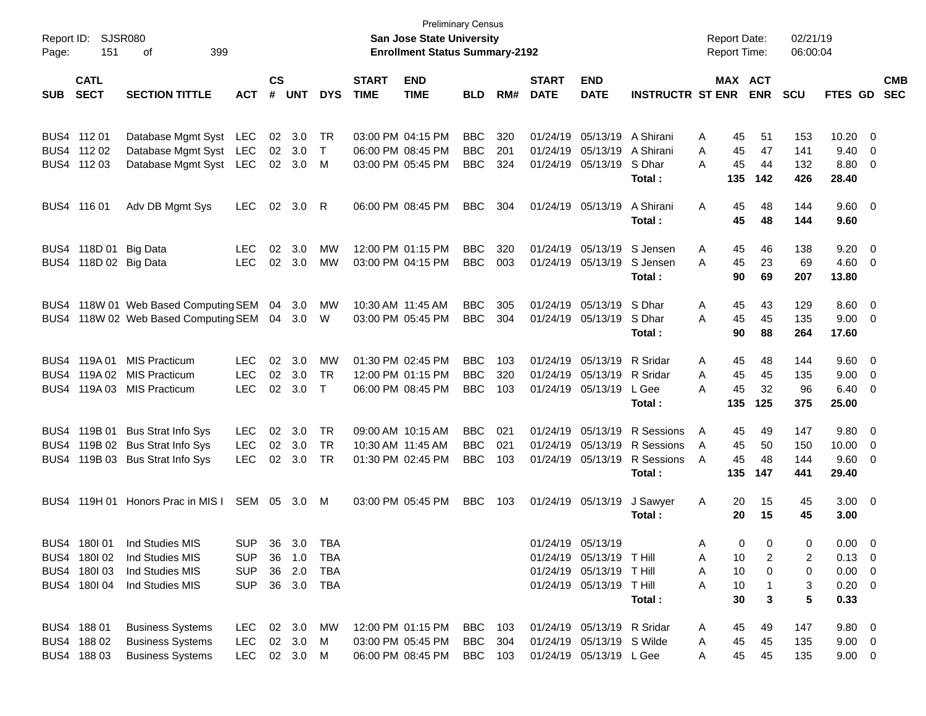| Report ID:<br>Page: | 151                        | <b>SJSR080</b><br>399<br>οf              |              |                             |                |            |                             | <b>Preliminary Census</b><br><b>San Jose State University</b><br><b>Enrollment Status Summary-2192</b> |            |     |                             |                            |                         |   | <b>Report Date:</b><br><b>Report Time:</b> |            | 02/21/19<br>06:00:04 |                |                         |                          |
|---------------------|----------------------------|------------------------------------------|--------------|-----------------------------|----------------|------------|-----------------------------|--------------------------------------------------------------------------------------------------------|------------|-----|-----------------------------|----------------------------|-------------------------|---|--------------------------------------------|------------|----------------------|----------------|-------------------------|--------------------------|
| <b>SUB</b>          | <b>CATL</b><br><b>SECT</b> | <b>SECTION TITTLE</b>                    | <b>ACT</b>   | $\mathbf{c}\mathbf{s}$<br># | <b>UNT</b>     | <b>DYS</b> | <b>START</b><br><b>TIME</b> | <b>END</b><br><b>TIME</b>                                                                              | <b>BLD</b> | RM# | <b>START</b><br><b>DATE</b> | <b>END</b><br><b>DATE</b>  | <b>INSTRUCTR ST ENR</b> |   | MAX ACT                                    | <b>ENR</b> | <b>SCU</b>           | FTES GD        |                         | <b>CMB</b><br><b>SEC</b> |
|                     |                            |                                          |              |                             |                |            |                             |                                                                                                        |            |     |                             |                            |                         |   |                                            |            |                      |                |                         |                          |
|                     | BUS4 112 01                | Database Mgmt Syst                       | LEC          | 02                          | 3.0            | TR         |                             | 03:00 PM 04:15 PM                                                                                      | <b>BBC</b> | 320 | 01/24/19                    | 05/13/19                   | A Shirani               | Α | 45                                         | 51         | 153                  | 10.20          | - 0                     |                          |
|                     | BUS4 112 02                | Database Mgmt Syst                       | LEC          |                             | 02 3.0         | $\top$     |                             | 06:00 PM 08:45 PM                                                                                      | <b>BBC</b> | 201 | 01/24/19                    | 05/13/19                   | A Shirani               | A | 45                                         | 47         | 141                  | 9.40           | $\overline{0}$          |                          |
|                     | BUS4 112 03                | Database Mgmt Syst                       | LEC          |                             | $02 \quad 3.0$ | M          |                             | 03:00 PM 05:45 PM                                                                                      | <b>BBC</b> | 324 |                             | 01/24/19 05/13/19          | S Dhar                  | A | 45                                         | 44         | 132                  | 8.80           | $\overline{0}$          |                          |
|                     |                            |                                          |              |                             |                |            |                             |                                                                                                        |            |     |                             |                            | Total:                  |   | 135                                        | 142        | 426                  | 28.40          |                         |                          |
|                     | BUS4 116 01                | Adv DB Mgmt Sys                          | <b>LEC</b>   | 02                          | 3.0            | R          |                             | 06:00 PM 08:45 PM                                                                                      | <b>BBC</b> | 304 |                             | 01/24/19 05/13/19          | A Shirani               | A | 45                                         | 48         | 144                  | $9.60 \quad 0$ |                         |                          |
|                     |                            |                                          |              |                             |                |            |                             |                                                                                                        |            |     |                             |                            | Total:                  |   | 45                                         | 48         | 144                  | 9.60           |                         |                          |
| BUS4                | 118D 01 Big Data           |                                          | <b>LEC</b>   | 02                          | 3.0            | МW         |                             | 12:00 PM 01:15 PM                                                                                      | <b>BBC</b> | 320 | 01/24/19                    | 05/13/19                   | S Jensen                | A | 45                                         | 46         | 138                  | 9.20           | $\overline{\mathbf{0}}$ |                          |
| BUS4                | 118D 02 Big Data           |                                          | <b>LEC</b>   | 02                          | 3.0            | MW         |                             | 03:00 PM 04:15 PM                                                                                      | <b>BBC</b> | 003 |                             | 01/24/19 05/13/19          | S Jensen                | A | 45                                         | 23         | 69                   | 4.60           | $\overline{0}$          |                          |
|                     |                            |                                          |              |                             |                |            |                             |                                                                                                        |            |     |                             |                            | Total:                  |   | 90                                         | 69         | 207                  | 13.80          |                         |                          |
| BUS4                |                            | 118W 01 Web Based Computing SEM          |              | 04                          | 3.0            | MW         |                             | 10:30 AM 11:45 AM                                                                                      | <b>BBC</b> | 305 |                             | 01/24/19 05/13/19          | S Dhar                  | A | 45                                         | 43         | 129                  | 8.60           | $\overline{\mathbf{0}}$ |                          |
| BUS4                |                            | 118W 02 Web Based Computing SEM 04 3.0 W |              |                             |                |            |                             | 03:00 PM 05:45 PM                                                                                      | <b>BBC</b> | 304 |                             | 01/24/19 05/13/19          | S Dhar                  | A | 45                                         | 45         | 135                  | 9.00           | $\overline{0}$          |                          |
|                     |                            |                                          |              |                             |                |            |                             |                                                                                                        |            |     |                             |                            | Total:                  |   | 90                                         | 88         | 264                  | 17.60          |                         |                          |
| BUS4                | 119A 01                    | <b>MIS Practicum</b>                     | <b>LEC</b>   | 02                          | 3.0            | MW         |                             | 01:30 PM 02:45 PM                                                                                      | <b>BBC</b> | 103 | 01/24/19                    | 05/13/19                   | R Sridar                | A | 45                                         | 48         | 144                  | 9.60           | $\overline{\mathbf{0}}$ |                          |
| BUS4                | 119A 02                    | <b>MIS Practicum</b>                     | <b>LEC</b>   | 02                          | 3.0            | TR         |                             | 12:00 PM 01:15 PM                                                                                      | <b>BBC</b> | 320 | 01/24/19                    | 05/13/19                   | R Sridar                | A | 45                                         | 45         | 135                  | 9.00           | $\overline{0}$          |                          |
| BUS4                |                            | 119A 03 MIS Practicum                    | <b>LEC</b>   | 02                          | 3.0            | $\top$     |                             | 06:00 PM 08:45 PM                                                                                      | <b>BBC</b> | 103 |                             | 01/24/19 05/13/19          | L Gee                   | А | 45                                         | 32         | 96                   | 6.40           | $\overline{0}$          |                          |
|                     |                            |                                          |              |                             |                |            |                             |                                                                                                        |            |     |                             |                            | Total:                  |   | 135                                        | 125        | 375                  | 25.00          |                         |                          |
| BUS4                | 119B 01                    | <b>Bus Strat Info Sys</b>                | <b>LEC</b>   | 02                          | 3.0            | TR         |                             | 09:00 AM 10:15 AM                                                                                      | <b>BBC</b> | 021 | 01/24/19                    | 05/13/19                   | R Sessions              | A | 45                                         | 49         | 147                  | 9.80           | $\overline{\mathbf{0}}$ |                          |
| BUS4                |                            | 119B 02 Bus Strat Info Sys               | <b>LEC</b>   | 02                          | 3.0            | TR         |                             | 10:30 AM 11:45 AM                                                                                      | <b>BBC</b> | 021 | 01/24/19                    | 05/13/19                   | R Sessions              | A | 45                                         | 50         | 150                  | 10.00          | $\overline{0}$          |                          |
| BUS4                |                            | 119B 03 Bus Strat Info Sys               | <b>LEC</b>   | 02                          | 3.0            | TR         |                             | 01:30 PM 02:45 PM                                                                                      | <b>BBC</b> | 103 |                             | 01/24/19 05/13/19          | R Sessions              | A | 45                                         | 48         | 144                  | 9.60           | $\overline{0}$          |                          |
|                     |                            |                                          |              |                             |                |            |                             |                                                                                                        |            |     |                             |                            | Total:                  |   | 135                                        | 147        | 441                  | 29.40          |                         |                          |
| BUS4                |                            | 119H 01 Honors Prac in MIS I             | SEM 05 3.0   |                             |                | M          |                             | 03:00 PM 05:45 PM                                                                                      | <b>BBC</b> | 103 |                             | 01/24/19 05/13/19          | J Sawyer                | A | 20                                         | 15         | 45                   | $3.00 \ 0$     |                         |                          |
|                     |                            |                                          |              |                             |                |            |                             |                                                                                                        |            |     |                             |                            | Total:                  |   | 20                                         | 15         | 45                   | 3.00           |                         |                          |
|                     | BUS4 180 01                | Ind Studies MIS                          | <b>SUP</b>   |                             | 36 3.0         | TBA        |                             |                                                                                                        |            |     |                             | 01/24/19 05/13/19          |                         | A | $\Omega$                                   | $\Omega$   | $\Omega$             | $0.00 \quad 0$ |                         |                          |
|                     | BUS4 180102                | Ind Studies MIS                          | <b>SUP</b>   |                             | 36 1.0         | TBA        |                             |                                                                                                        |            |     |                             | 01/24/19 05/13/19 T Hill   |                         | A | 10                                         | 2          | 2                    | $0.13 \quad 0$ |                         |                          |
|                     | BUS4 180103                | Ind Studies MIS                          | <b>SUP</b>   | 36                          | 2.0            | <b>TBA</b> |                             |                                                                                                        |            |     |                             | 01/24/19 05/13/19          | T Hill                  | A | 10                                         | 0          | 0                    | $0.00 \t 0$    |                         |                          |
|                     | BUS4 180104                | Ind Studies MIS                          | <b>SUP</b>   |                             | 36 3.0         | TBA        |                             |                                                                                                        |            |     |                             | 01/24/19 05/13/19 T Hill   |                         | Α | 10                                         |            | 3                    | $0.20 \t 0$    |                         |                          |
|                     |                            |                                          |              |                             |                |            |                             |                                                                                                        |            |     |                             |                            | Total:                  |   | 30                                         | 3          | 5                    | 0.33           |                         |                          |
|                     | BUS4 188 01                | <b>Business Systems</b>                  | LEC          |                             | 02 3.0         | МW         |                             | 12:00 PM 01:15 PM                                                                                      | BBC        | 103 |                             | 01/24/19 05/13/19 R Sridar |                         | A | 45                                         | 49         | 147                  | $9.80\quad 0$  |                         |                          |
|                     | BUS4 188 02                | <b>Business Systems</b>                  | <b>LEC</b>   |                             | 02 3.0         | M          |                             | 03:00 PM 05:45 PM                                                                                      | <b>BBC</b> | 304 |                             | 01/24/19 05/13/19 S Wilde  |                         | A | 45                                         | 45         | 135                  | $9.00 \t 0$    |                         |                          |
|                     | BUS4 188 03                | <b>Business Systems</b>                  | LEC 02 3.0 M |                             |                |            |                             | 06:00 PM 08:45 PM                                                                                      | BBC 103    |     |                             | 01/24/19 05/13/19 L Gee    |                         | A | 45                                         | 45         | 135                  | $9.00 \t 0$    |                         |                          |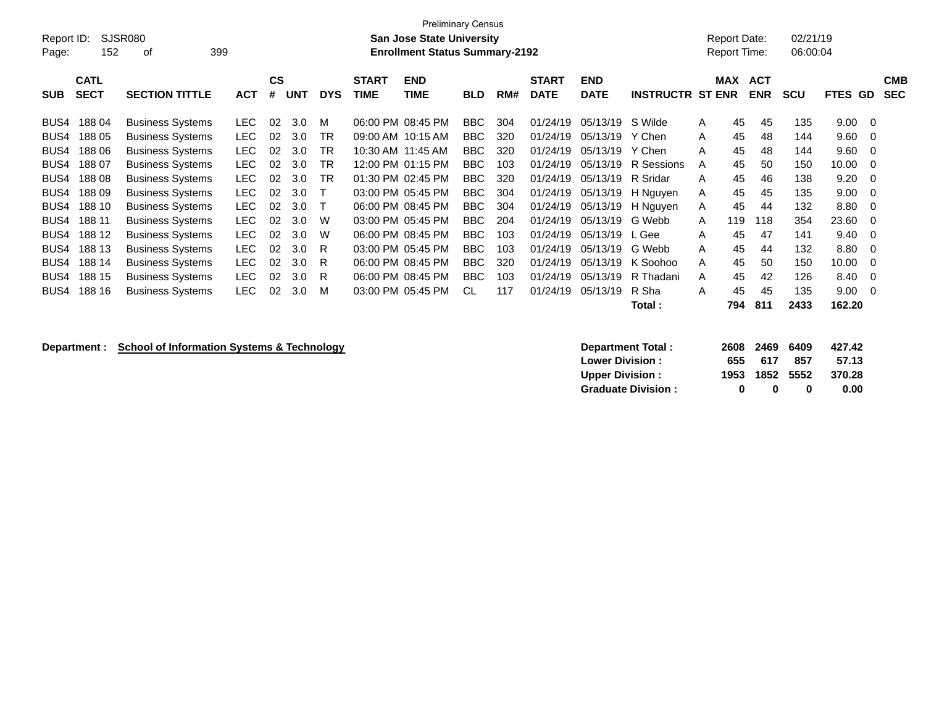| Report ID:<br>Page: | 152         | SJSR080<br>399<br>οf    |            |           |            |            |                   | <b>Preliminary Census</b><br><b>San Jose State University</b><br><b>Enrollment Status Summary-2192</b> |            |     |              |             |                         |   | Report Date:<br><b>Report Time:</b> |            | 02/21/19<br>06:00:04 |         |            |
|---------------------|-------------|-------------------------|------------|-----------|------------|------------|-------------------|--------------------------------------------------------------------------------------------------------|------------|-----|--------------|-------------|-------------------------|---|-------------------------------------|------------|----------------------|---------|------------|
|                     | <b>CATL</b> |                         |            | <b>CS</b> |            |            | <b>START</b>      | <b>END</b>                                                                                             |            |     | <b>START</b> | <b>END</b>  |                         |   | <b>MAX</b>                          | <b>ACT</b> |                      |         | <b>CMB</b> |
| <b>SUB</b>          | <b>SECT</b> | <b>SECTION TITTLE</b>   | <b>ACT</b> | #         | <b>UNT</b> | <b>DYS</b> | <b>TIME</b>       | <b>TIME</b>                                                                                            | <b>BLD</b> | RM# | <b>DATE</b>  | <b>DATE</b> | <b>INSTRUCTR ST ENR</b> |   |                                     | <b>ENR</b> | <b>SCU</b>           | FTES GD | <b>SEC</b> |
| BUS4                | 18804       | <b>Business Systems</b> | <b>LEC</b> | 02        | 3.0        | м          | 06:00 PM 08:45 PM |                                                                                                        | <b>BBC</b> | 304 | 01/24/19     | 05/13/19    | S Wilde                 | A | 45                                  | 45         | 135                  | 9.00    | - 0        |
| BUS4                | 188 05      | <b>Business Systems</b> | <b>LEC</b> | 02        | 3.0        | TR         |                   | 09:00 AM 10:15 AM                                                                                      | <b>BBC</b> | 320 | 01/24/19     | 05/13/19    | Y Chen                  | A | 45                                  | 48         | 144                  | 9.60    | 0          |
| BUS4                | 18806       | <b>Business Systems</b> | <b>LEC</b> | 02        | 3.0        | TR         | 10:30 AM 11:45 AM |                                                                                                        | <b>BBC</b> | 320 | 01/24/19     | 05/13/19    | Y Chen                  | A | 45                                  | 48         | 144                  | 9.60    | -0         |
| BUS4                | 18807       | <b>Business Systems</b> | <b>LEC</b> | 02        | 3.0        | ТR         |                   | 12:00 PM 01:15 PM                                                                                      | <b>BBC</b> | 103 | 01/24/19     | 05/13/19    | R Sessions              | A | 45                                  | 50         | 150                  | 10.00   | - 0        |
| BUS4                | 18808       | <b>Business Systems</b> | <b>LEC</b> | 02        | 3.0        | <b>TR</b>  | 01:30 PM 02:45 PM |                                                                                                        | BBC.       | 320 | 01/24/19     | 05/13/19    | R Sridar                | A | 45                                  | 46         | 138                  | 9.20    | - 0        |
| BUS4                | 18809       | <b>Business Systems</b> | <b>LEC</b> | 02        | 3.0        |            |                   | 03:00 PM 05:45 PM                                                                                      | <b>BBC</b> | 304 | 01/24/19     | 05/13/19    | H Nguyen                | A | 45                                  | 45         | 135                  | 9.00    | - 0        |
| BUS4                | 188 10      | <b>Business Systems</b> | <b>LEC</b> | 02        | 3.0        |            | 06:00 PM 08:45 PM |                                                                                                        | <b>BBC</b> | 304 | 01/24/19     | 05/13/19    | H Nguyen                | Α | 45                                  | 44         | 132                  | 8.80    | -0         |
| BUS4                | 188 11      | <b>Business Systems</b> | <b>LEC</b> | 02        | 3.0        | W          | 03:00 PM 05:45 PM |                                                                                                        | BBC.       | 204 | 01/24/19     | 05/13/19    | G Webb                  | A | 119                                 | 118        | 354                  | 23.60   | -0         |
| BUS4                | 188 12      | <b>Business Systems</b> | <b>LEC</b> | 02        | 3.0        | W          |                   | 06:00 PM 08:45 PM                                                                                      | <b>BBC</b> | 103 | 01/24/19     | 05/13/19    | L Gee                   | A | 45                                  | 47         | 141                  | 9.40    | 0          |
| BUS4                | 188 13      | <b>Business Systems</b> | <b>LEC</b> | 02        | 3.0        | R          | 03:00 PM 05:45 PM |                                                                                                        | <b>BBC</b> | 103 | 01/24/19     | 05/13/19    | G Webb                  | A | 45                                  | 44         | 132                  | 8.80    | 0          |
| BUS4                | 188 14      | <b>Business Systems</b> | LEC.       | 02        | 3.0        | R          | 06:00 PM 08:45 PM |                                                                                                        | <b>BBC</b> | 320 | 01/24/19     | 05/13/19    | K Soohoo                | A | 45                                  | 50         | 150                  | 10.00   | - 0        |
| BUS4                | 188 15      | <b>Business Systems</b> | <b>LEC</b> | 02        | 3.0        | R          | 06:00 PM 08:45 PM |                                                                                                        | <b>BBC</b> | 103 | 01/24/19     | 05/13/19    | R Thadani               | A | 45                                  | 42         | 126                  | 8.40    | -0         |
| BUS4                | 188 16      | <b>Business Systems</b> | <b>LEC</b> | 02        | 3.0        | м          | 03:00 PM 05:45 PM |                                                                                                        | CL         | 117 | 01/24/19     | 05/13/19    | R Sha                   | A | 45                                  | 45         | 135                  | 9.00    | 0          |
|                     |             |                         |            |           |            |            |                   |                                                                                                        |            |     |              |             | Total :                 |   | 794                                 | 811        | 2433                 | 162.20  |            |

**Department : School of Information Systems & Technology and School School of Information Systems & Technology Compartment Total : 2608 2469 6409 427.42<br>Lower Division : 265 617 857 57.13 Lower Division : 655 617 857 57.13 Upper Division : 1953 1852 5552 370.28<br>
Graduate Division : 0 0 0 0 0.00** Graduate Division : 0 0 0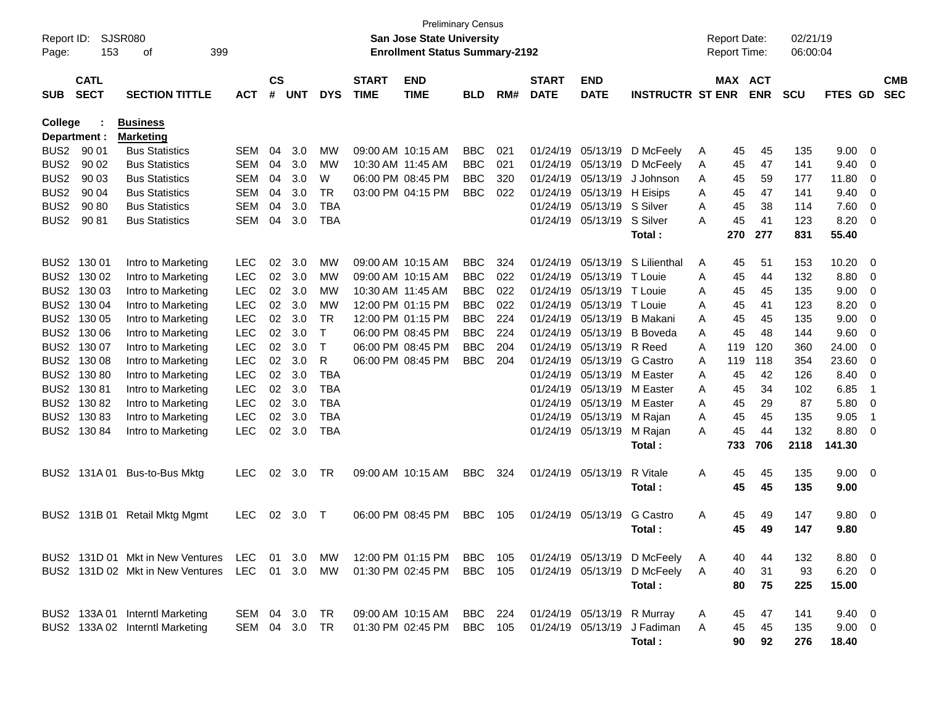| Report ID:<br>Page: | 153                        | SJSR080<br>399<br>οf                |            |                    |            |            |                             | <b>Preliminary Census</b><br><b>San Jose State University</b><br><b>Enrollment Status Summary-2192</b> |            |     |                             |                           |                             |   | <b>Report Date:</b><br><b>Report Time:</b> |            | 02/21/19<br>06:00:04 |                |                          |                          |
|---------------------|----------------------------|-------------------------------------|------------|--------------------|------------|------------|-----------------------------|--------------------------------------------------------------------------------------------------------|------------|-----|-----------------------------|---------------------------|-----------------------------|---|--------------------------------------------|------------|----------------------|----------------|--------------------------|--------------------------|
| <b>SUB</b>          | <b>CATL</b><br><b>SECT</b> | <b>SECTION TITTLE</b>               | <b>ACT</b> | $\mathsf{cs}$<br># | <b>UNT</b> | <b>DYS</b> | <b>START</b><br><b>TIME</b> | <b>END</b><br><b>TIME</b>                                                                              | <b>BLD</b> | RM# | <b>START</b><br><b>DATE</b> | <b>END</b><br><b>DATE</b> | <b>INSTRUCTR ST ENR</b>     |   | MAX ACT                                    | <b>ENR</b> | <b>SCU</b>           | FTES GD        |                          | <b>CMB</b><br><b>SEC</b> |
| College             | Department :               | <b>Business</b><br><b>Marketing</b> |            |                    |            |            |                             |                                                                                                        |            |     |                             |                           |                             |   |                                            |            |                      |                |                          |                          |
| BUS <sub>2</sub>    | 90 01                      | <b>Bus Statistics</b>               | <b>SEM</b> | 04                 | 3.0        | МW         | 09:00 AM 10:15 AM           |                                                                                                        | <b>BBC</b> | 021 | 01/24/19                    | 05/13/19                  | D McFeely                   | Α | 45                                         | 45         | 135                  | 9.00           | 0                        |                          |
| BUS <sub>2</sub>    | 90 02                      | <b>Bus Statistics</b>               | <b>SEM</b> | 04                 | 3.0        | МW         | 10:30 AM 11:45 AM           |                                                                                                        | <b>BBC</b> | 021 | 01/24/19                    | 05/13/19                  | D McFeely                   | Α | 45                                         | 47         | 141                  | 9.40           | 0                        |                          |
| BUS <sub>2</sub>    | 90 03                      | <b>Bus Statistics</b>               | <b>SEM</b> | 04                 | 3.0        | W          |                             | 06:00 PM 08:45 PM                                                                                      | <b>BBC</b> | 320 | 01/24/19                    | 05/13/19                  | J Johnson                   | A | 45                                         | 59         | 177                  | 11.80          | 0                        |                          |
| BUS <sub>2</sub>    | 90 04                      | <b>Bus Statistics</b>               | <b>SEM</b> | 04                 | 3.0        | <b>TR</b>  |                             | 03:00 PM 04:15 PM                                                                                      | <b>BBC</b> | 022 | 01/24/19                    | 05/13/19                  | H Eisips                    | A | 45                                         | 47         | 141                  | 9.40           | 0                        |                          |
| BUS <sub>2</sub>    | 90 80                      | <b>Bus Statistics</b>               | <b>SEM</b> | 04                 | 3.0        | <b>TBA</b> |                             |                                                                                                        |            |     | 01/24/19                    | 05/13/19                  | S Silver                    | A | 45                                         | 38         | 114                  | 7.60           | 0                        |                          |
| BUS <sub>2</sub>    | 90 81                      | <b>Bus Statistics</b>               | SEM        | 04                 | 3.0        | <b>TBA</b> |                             |                                                                                                        |            |     | 01/24/19                    | 05/13/19                  | S Silver                    | A | 45                                         | 41         | 123                  | 8.20           | 0                        |                          |
|                     |                            |                                     |            |                    |            |            |                             |                                                                                                        |            |     |                             |                           | Total:                      |   | 270                                        | 277        | 831                  | 55.40          |                          |                          |
| BUS <sub>2</sub>    | 130 01                     | Intro to Marketing                  | <b>LEC</b> | 02                 | 3.0        | МW         | 09:00 AM 10:15 AM           |                                                                                                        | <b>BBC</b> | 324 | 01/24/19                    | 05/13/19                  | S Lilienthal                | Α | 45                                         | 51         | 153                  | 10.20          | 0                        |                          |
| BUS <sub>2</sub>    | 130 02                     | Intro to Marketing                  | <b>LEC</b> | 02                 | 3.0        | MW         | 09:00 AM 10:15 AM           |                                                                                                        | <b>BBC</b> | 022 | 01/24/19                    | 05/13/19                  | T Louie                     | A | 45                                         | 44         | 132                  | 8.80           | 0                        |                          |
| BUS <sub>2</sub>    | 130 03                     | Intro to Marketing                  | LEC        | 02                 | 3.0        | МW         |                             | 10:30 AM 11:45 AM                                                                                      | <b>BBC</b> | 022 | 01/24/19                    | 05/13/19                  | T Louie                     | A | 45                                         | 45         | 135                  | 9.00           | 0                        |                          |
| BUS <sub>2</sub>    | 130 04                     | Intro to Marketing                  | LEC        | 02                 | 3.0        | МW         |                             | 12:00 PM 01:15 PM                                                                                      | <b>BBC</b> | 022 | 01/24/19                    | 05/13/19                  | T Louie                     | A | 45                                         | 41         | 123                  | 8.20           | 0                        |                          |
| BUS <sub>2</sub>    | 130 05                     | Intro to Marketing                  | LEC        | 02                 | 3.0        | <b>TR</b>  |                             | 12:00 PM 01:15 PM                                                                                      | <b>BBC</b> | 224 | 01/24/19                    | 05/13/19                  | <b>B</b> Makani             | A | 45                                         | 45         | 135                  | 9.00           | 0                        |                          |
| BUS <sub>2</sub>    | 130 06                     | Intro to Marketing                  | LEC        | 02                 | 3.0        | т          |                             | 06:00 PM 08:45 PM                                                                                      | <b>BBC</b> | 224 | 01/24/19                    | 05/13/19                  | <b>B</b> Boveda             | A | 45                                         | 48         | 144                  | 9.60           | 0                        |                          |
| BUS <sub>2</sub>    | 130 07                     | Intro to Marketing                  | LEC        | 02                 | 3.0        | Т          |                             | 06:00 PM 08:45 PM                                                                                      | <b>BBC</b> | 204 | 01/24/19                    | 05/13/19                  | R Reed                      | A | 119                                        | 120        | 360                  | 24.00          | 0                        |                          |
| BUS <sub>2</sub>    | 130 08                     | Intro to Marketing                  | LEC        | 02                 | 3.0        | R          |                             | 06:00 PM 08:45 PM                                                                                      | <b>BBC</b> | 204 | 01/24/19                    | 05/13/19                  | G Castro                    | A | 119                                        | 118        | 354                  | 23.60          | 0                        |                          |
| BUS <sub>2</sub>    | 130 80                     | Intro to Marketing                  | LEC        | 02                 | 3.0        | <b>TBA</b> |                             |                                                                                                        |            |     | 01/24/19                    | 05/13/19                  | M Easter                    | A | 45                                         | 42         | 126                  | 8.40           | 0                        |                          |
| BUS <sub>2</sub>    | 13081                      | Intro to Marketing                  | LEC        | 02                 | 3.0        | <b>TBA</b> |                             |                                                                                                        |            |     | 01/24/19                    | 05/13/19                  | M Easter                    | A | 45                                         | 34         | 102                  | 6.85           | -1                       |                          |
| BUS <sub>2</sub>    | 130 82                     | Intro to Marketing                  | LEC        | 02                 | 3.0        | <b>TBA</b> |                             |                                                                                                        |            |     | 01/24/19                    | 05/13/19                  | M Easter                    | A | 45                                         | 29         | 87                   | 5.80           | 0                        |                          |
| BUS <sub>2</sub>    | 13083                      | Intro to Marketing                  | <b>LEC</b> | 02                 | 3.0        | <b>TBA</b> |                             |                                                                                                        |            |     | 01/24/19                    | 05/13/19                  | M Rajan                     | A | 45                                         | 45         | 135                  | 9.05           | $\overline{\mathbf{1}}$  |                          |
| BUS <sub>2</sub>    | 130 84                     | Intro to Marketing                  | <b>LEC</b> | 02                 | 3.0        | <b>TBA</b> |                             |                                                                                                        |            |     | 01/24/19                    | 05/13/19                  | M Rajan<br>Total:           | A | 45<br>733                                  | 44<br>706  | 132<br>2118          | 8.80<br>141.30 | 0                        |                          |
| BUS <sub>2</sub>    | 131A 01                    | Bus-to-Bus Mktg                     | <b>LEC</b> | 02                 | 3.0        | TR         | 09:00 AM 10:15 AM           |                                                                                                        | <b>BBC</b> | 324 | 01/24/19                    | 05/13/19                  | R Vitale                    | A | 45                                         | 45         | 135                  | 9.00           | - 0                      |                          |
|                     |                            |                                     |            |                    |            |            |                             |                                                                                                        |            |     |                             |                           | Total:                      |   | 45                                         | 45         | 135                  | 9.00           |                          |                          |
| BUS <sub>2</sub>    |                            | 131B 01 Retail Mktg Mgmt            | <b>LEC</b> | 02                 | 3.0        | Т          |                             | 06:00 PM 08:45 PM                                                                                      | <b>BBC</b> | 105 | 01/24/19                    | 05/13/19                  | <b>G</b> Castro             | A | 45                                         | 49         | 147                  | 9.80           | $\overline{\mathbf{0}}$  |                          |
|                     |                            |                                     |            |                    |            |            |                             |                                                                                                        |            |     |                             |                           | Total:                      |   | 45                                         | 49         | 147                  | 9.80           |                          |                          |
|                     |                            | BUS2 131D 01 Mkt in New Ventures    | LEC        | 01                 | 3.0        | MW         |                             | 12:00 PM 01:15 PM                                                                                      | BBC        | 105 |                             |                           | 01/24/19 05/13/19 D McFeely | A | 40                                         | 44         | 132                  | 8.80           | $\overline{\phantom{0}}$ |                          |
|                     |                            | BUS2 131D 02 Mkt in New Ventures    | LEC 01 3.0 |                    |            | MW         |                             | 01:30 PM 02:45 PM                                                                                      | <b>BBC</b> | 105 |                             | 01/24/19 05/13/19         | D McFeely                   | A | 40                                         | 31         | 93                   | $6.20 \ 0$     |                          |                          |
|                     |                            |                                     |            |                    |            |            |                             |                                                                                                        |            |     |                             |                           | Total:                      |   | 80                                         | 75         | 225                  | 15.00          |                          |                          |
|                     |                            | BUS2 133A 01 Interntl Marketing     | SEM 04 3.0 |                    |            | TR         |                             | 09:00 AM 10:15 AM                                                                                      | BBC        | 224 |                             | 01/24/19 05/13/19         | R Murray                    | A | 45                                         | 47         | 141                  | $9.40 \quad 0$ |                          |                          |
|                     |                            | BUS2 133A 02 Interntl Marketing     | SEM 04     |                    | 3.0        | TR         |                             | 01:30 PM 02:45 PM                                                                                      | BBC        | 105 |                             | 01/24/19 05/13/19         | J Fadiman                   | A | 45                                         | 45         | 135                  | $9.00 \t 0$    |                          |                          |
|                     |                            |                                     |            |                    |            |            |                             |                                                                                                        |            |     |                             |                           | Total:                      |   | 90                                         | 92         | 276                  | 18.40          |                          |                          |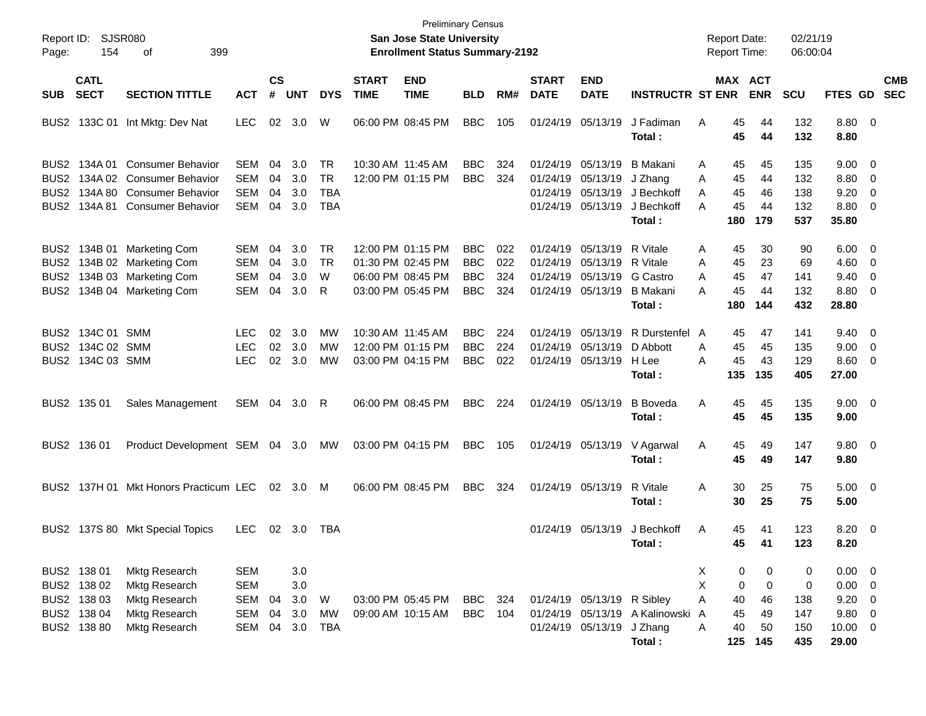| Report ID:<br>Page:                  | 154                                                                     | SJSR080<br>399<br>οf                                                                                                      |                                                      |                      |                                 |                                                    |                             | <b>San Jose State University</b><br><b>Enrollment Status Summary-2192</b>        | <b>Preliminary Census</b>                            |                          |                             |                                                                                                             |                                                       | <b>Report Date:</b><br><b>Report Time:</b> |                             |                                     | 02/21/19<br>06:00:04               |                                                                             |                          |
|--------------------------------------|-------------------------------------------------------------------------|---------------------------------------------------------------------------------------------------------------------------|------------------------------------------------------|----------------------|---------------------------------|----------------------------------------------------|-----------------------------|----------------------------------------------------------------------------------|------------------------------------------------------|--------------------------|-----------------------------|-------------------------------------------------------------------------------------------------------------|-------------------------------------------------------|--------------------------------------------|-----------------------------|-------------------------------------|------------------------------------|-----------------------------------------------------------------------------|--------------------------|
| <b>SUB</b>                           | <b>CATL</b><br><b>SECT</b>                                              | <b>SECTION TITTLE</b>                                                                                                     | <b>ACT</b>                                           | <b>CS</b><br>#       | <b>UNT</b>                      | <b>DYS</b>                                         | <b>START</b><br><b>TIME</b> | <b>END</b><br><b>TIME</b>                                                        | <b>BLD</b>                                           | RM#                      | <b>START</b><br><b>DATE</b> | <b>END</b><br><b>DATE</b>                                                                                   | <b>INSTRUCTR ST ENR</b>                               |                                            |                             | MAX ACT<br><b>ENR</b>               | <b>SCU</b>                         | FTES GD                                                                     | <b>CMB</b><br><b>SEC</b> |
|                                      |                                                                         | BUS2 133C 01 Int Mktg: Dev Nat                                                                                            | <b>LEC</b>                                           |                      | 02 3.0                          | W                                                  |                             | 06:00 PM 08:45 PM                                                                | <b>BBC</b>                                           | 105                      |                             | 01/24/19 05/13/19                                                                                           | J Fadiman<br>Total :                                  | A                                          | 45<br>45                    | 44<br>44                            | 132<br>132                         | $8.80\ 0$<br>8.80                                                           |                          |
| BUS <sub>2</sub>                     | BUS2 134A 01                                                            | <b>Consumer Behavior</b><br>BUS2 134A 02 Consumer Behavior<br>BUS2 134A 80 Consumer Behavior<br>134A 81 Consumer Behavior | SEM<br>SEM<br>SEM<br>SEM                             | 04<br>04<br>04<br>04 | 3.0<br>3.0<br>3.0<br>3.0        | <b>TR</b><br><b>TR</b><br><b>TBA</b><br><b>TBA</b> |                             | 10:30 AM 11:45 AM<br>12:00 PM 01:15 PM                                           | <b>BBC</b><br><b>BBC</b>                             | 324<br>324               |                             | 01/24/19 05/13/19 B Makani<br>01/24/19 05/13/19 J Zhang<br>01/24/19 05/13/19                                | 01/24/19 05/13/19 J Bechkoff<br>J Bechkoff<br>Total : | A<br>A<br>A<br>Α                           | 45<br>45<br>45<br>45<br>180 | 45<br>44<br>46<br>44<br>179         | 135<br>132<br>138<br>132<br>537    | $9.00 \quad 0$<br>8.80 0<br>$9.20 \ 0$<br>8.80 0<br>35.80                   |                          |
| BUS <sub>2</sub><br>BUS <sub>2</sub> |                                                                         | BUS2 134B 01 Marketing Com<br>BUS2 134B 02 Marketing Com<br>134B 03 Marketing Com<br>134B 04 Marketing Com                | SEM<br>SEM<br><b>SEM</b><br>SEM                      | 04<br>04<br>04<br>04 | 3.0<br>3.0<br>3.0<br>3.0        | <b>TR</b><br>TR<br>W<br>R                          |                             | 12:00 PM 01:15 PM<br>01:30 PM 02:45 PM<br>06:00 PM 08:45 PM<br>03:00 PM 05:45 PM | <b>BBC</b><br><b>BBC</b><br><b>BBC</b><br><b>BBC</b> | 022<br>022<br>324<br>324 |                             | 01/24/19 05/13/19 R Vitale<br>01/24/19 05/13/19 R Vitale<br>01/24/19 05/13/19 G Castro<br>01/24/19 05/13/19 | B Makani<br>Total :                                   | Α<br>A<br>A<br>A                           | 45<br>45<br>45<br>45<br>180 | 30<br>23<br>47<br>44<br>144         | 90<br>69<br>141<br>132<br>432      | $6.00 \quad 0$<br>$4.60$ 0<br>$9.40 \quad 0$<br>$8.80\ 0$<br>28.80          |                          |
|                                      | BUS2 134C 01 SMM<br>BUS2 134C 02 SMM<br>BUS2 134C 03 SMM                |                                                                                                                           | <b>LEC</b><br><b>LEC</b><br><b>LEC</b>               | 02<br>02             | 3.0<br>3.0<br>02 3.0            | МW<br>MW<br>МW                                     |                             | 10:30 AM 11:45 AM<br>12:00 PM 01:15 PM<br>03:00 PM 04:15 PM                      | <b>BBC</b><br><b>BBC</b><br><b>BBC</b>               | 224<br>224<br>022        |                             | 01/24/19 05/13/19 D Abbott<br>01/24/19 05/13/19                                                             | 01/24/19 05/13/19 R Durstenfel<br>H Lee<br>Total :    | A<br>A<br>A                                | 45<br>45<br>45<br>135       | 47<br>45<br>43<br>135               | 141<br>135<br>129<br>405           | $9.40 \quad 0$<br>$9.00 \t 0$<br>8.60 0<br>27.00                            |                          |
|                                      | BUS2 135 01                                                             | Sales Management                                                                                                          | SEM 04                                               |                      | 3.0                             | R                                                  |                             | 06:00 PM 08:45 PM                                                                | <b>BBC</b>                                           | 224                      |                             | 01/24/19 05/13/19                                                                                           | <b>B</b> Boveda<br>Total :                            | A                                          | 45<br>45                    | 45<br>45                            | 135<br>135                         | $9.00 \quad 0$<br>9.00                                                      |                          |
|                                      | BUS2 136 01                                                             | Product Development SEM 04 3.0                                                                                            |                                                      |                      |                                 | МW                                                 |                             | 03:00 PM 04:15 PM                                                                | <b>BBC</b>                                           | 105                      |                             |                                                                                                             | 01/24/19 05/13/19 V Agarwal<br>Total:                 | A                                          | 45<br>45                    | 49<br>49                            | 147<br>147                         | $9.80\quad 0$<br>9.80                                                       |                          |
|                                      |                                                                         | BUS2 137H 01 Mkt Honors Practicum LEC                                                                                     |                                                      |                      | 02 3.0 M                        |                                                    |                             | 06:00 PM 08:45 PM                                                                | <b>BBC</b>                                           | 324                      |                             | 01/24/19 05/13/19                                                                                           | R Vitale<br>Total :                                   | A                                          | 30<br>30                    | 25<br>25                            | 75<br>75                           | $5.00 \t 0$<br>5.00                                                         |                          |
|                                      |                                                                         | BUS2 137S 80 Mkt Special Topics                                                                                           | <b>LEC</b>                                           |                      | 02 3.0                          | TBA                                                |                             |                                                                                  |                                                      |                          |                             | 01/24/19 05/13/19                                                                                           | J Bechkoff<br>Total:                                  | A                                          | 45<br>45                    | 41<br>41                            | 123<br>123                         | $8.20 \ 0$<br>8.20                                                          |                          |
|                                      | BUS2 138 01<br>BUS2 138 02<br>BUS2 138 03<br>BUS2 138 04<br>BUS2 138 80 | Mktg Research<br>Mktg Research<br>Mktg Research<br>Mktg Research<br>Mktg Research                                         | <b>SEM</b><br><b>SEM</b><br>SEM<br><b>SEM</b><br>SEM | 04<br>04<br>04       | 3.0<br>3.0<br>3.0<br>3.0<br>3.0 | W<br>MW<br>TBA                                     |                             | 03:00 PM 05:45 PM<br>09:00 AM 10:15 AM                                           | <b>BBC</b><br><b>BBC</b>                             | 324<br>104               |                             | 01/24/19 05/13/19 R Sibley<br>01/24/19 05/13/19 J Zhang                                                     | 01/24/19 05/13/19 A Kalinowski<br>Total:              | X.<br>X<br>A<br>A<br>A                     | 0<br>0<br>40<br>45<br>40    | 0<br>0<br>46<br>49<br>50<br>125 145 | 0<br>0<br>138<br>147<br>150<br>435 | $0.00 \t 0$<br>$0.00 \t 0$<br>$9.20 \ 0$<br>9.80 0<br>$10.00 \t 0$<br>29.00 |                          |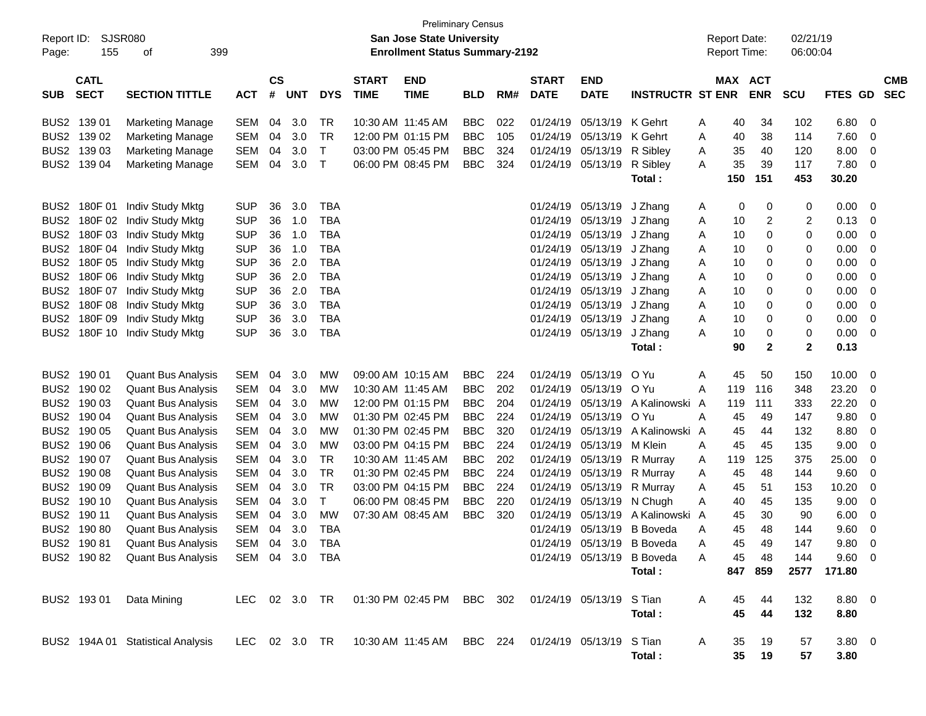| Report ID:<br>Page: | SJSR080<br>155                                                    | 399<br>οf                                     |            |    |                             |            |                             | <b>Preliminary Census</b><br><b>San Jose State University</b><br><b>Enrollment Status Summary-2192</b> |            |     |                             |                           |                            |   | <b>Report Date:</b><br><b>Report Time:</b> |                | 02/21/19<br>06:00:04 |                |          |                          |
|---------------------|-------------------------------------------------------------------|-----------------------------------------------|------------|----|-----------------------------|------------|-----------------------------|--------------------------------------------------------------------------------------------------------|------------|-----|-----------------------------|---------------------------|----------------------------|---|--------------------------------------------|----------------|----------------------|----------------|----------|--------------------------|
| <b>SUB</b>          | <b>CATL</b><br><b>SECT</b><br><b>SECTION TITTLE</b><br><b>ACT</b> |                                               |            |    | $\mathsf{cs}$<br><b>UNT</b> | <b>DYS</b> | <b>START</b><br><b>TIME</b> | <b>END</b><br><b>TIME</b>                                                                              | <b>BLD</b> | RM# | <b>START</b><br><b>DATE</b> | <b>END</b><br><b>DATE</b> | <b>INSTRUCTR ST ENR</b>    |   | MAX ACT                                    | <b>ENR</b>     | <b>SCU</b>           | <b>FTES</b>    | GD       | <b>CMB</b><br><b>SEC</b> |
| BUS <sub>2</sub>    | 139 01                                                            | <b>Marketing Manage</b>                       | <b>SEM</b> | 04 | 3.0                         | <b>TR</b>  | 10:30 AM 11:45 AM           |                                                                                                        | <b>BBC</b> | 022 | 01/24/19                    | 05/13/19                  | K Gehrt                    | A | 40                                         | 34             | 102                  | 6.80           | 0        |                          |
| BUS <sub>2</sub>    | 139 02                                                            | <b>Marketing Manage</b>                       | <b>SEM</b> | 04 | 3.0                         | <b>TR</b>  |                             | 12:00 PM 01:15 PM                                                                                      | <b>BBC</b> | 105 | 01/24/19                    | 05/13/19                  | K Gehrt                    | A | 40                                         | 38             | 114                  | 7.60           | 0        |                          |
| BUS <sub>2</sub>    | 139 03                                                            | <b>Marketing Manage</b>                       | <b>SEM</b> | 04 | 3.0                         | T          |                             | 03:00 PM 05:45 PM                                                                                      | <b>BBC</b> | 324 | 01/24/19                    | 05/13/19                  | R Sibley                   | A | 35                                         | 40             | 120                  | 8.00           | 0        |                          |
| BUS <sub>2</sub>    | 139 04                                                            | <b>Marketing Manage</b>                       | <b>SEM</b> | 04 | 3.0                         | Т          |                             | 06:00 PM 08:45 PM                                                                                      | <b>BBC</b> | 324 | 01/24/19                    | 05/13/19                  | R Sibley                   | A | 35                                         | 39             | 117                  | 7.80           | 0        |                          |
|                     |                                                                   |                                               |            |    |                             |            |                             |                                                                                                        |            |     |                             |                           | Total:                     |   | 150                                        | 151            | 453                  | 30.20          |          |                          |
| BUS <sub>2</sub>    | 180F 01                                                           | Indiv Study Mktg                              | <b>SUP</b> | 36 | 3.0                         | <b>TBA</b> |                             |                                                                                                        |            |     | 01/24/19                    | 05/13/19                  | J Zhang                    | A | 0                                          | 0              | 0                    | 0.00           | 0        |                          |
| BUS <sub>2</sub>    |                                                                   | 180F 02 Indiv Study Mktg                      | <b>SUP</b> | 36 | 1.0                         | <b>TBA</b> |                             |                                                                                                        |            |     | 01/24/19                    | 05/13/19                  | J Zhang                    | A | 10                                         | $\overline{c}$ | 2                    | 0.13           | 0        |                          |
| BUS <sub>2</sub>    | 180F03                                                            | Indiv Study Mktg                              | <b>SUP</b> | 36 | 1.0                         | <b>TBA</b> |                             |                                                                                                        |            |     | 01/24/19                    | 05/13/19                  | J Zhang                    | A | 10                                         | 0              | 0                    | 0.00           | 0        |                          |
| BUS <sub>2</sub>    |                                                                   | 180F 04 Indiv Study Mktg                      | <b>SUP</b> | 36 | 1.0                         | <b>TBA</b> |                             |                                                                                                        |            |     | 01/24/19                    | 05/13/19                  | J Zhang                    | A | 10                                         | 0              | 0                    | 0.00           | 0        |                          |
| BUS <sub>2</sub>    |                                                                   | 180F 05 Indiv Study Mktg                      | <b>SUP</b> | 36 | 2.0                         | <b>TBA</b> |                             |                                                                                                        |            |     | 01/24/19                    | 05/13/19                  | J Zhang                    | A | 10                                         | 0              | 0                    | 0.00           | 0        |                          |
| BUS <sub>2</sub>    |                                                                   | 180F 06 Indiv Study Mktg                      | <b>SUP</b> | 36 | 2.0                         | <b>TBA</b> |                             |                                                                                                        |            |     | 01/24/19                    | 05/13/19                  | J Zhang                    | A | 10                                         | 0              | 0                    | 0.00           | 0        |                          |
| BUS <sub>2</sub>    |                                                                   | 180F 07 Indiv Study Mktg                      | <b>SUP</b> | 36 | 2.0                         | <b>TBA</b> |                             |                                                                                                        |            |     | 01/24/19                    | 05/13/19                  | J Zhang                    | A | 10                                         | 0              | 0                    | 0.00           | 0        |                          |
| BUS <sub>2</sub>    |                                                                   | 180F 08 Indiv Study Mktg                      | <b>SUP</b> | 36 | 3.0                         | <b>TBA</b> |                             |                                                                                                        |            |     | 01/24/19                    | 05/13/19                  | J Zhang                    | A | 10                                         | 0              | 0                    | 0.00           | 0        |                          |
| BUS <sub>2</sub>    | 180F 09                                                           | Indiv Study Mktg                              | <b>SUP</b> | 36 | 3.0                         | <b>TBA</b> |                             |                                                                                                        |            |     | 01/24/19                    | 05/13/19                  | J Zhang                    | A | 10                                         | 0              | 0                    | 0.00           | 0        |                          |
| BUS <sub>2</sub>    |                                                                   | 180F 10 Indiv Study Mktg                      | <b>SUP</b> | 36 | 3.0                         | <b>TBA</b> |                             |                                                                                                        |            |     | 01/24/19                    | 05/13/19                  | J Zhang                    | A | 10                                         | 0              | 0                    | 0.00           | 0        |                          |
|                     |                                                                   |                                               |            |    |                             |            |                             |                                                                                                        |            |     |                             |                           | Total:                     |   | 90                                         | $\mathbf{2}$   | 2                    | 0.13           |          |                          |
| BUS <sub>2</sub>    | 190 01                                                            | <b>Quant Bus Analysis</b>                     | <b>SEM</b> | 04 | 3.0                         | <b>MW</b>  | 09:00 AM 10:15 AM           |                                                                                                        | <b>BBC</b> | 224 | 01/24/19                    | 05/13/19                  | O Yu                       | Α | 45                                         | 50             | 150                  | 10.00          | 0        |                          |
| BUS <sub>2</sub>    | 190 02                                                            | <b>Quant Bus Analysis</b>                     | <b>SEM</b> | 04 | 3.0                         | <b>MW</b>  | 10:30 AM 11:45 AM           |                                                                                                        | <b>BBC</b> | 202 | 01/24/19                    | 05/13/19                  | O Yu                       | A | 119                                        | 116            | 348                  | 23.20          | 0        |                          |
| BUS <sub>2</sub>    | 190 03                                                            | <b>Quant Bus Analysis</b>                     | <b>SEM</b> | 04 | 3.0                         | <b>MW</b>  |                             | 12:00 PM 01:15 PM                                                                                      | <b>BBC</b> | 204 | 01/24/19                    | 05/13/19                  | A Kalinowski A             |   | 119                                        | 111            | 333                  | 22.20          | 0        |                          |
| BUS <sub>2</sub>    | 190 04                                                            | <b>Quant Bus Analysis</b>                     | <b>SEM</b> | 04 | 3.0                         | <b>MW</b>  |                             | 01:30 PM 02:45 PM                                                                                      | <b>BBC</b> | 224 | 01/24/19                    | 05/13/19                  | O Yu                       | A | 45                                         | 49             | 147                  | 9.80           | 0        |                          |
| BUS <sub>2</sub>    | 190 05                                                            | <b>Quant Bus Analysis</b>                     | <b>SEM</b> | 04 | 3.0                         | <b>MW</b>  |                             | 01:30 PM 02:45 PM                                                                                      | <b>BBC</b> | 320 | 01/24/19                    | 05/13/19                  | A Kalinowski A             |   | 45                                         | 44             | 132                  | 8.80           | 0        |                          |
| BUS <sub>2</sub>    | 190 06                                                            | <b>Quant Bus Analysis</b>                     | <b>SEM</b> | 04 | 3.0                         | <b>MW</b>  |                             | 03:00 PM 04:15 PM                                                                                      | <b>BBC</b> | 224 | 01/24/19                    | 05/13/19                  | M Klein                    | A | 45                                         | 45             | 135                  | 9.00           | 0        |                          |
| BUS <sub>2</sub>    | 190 07                                                            | <b>Quant Bus Analysis</b>                     | <b>SEM</b> | 04 | 3.0                         | <b>TR</b>  | 10:30 AM 11:45 AM           |                                                                                                        | <b>BBC</b> | 202 | 01/24/19                    | 05/13/19                  | R Murray                   | A | 119                                        | 125            | 375                  | 25.00          | 0        |                          |
| BUS <sub>2</sub>    | 190 08                                                            | <b>Quant Bus Analysis</b>                     | <b>SEM</b> | 04 | 3.0                         | <b>TR</b>  |                             | 01:30 PM 02:45 PM                                                                                      | <b>BBC</b> | 224 | 01/24/19                    | 05/13/19                  | R Murray                   | A | 45                                         | 48             | 144                  | 9.60           | 0        |                          |
| BUS <sub>2</sub>    | 190 09                                                            | <b>Quant Bus Analysis</b>                     | <b>SEM</b> | 04 | 3.0                         | <b>TR</b>  |                             | 03:00 PM 04:15 PM                                                                                      | <b>BBC</b> | 224 | 01/24/19                    | 05/13/19                  | R Murray                   | A | 45                                         | 51             | 153                  | 10.20          | 0        |                          |
| BUS <sub>2</sub>    | 190 10                                                            | <b>Quant Bus Analysis</b>                     | <b>SEM</b> | 04 | 3.0                         | Τ          |                             | 06:00 PM 08:45 PM                                                                                      | <b>BBC</b> | 220 | 01/24/19                    | 05/13/19                  | N Chugh                    | A | 40                                         | 45             | 135                  | 9.00           | 0        |                          |
| BUS <sub>2</sub>    | 190 11                                                            | <b>Quant Bus Analysis</b>                     | <b>SEM</b> | 04 | 3.0                         | <b>MW</b>  |                             | 07:30 AM 08:45 AM                                                                                      | <b>BBC</b> | 320 | 01/24/19                    | 05/13/19                  | A Kalinowski A             |   | 45                                         | 30             | 90                   | 6.00           | 0        |                          |
| BUS <sub>2</sub>    | 190 80                                                            | <b>Quant Bus Analysis</b>                     | <b>SEM</b> | 04 | 3.0                         | <b>TBA</b> |                             |                                                                                                        |            |     | 01/24/19                    | 05/13/19                  | <b>B</b> Boveda            | A | 45                                         | 48             | 144                  | 9.60           | 0        |                          |
|                     |                                                                   | BUS2 190 81 Quant Bus Analysis SEM 04 3.0 TBA |            |    |                             |            |                             |                                                                                                        |            |     |                             |                           | 01/24/19 05/13/19 B Boveda | A | 45                                         | 49             | 147                  | 9.80           | $\Omega$ |                          |
|                     |                                                                   | BUS2 190 82 Quant Bus Analysis SEM 04 3.0 TBA |            |    |                             |            |                             |                                                                                                        |            |     |                             |                           | 01/24/19 05/13/19 B Boveda | A | 45                                         | 48             | 144                  | $9.60 \quad 0$ |          |                          |
|                     |                                                                   |                                               |            |    |                             |            |                             |                                                                                                        |            |     |                             |                           | Total:                     |   |                                            | 847 859        | 2577                 | 171.80         |          |                          |
|                     |                                                                   | BUS2 193 01 Data Mining                       |            |    |                             |            |                             | LEC 02 3.0 TR  01:30 PM 02:45 PM BBC 302  01/24/19  05/13/19  STian                                    |            |     |                             |                           |                            | A | 45                                         | 44             | 132                  | $8.80\ 0$      |          |                          |
|                     |                                                                   |                                               |            |    |                             |            |                             |                                                                                                        |            |     |                             |                           | Total:                     |   | 45                                         | 44             | 132                  | 8.80           |          |                          |
|                     |                                                                   | BUS2 194A 01 Statistical Analysis             |            |    |                             |            |                             | LEC 02 3.0 TR  10:30 AM  11:45 AM  BBC  224  01/24/19  05/13/19  S  Tian                               |            |     |                             |                           |                            | A | 35                                         | 19             | 57                   | $3.80 \ 0$     |          |                          |
|                     |                                                                   |                                               |            |    |                             |            |                             |                                                                                                        |            |     |                             |                           | Total:                     |   | 35                                         | 19             | 57                   | 3.80           |          |                          |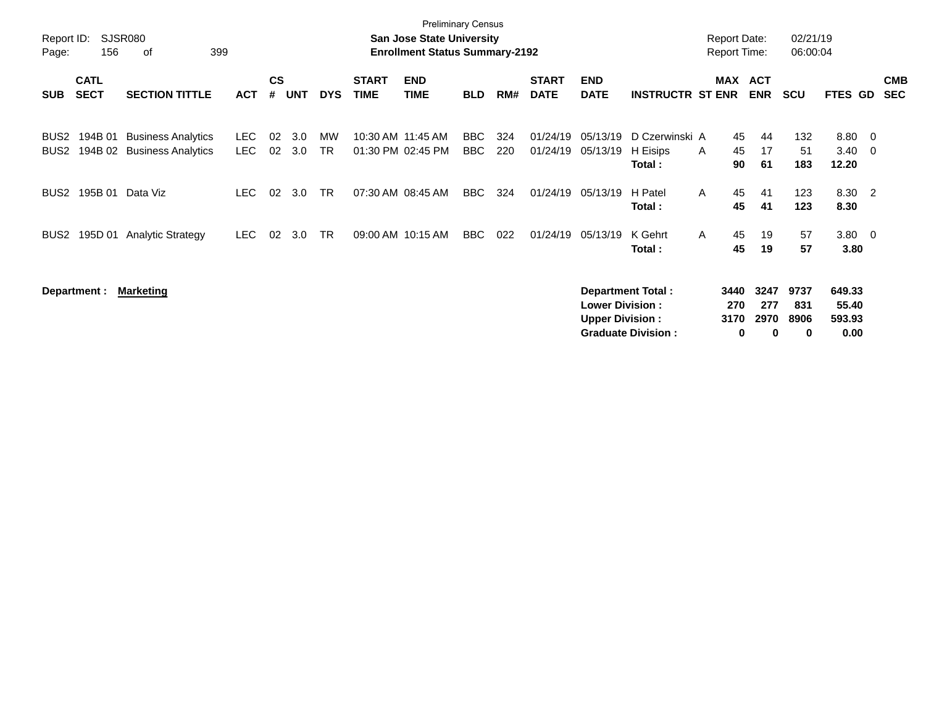| Report ID:<br>Page:      | 156                        | <b>SJSR080</b><br>399<br>оf                            |              |                    |            |                 |                             | <b>Preliminary Census</b><br><b>San Jose State University</b><br><b>Enrollment Status Summary-2192</b> |                   |            |                             |                                                  |                                                       | <b>Report Date:</b><br><b>Report Time:</b> |                                  | 02/21/19<br>06:00:04     |                                   |     |                          |
|--------------------------|----------------------------|--------------------------------------------------------|--------------|--------------------|------------|-----------------|-----------------------------|--------------------------------------------------------------------------------------------------------|-------------------|------------|-----------------------------|--------------------------------------------------|-------------------------------------------------------|--------------------------------------------|----------------------------------|--------------------------|-----------------------------------|-----|--------------------------|
| <b>SUB</b>               | <b>CATL</b><br><b>SECT</b> | <b>SECTION TITTLE</b>                                  | <b>ACT</b>   | $\mathsf{cs}$<br># | <b>UNT</b> | <b>DYS</b>      | <b>START</b><br><b>TIME</b> | <b>END</b><br><b>TIME</b>                                                                              | <b>BLD</b>        | RM#        | <b>START</b><br><b>DATE</b> | <b>END</b><br><b>DATE</b>                        | <b>INSTRUCTR ST ENR</b>                               |                                            | MAX ACT<br><b>ENR</b>            | <b>SCU</b>               | <b>FTES GD</b>                    |     | <b>CMB</b><br><b>SEC</b> |
| BUS <sub>2</sub><br>BUS2 | 194B 01<br>194B 02         | <b>Business Analytics</b><br><b>Business Analytics</b> | LEC.<br>LEC. | 02<br>02           | 3.0<br>3.0 | MW<br><b>TR</b> |                             | 10:30 AM 11:45 AM<br>01:30 PM 02:45 PM                                                                 | BBC<br><b>BBC</b> | 324<br>220 | 01/24/19<br>01/24/19        | 05/13/19<br>05/13/19                             | D Czerwinski A<br>H Eisips<br>Total:                  | A                                          | 45<br>44<br>45<br>17<br>61<br>90 | 132<br>51<br>183         | 8.80 0<br>3.40<br>12.20           | - 0 |                          |
| BUS2                     | 195B 01                    | Data Viz                                               | LEC.         | 02                 | 3.0        | <b>TR</b>       |                             | 07:30 AM 08:45 AM                                                                                      | <b>BBC</b>        | 324        | 01/24/19                    | 05/13/19                                         | H Patel<br>Total:                                     | $\mathsf{A}$                               | 45<br>41<br>45<br>41             | 123<br>123               | 8.30 2<br>8.30                    |     |                          |
| BUS2                     |                            | 195D 01 Analytic Strategy                              | <b>LEC</b>   | 02                 | 3.0        | <b>TR</b>       |                             | 09:00 AM 10:15 AM                                                                                      | BBC               | 022        | 01/24/19                    | 05/13/19                                         | K Gehrt<br>Total:                                     | $\mathsf{A}$                               | 19<br>45<br>45<br>19             | 57<br>57                 | $3.80 \ 0$<br>3.80                |     |                          |
|                          | Department :               | <u>Marketing</u>                                       |              |                    |            |                 |                             |                                                                                                        |                   |            |                             | <b>Lower Division:</b><br><b>Upper Division:</b> | <b>Department Total:</b><br><b>Graduate Division:</b> | 3440<br>270<br>3170                        | 3247<br>277<br>2970<br>0<br>0    | 9737<br>831<br>8906<br>0 | 649.33<br>55.40<br>593.93<br>0.00 |     |                          |